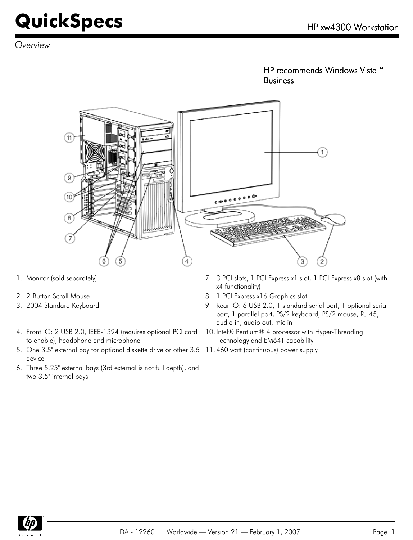*Overview*

HP recommends Windows Vista™ Business



- 
- 
- 
- 4. Front IO: 2 USB 2.0, IEEE-1394 (requires optional PCI card to enable), headphone and microphone
- 5. One 3.5" external bay for optional diskette drive or other 3.5" 11. 460 watt (continuous) power supply device
- 6. Three 5.25" external bays (3rd external is not full depth), and two 3.5" internal bays
- 1. Monitor (sold separately) T. 3 PCI slots, 1 PCI Express x1 slot, 1 PCI Express x8 slot (with x4 functionality)
- 2. 2-Button Scroll Mouse 2. 2-Button Scroll Mouse
- 3. 2004 Standard Keyboard 9. Rear IO: 6 USB 2.0, 1 standard serial port, 1 optional serial port, 1 parallel port, PS/2 keyboard, PS/2 mouse, RJ-45, audio in, audio out, mic in
	- 10. Intel® Pentium® 4 processor with Hyper-Threading Technology and EM64T capability
	-

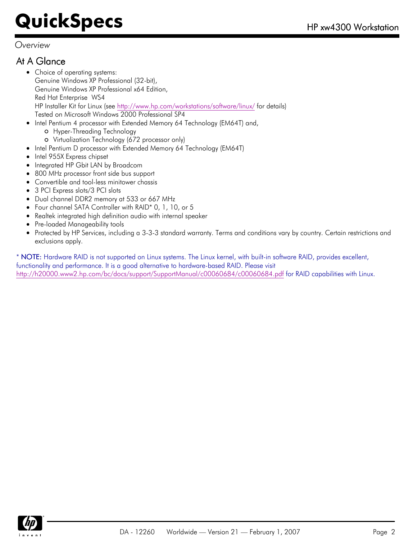*Overview*

### At A Glance

- Choice of operating systems: Genuine Windows XP Professional (32-bit), Genuine Windows XP Professional x64 Edition, Red Hat Enterprise WS4 HP Installer Kit for Linux (see<http://www.hp.com/workstations/software/linux/> for details) Tested on Microsoft Windows 2000 Professional SP4
- Intel Pentium 4 processor with Extended Memory 64 Technology (EM64T) and,  $\bullet$ Hyper-Threading Technology
	- Virtualization Technology (672 processor only)
- Intel Pentium D processor with Extended Memory 64 Technology (EM64T)
- Intel 955X Express chipset  $\bullet$
- Integrated HP Gbit LAN by Broadcom
- 800 MHz processor front side bus support
- Convertible and tool-less minitower chassis  $\bullet$
- 3 PCI Express slots/3 PCI slots
- Dual channel DDR2 memory at 533 or 667 MHz
- Four channel SATA Controller with RAID\* 0, 1, 10, or 5
- Realtek integrated high definition audio with internal speaker
- Pre-loaded Manageability tools  $\bullet$
- Protected by HP Services, including a 3-3-3 standard warranty. Terms and conditions vary by country. Certain restrictions and exclusions apply.

\* NOTE: Hardware RAID is not supported on Linux systems. The Linux kernel, with built-in software RAID, provides excellent, functionality and performance. It is a good alternative to hardware-based RAID. Please visit <http://h20000.www2.hp.com/bc/docs/support/SupportManual/c00060684/c00060684.pdf>for RAID capabilities with Linux.

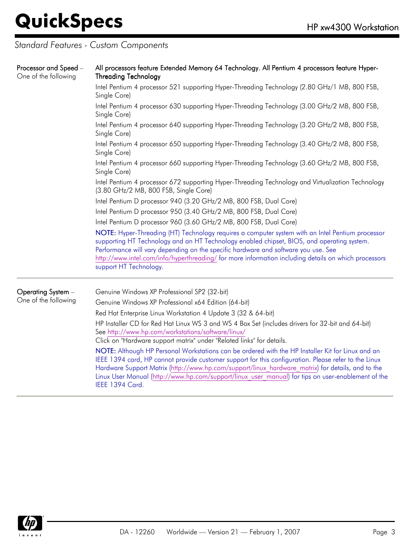*Standard Features - Custom Components*

| Processor and Speed -<br>One of the following | All processors feature Extended Memory 64 Technology. All Pentium 4 processors feature Hyper-<br><b>Threading Technology</b>                                                                                                                                                                                                                                                                                           |  |  |  |
|-----------------------------------------------|------------------------------------------------------------------------------------------------------------------------------------------------------------------------------------------------------------------------------------------------------------------------------------------------------------------------------------------------------------------------------------------------------------------------|--|--|--|
|                                               | Intel Pentium 4 processor 521 supporting Hyper-Threading Technology (2.80 GHz/1 MB, 800 FSB,<br>Single Core)                                                                                                                                                                                                                                                                                                           |  |  |  |
|                                               | Intel Pentium 4 processor 630 supporting Hyper-Threading Technology (3.00 GHz/2 MB, 800 FSB,<br>Single Core)                                                                                                                                                                                                                                                                                                           |  |  |  |
|                                               | Intel Pentium 4 processor 640 supporting Hyper-Threading Technology (3.20 GHz/2 MB, 800 FSB,<br>Single Core)                                                                                                                                                                                                                                                                                                           |  |  |  |
|                                               | Intel Pentium 4 processor 650 supporting Hyper-Threading Technology (3.40 GHz/2 MB, 800 FSB,<br>Single Core)                                                                                                                                                                                                                                                                                                           |  |  |  |
|                                               | Intel Pentium 4 processor 660 supporting Hyper-Threading Technology (3.60 GHz/2 MB, 800 FSB,<br>Single Core)                                                                                                                                                                                                                                                                                                           |  |  |  |
|                                               | Intel Pentium 4 processor 672 supporting Hyper-Threading Technology and Virtualization Technology<br>(3.80 GHz/2 MB, 800 FSB, Single Core)                                                                                                                                                                                                                                                                             |  |  |  |
|                                               | Intel Pentium D processor 940 (3.20 GHz/2 MB, 800 FSB, Dual Core)                                                                                                                                                                                                                                                                                                                                                      |  |  |  |
|                                               | Intel Pentium D processor 950 (3.40 GHz/2 MB, 800 FSB, Dual Core)                                                                                                                                                                                                                                                                                                                                                      |  |  |  |
|                                               | Intel Pentium D processor 960 (3.60 GHz/2 MB, 800 FSB, Dual Core)                                                                                                                                                                                                                                                                                                                                                      |  |  |  |
|                                               | NOTE: Hyper-Threading (HT) Technology requires a computer system with an Intel Pentium processor<br>supporting HT Technology and an HT Technology enabled chipset, BIOS, and operating system.<br>Performance will vary depending on the specific hardware and software you use. See<br>http://www.intel.com/info/hyperthreading/ for more information including details on which processors<br>support HT Technology. |  |  |  |
| Operating System -                            | Genuine Windows XP Professional SP2 (32-bit)                                                                                                                                                                                                                                                                                                                                                                           |  |  |  |
| One of the following                          | Genuine Windows XP Professional x64 Edition (64-bit)                                                                                                                                                                                                                                                                                                                                                                   |  |  |  |
|                                               | Red Hat Enterprise Linux Workstation 4 Update 3 (32 & 64-bit)                                                                                                                                                                                                                                                                                                                                                          |  |  |  |
|                                               | $\mathbf{u} \cdot \mathbf{v} = \mathbf{v} \cdot \mathbf{v}$ and $\mathbf{v} \cdot \mathbf{v} = \mathbf{v} \cdot \mathbf{v}$ and $\mathbf{v} \cdot \mathbf{v} = \mathbf{v} \cdot \mathbf{v}$ and $\mathbf{v} \cdot \mathbf{v} = \mathbf{v} \cdot \mathbf{v}$                                                                                                                                                            |  |  |  |

HP Installer CD for Red Hat Linux WS 3 and WS 4 Box Set (includes drivers for 32-bit and 64-bit) See <http://www.hp.com/workstations/software/linux/>

Click on "Hardware support matrix" under "Related links" for details.

NOTE: Although HP Personal Workstations can be ordered with the HP Installer Kit for Linux and an IEEE 1394 card, HP cannot provide customer support for this configuration. Please refer to the Linux Hardware Support Matrix ([http://www.hp.com/support/linux\\_hardware\\_matrix\)](http://www.hp.com/support/linux_hardware_matrix) for details, and to the Linux User Manual ([http://www.hp.com/support/linux\\_user\\_manual\)](http://www.hp.com/support/linux_user_manual) for tips on user-enablement of the IEEE 1394 Card.

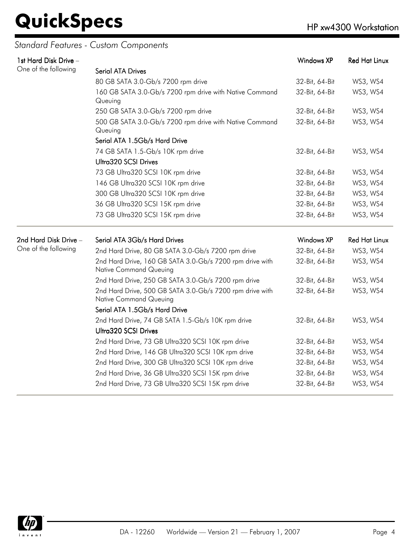### *Standard Features - Custom Components*

| 1st Hard Disk Drive - | Windows XP<br>Red Hat Linux                                                               |                   |                      |  |
|-----------------------|-------------------------------------------------------------------------------------------|-------------------|----------------------|--|
| One of the following  | <b>Serial ATA Drives</b>                                                                  |                   |                      |  |
|                       | 80 GB SATA 3.0-Gb/s 7200 rpm drive                                                        | 32-Bit, 64-Bit    | WS3, WS4             |  |
|                       | 160 GB SATA 3.0-Gb/s 7200 rpm drive with Native Command<br>Queuing                        | 32-Bit, 64-Bit    | WS3, WS4             |  |
|                       | 250 GB SATA 3.0-Gb/s 7200 rpm drive                                                       | 32-Bit, 64-Bit    | WS3, WS4             |  |
|                       | 500 GB SATA 3.0-Gb/s 7200 rpm drive with Native Command<br>Queuing                        | 32-Bit, 64-Bit    | WS3, WS4             |  |
|                       | Serial ATA 1.5Gb/s Hard Drive                                                             |                   |                      |  |
|                       | 74 GB SATA 1.5-Gb/s 10K rpm drive                                                         | 32-Bit, 64-Bit    | WS3, WS4             |  |
|                       | Ultra320 SCSI Drives                                                                      |                   |                      |  |
|                       | 73 GB Ultra320 SCSI 10K rpm drive                                                         | 32-Bit, 64-Bit    | WS3, WS4             |  |
|                       | 146 GB Ultra320 SCSI 10K rpm drive                                                        | 32-Bit, 64-Bit    | WS3, WS4             |  |
|                       | 300 GB Ultra320 SCSI 10K rpm drive                                                        | 32-Bit, 64-Bit    | WS3, WS4             |  |
|                       | 36 GB Ultra320 SCSI 15K rpm drive                                                         | 32-Bit, 64-Bit    | WS3, WS4             |  |
|                       | 73 GB Ultra320 SCSI 15K rpm drive                                                         | 32-Bit, 64-Bit    | WS3, WS4             |  |
| 2nd Hard Disk Drive - | Serial ATA 3Gb/s Hard Drives                                                              | <b>Windows XP</b> | <b>Red Hat Linux</b> |  |
| One of the following  | 2nd Hard Drive, 80 GB SATA 3.0-Gb/s 7200 rpm drive                                        | 32-Bit, 64-Bit    | WS3, WS4             |  |
|                       | 2nd Hard Drive, 160 GB SATA 3.0-Gb/s 7200 rpm drive with<br><b>Native Command Queuing</b> | 32-Bit, 64-Bit    | WS3, WS4             |  |
|                       | 2nd Hard Drive, 250 GB SATA 3.0-Gb/s 7200 rpm drive                                       | 32-Bit, 64-Bit    | WS3, WS4             |  |
|                       | 2nd Hard Drive, 500 GB SATA 3.0-Gb/s 7200 rpm drive with<br><b>Native Command Queuing</b> | 32-Bit, 64-Bit    | WS3, WS4             |  |
|                       | Serial ATA 1.5Gb/s Hard Drive                                                             |                   |                      |  |
|                       | 2nd Hard Drive, 74 GB SATA 1.5-Gb/s 10K rpm drive<br>Ultra320 SCSI Drives                 | 32-Bit, 64-Bit    | WS3, WS4             |  |
|                       | 2nd Hard Drive, 73 GB Ultra320 SCSI 10K rpm drive                                         | 32-Bit, 64-Bit    | WS3, WS4             |  |
|                       | 2nd Hard Drive, 146 GB Ultra320 SCSI 10K rpm drive                                        | 32-Bit, 64-Bit    | WS3, WS4             |  |
|                       | 2nd Hard Drive, 300 GB Ultra320 SCSI 10K rpm drive                                        | 32-Bit, 64-Bit    | WS3, WS4             |  |
|                       | 2nd Hard Drive, 36 GB Ultra320 SCSI 15K rpm drive                                         | 32-Bit, 64-Bit    | WS3, WS4             |  |
|                       | 2nd Hard Drive, 73 GB Ultra320 SCSI 15K rpm drive                                         | 32-Bit, 64-Bit    | WS3, WS4             |  |
|                       |                                                                                           |                   |                      |  |

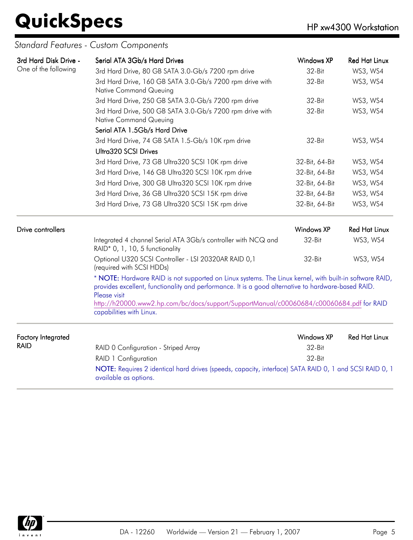| 3rd Hard Disk Drive -     | Serial ATA 3Gb/s Hard Drives                                                                                                                                                                                                   | Windows XP        | <b>Red Hat Linux</b> |  |
|---------------------------|--------------------------------------------------------------------------------------------------------------------------------------------------------------------------------------------------------------------------------|-------------------|----------------------|--|
| One of the following      | 3rd Hard Drive, 80 GB SATA 3.0-Gb/s 7200 rpm drive                                                                                                                                                                             | 32-Bit            | WS3, WS4             |  |
|                           | 3rd Hard Drive, 160 GB SATA 3.0-Gb/s 7200 rpm drive with<br><b>Native Command Queuing</b>                                                                                                                                      | 32-Bit            | WS3, WS4             |  |
|                           | 3rd Hard Drive, 250 GB SATA 3.0-Gb/s 7200 rpm drive                                                                                                                                                                            | 32-Bit            | WS3, WS4             |  |
|                           | 3rd Hard Drive, 500 GB SATA 3.0-Gb/s 7200 rpm drive with<br><b>Native Command Queuing</b>                                                                                                                                      | 32-Bit            | WS3, WS4             |  |
|                           | Serial ATA 1.5Gb/s Hard Drive                                                                                                                                                                                                  |                   |                      |  |
|                           | 3rd Hard Drive, 74 GB SATA 1.5-Gb/s 10K rpm drive<br>Ultra320 SCSI Drives                                                                                                                                                      | 32-Bit            | WS3, WS4             |  |
|                           | 3rd Hard Drive, 73 GB Ultra320 SCSI 10K rpm drive                                                                                                                                                                              | 32-Bit, 64-Bit    | WS3, WS4             |  |
|                           | 3rd Hard Drive, 146 GB Ultra320 SCSI 10K rpm drive                                                                                                                                                                             | 32-Bit, 64-Bit    | WS3, WS4             |  |
|                           | 3rd Hard Drive, 300 GB Ultra320 SCSI 10K rpm drive                                                                                                                                                                             | 32-Bit, 64-Bit    | WS3, WS4             |  |
|                           | 3rd Hard Drive, 36 GB Ultra320 SCSI 15K rpm drive                                                                                                                                                                              | 32-Bit, 64-Bit    | WS3, WS4             |  |
|                           | 3rd Hard Drive, 73 GB Ultra320 SCSI 15K rpm drive                                                                                                                                                                              | 32-Bit, 64-Bit    | WS3, WS4             |  |
| Drive controllers         |                                                                                                                                                                                                                                | <b>Windows XP</b> | <b>Red Hat Linux</b> |  |
|                           | Integrated 4 channel Serial ATA 3Gb/s controller with NCQ and<br>RAID* 0, 1, 10, 5 functionality                                                                                                                               | 32-Bit            | WS3, WS4             |  |
|                           | Optional U320 SCSI Controller - LSI 20320AR RAID 0,1<br>(required with SCSI HDDs)                                                                                                                                              | 32-Bit            | WS3, WS4             |  |
|                           | * NOTE: Hardware RAID is not supported on Linux systems. The Linux kernel, with built-in software RAID,<br>provides excellent, functionality and performance. It is a good alternative to hardware-based RAID.<br>Please visit |                   |                      |  |
|                           | http://h20000.www2.hp.com/bc/docs/support/SupportManual/c00060684/c00060684.pdf for RAID<br>capabilities with Linux.                                                                                                           |                   |                      |  |
| <b>Factory Integrated</b> |                                                                                                                                                                                                                                | <b>Windows XP</b> | <b>Red Hat Linux</b> |  |
| <b>RAID</b>               | RAID 0 Configuration - Striped Array                                                                                                                                                                                           | 32-Bit            |                      |  |
|                           | RAID 1 Configuration                                                                                                                                                                                                           | 32-Bit            |                      |  |
|                           | NOTE: Requires 2 identical hard drives (speeds, capacity, interface) SATA RAID 0, 1 and SCSI RAID 0, 1<br>available as options.                                                                                                |                   |                      |  |

### *Standard Features - Custom Components*

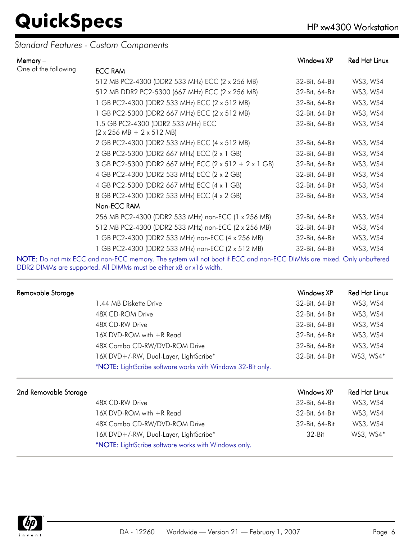### *Standard Features - Custom Components*

| Memory $-$           |                                                                                             | Windows XP     | Red Hat Linux |
|----------------------|---------------------------------------------------------------------------------------------|----------------|---------------|
| One of the following | <b>ECC RAM</b>                                                                              |                |               |
|                      | 512 MB PC2-4300 (DDR2 533 MHz) ECC (2 x 256 MB)                                             | 32-Bit, 64-Bit | WS3, WS4      |
|                      | 512 MB DDR2 PC2-5300 (667 MHz) ECC (2 x 256 MB)                                             | 32-Bit, 64-Bit | WS3, WS4      |
|                      | 1 GB PC2-4300 (DDR2 533 MHz) ECC (2 x 512 MB)                                               | 32-Bit, 64-Bit | WS3, WS4      |
|                      | 1 GB PC2-5300 (DDR2 667 MHz) ECC (2 x 512 MB)                                               | 32-Bit, 64-Bit | WS3, WS4      |
|                      | 1.5 GB PC2-4300 (DDR2 533 MHz) ECC<br>$(2 \times 256 \text{ MB} + 2 \times 512 \text{ MB})$ | 32-Bit, 64-Bit | WS3, WS4      |
|                      | 2 GB PC2-4300 (DDR2 533 MHz) ECC (4 x 512 MB)                                               | 32-Bit, 64-Bit | WS3, WS4      |
|                      | 2 GB PC2-5300 (DDR2 667 MHz) ECC (2 x 1 GB)                                                 | 32-Bit, 64-Bit | WS3, WS4      |
|                      | 3 GB PC2-5300 (DDR2 667 MHz) ECC (2 x 512 + 2 x 1 GB)                                       | 32-Bit, 64-Bit | WS3, WS4      |
|                      | 4 GB PC2-4300 (DDR2 533 MHz) ECC (2 x 2 GB)                                                 | 32-Bit, 64-Bit | WS3, WS4      |
|                      | 4 GB PC2-5300 (DDR2 667 MHz) ECC (4 x 1 GB)                                                 | 32-Bit, 64-Bit | WS3, WS4      |
|                      | 8 GB PC2-4300 (DDR2 533 MHz) ECC (4 x 2 GB)                                                 | 32-Bit, 64-Bit | WS3, WS4      |
|                      | Non-ECC RAM                                                                                 |                |               |
|                      | 256 MB PC2-4300 (DDR2 533 MHz) non-ECC (1 x 256 MB)                                         | 32-Bit, 64-Bit | WS3, WS4      |
|                      | 512 MB PC2-4300 (DDR2 533 MHz) non-ECC (2 x 256 MB)                                         | 32-Bit, 64-Bit | WS3, WS4      |
|                      | 1 GB PC2-4300 (DDR2 533 MHz) non-ECC (4 x 256 MB)                                           | 32-Bit, 64-Bit | WS3, WS4      |
|                      | 1 GB PC2-4300 (DDR2 533 MHz) non-ECC (2 x 512 MB)                                           | 32-Bit, 64-Bit | WS3, WS4      |

NOTE: Do not mix ECC and non-ECC memory. The system will not boot if ECC and non-ECC DIMMs are mixed. Only unbuffered DDR2 DIMMs are supported. All DIMMs must be either x8 or x16 width.

| Removable Storage     |                                                             | Windows XP     | <b>Red Hat Linux</b> |
|-----------------------|-------------------------------------------------------------|----------------|----------------------|
|                       | 1.44 MB Diskette Drive                                      | 32-Bit, 64-Bit | WS3, WS4             |
|                       | 48X CD-ROM Drive                                            | 32-Bit, 64-Bit | WS3, WS4             |
|                       | 48X CD-RW Drive                                             | 32-Bit, 64-Bit | WS3, WS4             |
|                       | $16X$ DVD-ROM with $+R$ Read                                | 32-Bit, 64-Bit | WS3, WS4             |
|                       | 48X Combo CD-RW/DVD-ROM Drive                               | 32-Bit, 64-Bit | WS3, WS4             |
|                       | 16X DVD+/-RW, Dual-Layer, LightScribe*                      | 32-Bit, 64-Bit | WS3, WS4*            |
|                       | *NOTE: LightScribe software works with Windows 32-Bit only. |                |                      |
| 2nd Removable Storage |                                                             | Windows XP     | <b>Red Hat Linux</b> |
|                       | 48X CD-RW Drive                                             | 32-Bit, 64-Bit | WS3, WS4             |
|                       | 16X DVD-ROM with +R Read                                    | 32-Bit, 64-Bit | WS3, WS4             |
|                       | 48X Combo CD-RW/DVD-ROM Drive                               | 32-Bit, 64-Bit | WS3, WS4             |
|                       | 16X DVD+/-RW, Dual-Layer, LightScribe*                      | $32-Hit$       | WS3, WS4*            |
|                       | *NOTE: LightScribe software works with Windows only.        |                |                      |

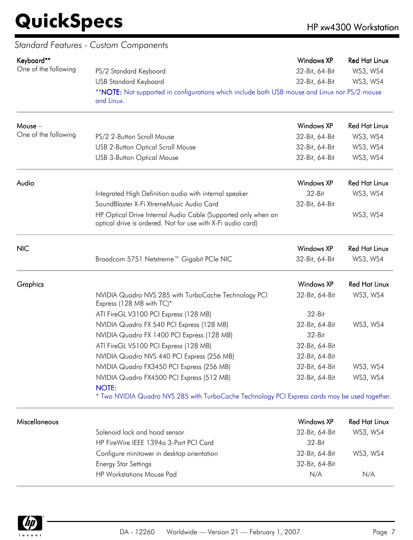|                      | Standard Features - Custom Components                                                                                        |                   |                      |
|----------------------|------------------------------------------------------------------------------------------------------------------------------|-------------------|----------------------|
| Keyboard**           |                                                                                                                              | <b>Windows XP</b> | <b>Red Hat Linux</b> |
| One of the following | PS/2 Standard Keyboard                                                                                                       | 32-Bit, 64-Bit    | WS3, WS4             |
|                      | <b>USB Standard Keyboard</b>                                                                                                 | 32-Bit, 64-Bit    | WS3, WS4             |
|                      | **NOTE: Not supported in configurations which include both USB mouse and Linux nor PS/2 mouse<br>and Linux.                  |                   |                      |
| Mouse -              |                                                                                                                              | <b>Windows XP</b> | <b>Red Hat Linux</b> |
| One of the following | PS/2 2-Button Scroll Mouse                                                                                                   | 32-Bit, 64-Bit    | WS3, WS4             |
|                      | <b>USB 2-Button Optical Scroll Mouse</b>                                                                                     | 32-Bit, 64-Bit    | WS3, WS4             |
|                      | <b>USB 3-Button Optical Mouse</b>                                                                                            | 32-Bit, 64-Bit    | WS3, WS4             |
| Audio                |                                                                                                                              | <b>Windows XP</b> | <b>Red Hat Linux</b> |
|                      | Integrated High Definition audio with internal speaker                                                                       | 32-Bit            | WS3, WS4             |
|                      | SoundBlaster X-Fi XtremeMusic Audio Card                                                                                     | 32-Bit, 64-Bit    |                      |
|                      | HP Optical Drive Internal Audio Cable (Supported only when an<br>optical drive is ordered. Not for use with X-Fi audio card) |                   | WS3, WS4             |
| <b>NIC</b>           |                                                                                                                              | Windows XP        | <b>Red Hat Linux</b> |
|                      | Broadcom 5751 Netxtreme™ Gigabit PCIe NIC                                                                                    | 32-Bit, 64-Bit    | WS3, WS4             |
| Graphics             |                                                                                                                              | <b>Windows XP</b> | <b>Red Hat Linux</b> |
|                      | NVIDIA Quadro NVS 285 with TurboCache Technology PCI<br>Express (128 MB with TC)*                                            | 32-Bit, 64-Bit    | WS3, WS4             |
|                      | ATI FireGL V3100 PCI Express (128 MB)                                                                                        | $32-Hit$          |                      |
|                      | NVIDIA Quadro FX 540 PCI Express (128 MB)                                                                                    | 32-Bit, 64-Bit    | WS3, WS4             |
|                      | NVIDIA Quadro FX 1400 PCI Express (128 MB)                                                                                   | 32-Bit            |                      |
|                      | ATI FireGL V5100 PCI Express (128 MB)                                                                                        | 32-Bit, 64-Bit    |                      |
|                      | NVIDIA Quadro NVS 440 PCI Express (256 MB)                                                                                   | 32-Bit, 64-Bit    |                      |
|                      | NVIDIA Quadro FX3450 PCI Express (256 MB)                                                                                    | 32-Bit, 64-Bit    | WS3, WS4             |
|                      | NVIDIA Quadro FX4500 PCI Express (512 MB)<br><b>NOTE:</b>                                                                    | 32-Bit, 64-Bit    | WS3, WS4             |
|                      | * Two NVIDIA Quadro NVS 285 with TurboCache Technology PCI Express cards may be used together.                               |                   |                      |
| Miscellaneous        |                                                                                                                              | <b>Windows XP</b> | <b>Red Hat Linux</b> |
|                      | Solenoid lock and hood sensor                                                                                                | 32-Bit, 64-Bit    | WS3, WS4             |
|                      | HP FireWire IEEE 1394a 3-Port PCI Card                                                                                       | 32-Bit            |                      |
|                      | Configure minitower in desktop orientation                                                                                   | 32-Bit, 64-Bit    | WS3, WS4             |
|                      | <b>Energy Star Settings</b>                                                                                                  | 32-Bit, 64-Bit    |                      |
|                      | <b>HP Workstations Mouse Pad</b>                                                                                             | N/A               | N/A                  |

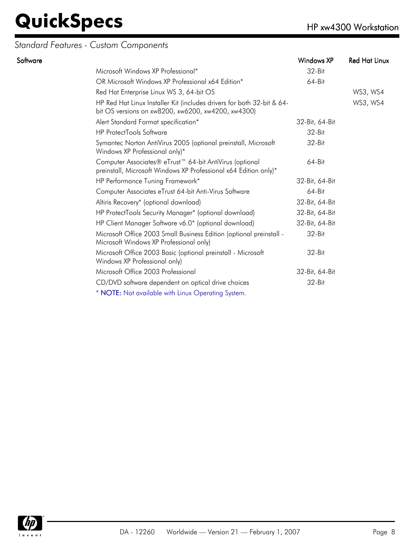### *Standard Features - Custom Components*

| Software |                                                                                                                                         | Windows XP     | <b>Red Hat Linux</b> |
|----------|-----------------------------------------------------------------------------------------------------------------------------------------|----------------|----------------------|
|          | Microsoft Windows XP Professional*                                                                                                      | $32-Hit$       |                      |
|          | OR Microsoft Windows XP Professional x64 Edition*                                                                                       | 64-Bit         |                      |
|          | Red Hat Enterprise Linux WS 3, 64-bit OS                                                                                                |                | WS3, WS4             |
|          | HP Red Hat Linux Installer Kit (includes drivers for both 32-bit & 64-<br>bit OS versions on xw8200, xw6200, xw4200, xw4300)            |                | WS3, WS4             |
|          | Alert Standard Format specification*                                                                                                    | 32-Bit, 64-Bit |                      |
|          | <b>HP ProtectTools Software</b>                                                                                                         | 32-Bit         |                      |
|          | Symantec Norton AntiVirus 2005 (optional preinstall, Microsoft<br>Windows XP Professional only)*                                        | $32-Hit$       |                      |
|          | Computer Associates® eTrust <sup>™</sup> 64-bit AntiVirus (optional<br>preinstall, Microsoft Windows XP Professional x64 Edition only)* | 64-Bit         |                      |
|          | HP Performance Tuning Framework*                                                                                                        | 32-Bit, 64-Bit |                      |
|          | Computer Associates eTrust 64-bit Anti-Virus Software                                                                                   | $64 - Bit$     |                      |
|          | Altiris Recovery* (optional download)                                                                                                   | 32-Bit, 64-Bit |                      |
|          | HP ProtectTools Security Manager* (optional download)                                                                                   | 32-Bit, 64-Bit |                      |
|          | HP Client Manager Software v6.0* (optional download)                                                                                    | 32-Bit, 64-Bit |                      |
|          | Microsoft Office 2003 Small Business Edition (optional preinstall -<br>Microsoft Windows XP Professional only)                          | $32-Hit$       |                      |
|          | Microsoft Office 2003 Basic (optional preinstall - Microsoft<br>Windows XP Professional only)                                           | 32-Bit         |                      |
|          | Microsoft Office 2003 Professional                                                                                                      | 32-Bit, 64-Bit |                      |
|          | CD/DVD software dependent on optical drive choices                                                                                      | 32-Bit         |                      |
|          | * NOTE: Not available with Linux Operating System.                                                                                      |                |                      |

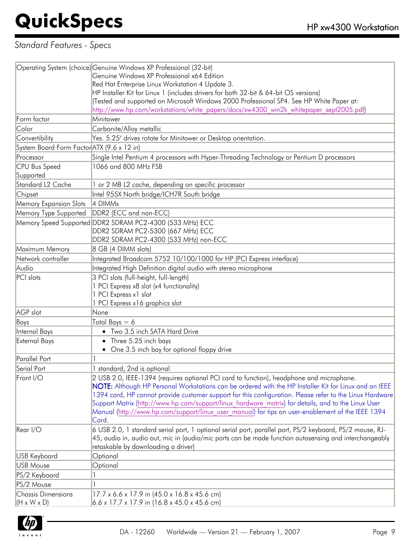### *Standard Features - Specs*

|                                            | Operating System (choice) Genuine Windows XP Professional (32-bit)                                       |
|--------------------------------------------|----------------------------------------------------------------------------------------------------------|
|                                            | Genuine Windows XP Professional x64 Edition                                                              |
|                                            | Red Hat Enterprise Linux Workstation 4 Update 3.                                                         |
|                                            | HP Installer Kit for Linux 1 (includes drivers for both 32-bit & 64-bit OS versions)                     |
|                                            | (Tested and supported on Microsoft Windows 2000 Professional SP4. See HP White Paper at:                 |
|                                            | http://www.hp.com/workstations/white_papers/docs/xw4300_win2k_whitepaper_sept2005.pdf)                   |
| Form factor                                | Minitower                                                                                                |
| Color                                      | Carbonite/Alloy metallic                                                                                 |
| Convertibility                             | Yes. 5.25" drives rotate for Minitower or Desktop orientation.                                           |
| System Board Form Factor ATX (9.6 x 12 in) |                                                                                                          |
| Processor                                  | Single Intel Pentium 4 processors with Hyper-Threading Technology or Pentium D processors                |
| <b>CPU Bus Speed</b>                       | 1066 and 800 MHz FSB                                                                                     |
| Supported                                  |                                                                                                          |
| Standard L <sub>2</sub> Cache              | 1 or 2 MB L2 cache, depending on specific processor                                                      |
| Chipset                                    | Intel 955X North bridge/ICH7R South bridge                                                               |
| <b>Memory Expansion Slots</b>              | 4 DIMMs                                                                                                  |
| Memory Type Supported                      | DDR2 (ECC and non-ECC)                                                                                   |
|                                            | Memory Speed Supported DDR2 SDRAM PC2-4300 (533 MHz) ECC                                                 |
|                                            | DDR2 SDRAM PC2-5300 (667 MHz) ECC                                                                        |
|                                            | DDR2 SDRAM PC2-4300 (533 MHz) non-ECC                                                                    |
| Maximum Memory                             | 8 GB (4 DIMM slots)                                                                                      |
| Network controller                         | Integrated Broadcom 5752 10/100/1000 for HP (PCI Express interface)                                      |
| Audio                                      | Integrated High Definition digital audio with stereo microphone                                          |
| PCI slots                                  | 3 PCI slots (full-height, full-length)                                                                   |
|                                            | 1 PCI Express x8 slot (x4 functionality)                                                                 |
|                                            | 1 PCI Express x1 slot                                                                                    |
|                                            | 1 PCI Express x16 graphics slot                                                                          |
| AGP slot                                   | None                                                                                                     |
| Bays                                       | Total Bays $= 6$                                                                                         |
| Internal Bays                              | • Two 3.5 inch SATA Hard Drive                                                                           |
| <b>External Bays</b>                       | Three 5.25 inch bays<br>$\bullet$                                                                        |
|                                            | • One 3.5 inch bay for optional floppy drive                                                             |
| Parallel Port                              |                                                                                                          |
| Serial Port                                | 1 standard, 2nd is optional                                                                              |
| Front I/O                                  | 2 USB 2.0, IEEE-1394 (requires optional PCI card to function), headphone and microphone.                 |
|                                            | NOTE: Although HP Personal Workstations can be ordered with the HP Installer Kit for Linux and an IEEE   |
|                                            | 1394 card, HP cannot provide customer support for this configuration. Please refer to the Linux Hardware |
|                                            | Support Matrix (http://www.hp.com/support/linux_hardware_matrix) for details, and to the Linux User      |
|                                            | Manual (http://www.hp.com/support/linux user manual) for tips on user-enablement of the IEEE 1394        |
|                                            | Card.                                                                                                    |
| Rear I/O                                   | 6 USB 2.0, 1 standard serial port, 1 optional serial port, parallel port, PS/2 keyboard, PS/2 mouse, RJ- |
|                                            | 45, audio in, audio out, mic in (audio/mic ports can be made function autosensing and interchangeably    |
|                                            | retaskable by downloading a driver)                                                                      |
| <b>USB Keyboard</b>                        | Optional                                                                                                 |
| <b>USB Mouse</b>                           | Optional                                                                                                 |
| PS/2 Keyboard                              |                                                                                                          |
| PS/2 Mouse                                 |                                                                                                          |
| <b>Chassis Dimensions</b>                  | 17.7 x 6.6 x 17.9 in (45.0 x 16.8 x 45.6 cm)                                                             |
| $(H \times W \times D)$                    | 6.6 x 17.7 x 17.9 in (16.8 x 45.0 x 45.6 cm)                                                             |

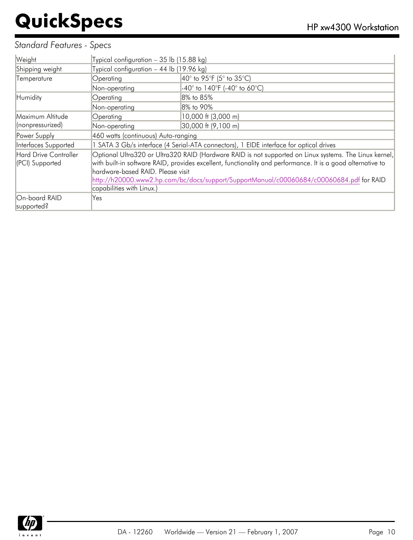### *Standard Features - Specs*

| Weight                       |                                                                                          | Typical configuration - 35 lb (15.88 kg)                                                                    |  |  |
|------------------------------|------------------------------------------------------------------------------------------|-------------------------------------------------------------------------------------------------------------|--|--|
| Shipping weight              | Typical configuration $-44$ lb (19.96 kg)                                                |                                                                                                             |  |  |
| Temperature                  | Operating                                                                                | 40° to 95°F (5° to 35°C)                                                                                    |  |  |
|                              | Non-operating                                                                            | $-40^{\circ}$ to 140°F (-40° to 60°C)                                                                       |  |  |
| Humidity                     | Operating                                                                                | 8% to 85%                                                                                                   |  |  |
|                              | Non-operating                                                                            | 8% to 90%                                                                                                   |  |  |
| Maximum Altitude             | Operating                                                                                | 10,000 ft (3,000 m)                                                                                         |  |  |
| (nonpressurized)             | Non-operating                                                                            | 30,000 ft (9,100 m)                                                                                         |  |  |
| Power Supply                 | 460 watts (continuous) Auto-ranging                                                      |                                                                                                             |  |  |
| Interfaces Supported         |                                                                                          | 1 SATA 3 Gb/s interface (4 Serial-ATA connectors), 1 EIDE interface for optical drives                      |  |  |
| <b>Hard Drive Controller</b> |                                                                                          | Optional Ultra320 or Ultra320 RAID (Hardware RAID is not supported on Linux systems. The Linux kernel,      |  |  |
| (PCI) Supported              |                                                                                          | with built-in software RAID, provides excellent, functionality and performance. It is a good alternative to |  |  |
|                              | hardware-based RAID. Please visit                                                        |                                                                                                             |  |  |
|                              | http://h20000.www2.hp.com/bc/docs/support/SupportManual/c00060684/c00060684.pdf for RAID |                                                                                                             |  |  |
|                              | capabilities with Linux.)                                                                |                                                                                                             |  |  |
| On-board RAID                | Yes                                                                                      |                                                                                                             |  |  |
| supported?                   |                                                                                          |                                                                                                             |  |  |

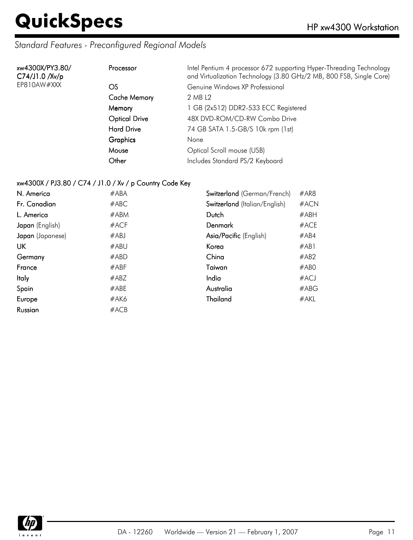### *Standard Features - Preconfigured Regional Models*

| xw4300X/PY3.80/<br>C74/J1.0 / Xv/p | Processor            | Intel Pentium 4 processor 672 supporting Hyper-Threading Technology<br>and Virtualization Technology (3.80 GHz/2 MB, 800 FSB, Single Core) |
|------------------------------------|----------------------|--------------------------------------------------------------------------------------------------------------------------------------------|
| EP810AW#XXX                        | OS                   | Genuine Windows XP Professional                                                                                                            |
|                                    | Cache Memory         | 2 MB L2                                                                                                                                    |
|                                    | Memory               | 1 GB (2x512) DDR2-533 ECC Registered                                                                                                       |
|                                    | <b>Optical Drive</b> | 48X DVD-ROM/CD-RW Combo Drive                                                                                                              |
|                                    | <b>Hard Drive</b>    | 74 GB SATA 1.5-GB/S 10k rpm (1st)                                                                                                          |
|                                    | <b>Graphics</b>      | None                                                                                                                                       |
|                                    | Mouse                | Optical Scroll mouse (USB)                                                                                                                 |
|                                    | Other                | Includes Standard PS/2 Keyboard                                                                                                            |

#### xw4300X / PJ3.80 / C74 / J1.0 / Xv / p Country Code Key

| N. America       | #ABA    | Switzerland (German/French)   | #AR8 |
|------------------|---------|-------------------------------|------|
| Fr. Canadian     | #ABC    | Switzerland (Italian/English) | #ACN |
| L. America       | #ABM    | Dutch                         | #ABH |
| Japan (English)  | $#$ ACF | Denmark                       | #ACE |
| Japan (Japanese) | #ABJ    | Asia/Pacific (English)        | #AB4 |
| UK               | #ABU    | Korea                         | #AB1 |
| Germany          | #ABD    | China                         | #AB2 |
| France           | #ABF    | Taiwan                        | #ABO |
| <b>Italy</b>     | #ABZ    | India                         | #ACJ |
| Spain            | #ABE    | Australia                     | #ABC |
| Europe           | #AK6    | Thailand                      | #AKL |
| Russian          | #ACB    |                               |      |

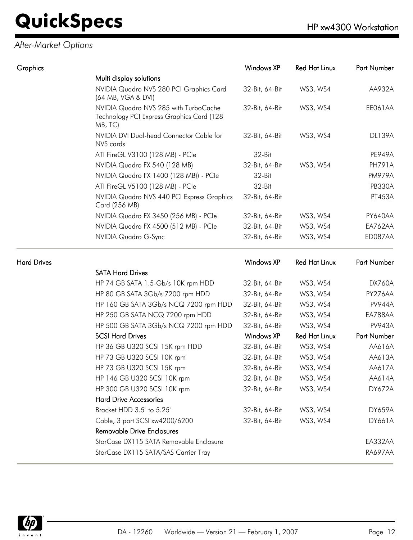### *After-Market Options*

| Graphics           |                                                                                               | Windows XP<br><b>Red Hat Linux</b> |                      |                         |  |
|--------------------|-----------------------------------------------------------------------------------------------|------------------------------------|----------------------|-------------------------|--|
|                    | Multi display solutions                                                                       |                                    |                      |                         |  |
|                    | NVIDIA Quadro NVS 280 PCI Graphics Card<br>(64 MB, VGA & DVI)                                 | 32-Bit, 64-Bit                     | WS3, WS4             | AA932A                  |  |
|                    | NVIDIA Quadro NVS 285 with TurboCache<br>Technology PCI Express Graphics Card (128<br>MB, TC) | 32-Bit, 64-Bit                     | WS3, WS4             | EE061AA                 |  |
|                    | NVIDIA DVI Dual-head Connector Cable for<br>NVS cards                                         | 32-Bit, 64-Bit                     | WS3, WS4             | <b>DL139A</b>           |  |
|                    | ATI FireGL V3100 (128 MB) - PCle                                                              | 32-Bit                             |                      | <b>PE949A</b>           |  |
|                    | NVIDIA Quadro FX 540 (128 MB)                                                                 | 32-Bit, 64-Bit                     | WS3, WS4             | <b>PH791A</b>           |  |
|                    | NVIDIA Quadro FX 1400 (128 MB)) - PCle                                                        | 32-Bit                             |                      | <b>PM979A</b>           |  |
|                    | ATI FireGL V5100 (128 MB) - PCle                                                              | 32-Bit<br>32-Bit, 64-Bit           |                      | <b>PB330A</b><br>PT453A |  |
|                    | NVIDIA Quadro NVS 440 PCI Express Graphics<br>Card (256 MB)                                   |                                    |                      |                         |  |
|                    | NVIDIA Quadro FX 3450 (256 MB) - PCIe                                                         | 32-Bit, 64-Bit                     | WS3, WS4             | PY640AA                 |  |
|                    | NVIDIA Quadro FX 4500 (512 MB) - PCle                                                         | 32-Bit, 64-Bit                     | WS3, WS4             | EA762AA                 |  |
|                    | NVIDIA Quadro G-Sync                                                                          | 32-Bit, 64-Bit                     | WS3, WS4             | ED087AA                 |  |
| <b>Hard Drives</b> |                                                                                               | <b>Windows XP</b>                  | <b>Red Hat Linux</b> | Part Number             |  |
|                    | <b>SATA Hard Drives</b>                                                                       |                                    |                      |                         |  |
|                    | HP 74 GB SATA 1.5-Gb/s 10K rpm HDD                                                            | 32-Bit, 64-Bit                     | WS3, WS4             | DX760A                  |  |
|                    | HP 80 GB SATA 3Gb/s 7200 rpm HDD                                                              | 32-Bit, 64-Bit                     | WS3, WS4             | PY276AA                 |  |
|                    | HP 160 GB SATA 3Gb/s NCQ 7200 rpm HDD                                                         | 32-Bit, 64-Bit                     | WS3, WS4             | <b>PV944A</b>           |  |
|                    | HP 250 GB SATA NCQ 7200 rpm HDD                                                               | 32-Bit, 64-Bit                     | WS3, WS4             | EA788AA                 |  |
|                    | HP 500 GB SATA 3Gb/s NCQ 7200 rpm HDD                                                         | 32-Bit, 64-Bit                     | WS3, WS4             | <b>PV943A</b>           |  |
|                    | <b>SCSI Hard Drives</b>                                                                       | Windows XP                         | <b>Red Hat Linux</b> | Part Number             |  |
|                    | HP 36 GB U320 SCSI 15K rpm HDD                                                                | 32-Bit, 64-Bit                     | WS3, WS4             | AA616A                  |  |
|                    | HP 73 GB U320 SCSI 10K rpm                                                                    | 32-Bit, 64-Bit                     | WS3, WS4             | AA613A                  |  |

| HP 146 GB U320 SCSI 10K rpm             | 32-Bit, 64-Bit | WS3, WS4 | AA614A         |
|-----------------------------------------|----------------|----------|----------------|
| HP 300 GB U320 SCSI 10K rpm             | 32-Bit, 64-Bit | WS3, WS4 | <b>DY672A</b>  |
| <b>Hard Drive Accessories</b>           |                |          |                |
| Bracket HDD 3.5" to 5.25"               | 32-Bit, 64-Bit | WS3, WS4 | <b>DY659A</b>  |
| Cable, 3 port SCSI xw4200/6200          | 32-Bit, 64-Bit | WS3, WS4 | <b>DY661A</b>  |
| <b>Removable Drive Enclosures</b>       |                |          |                |
| StorCase DX115 SATA Removable Enclosure |                |          | EA332AA        |
| StorCase DX115 SATA/SAS Carrier Tray    |                |          | <b>RA697AA</b> |
|                                         |                |          |                |

HP 73 GB U320 SCSI 15K rpm 32-Bit, 64-Bit WS3, WS4 AA617A

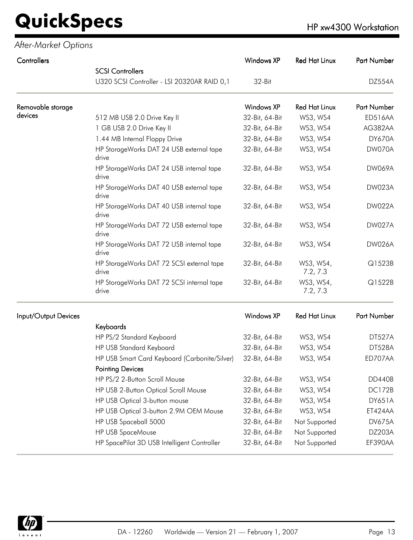*After-Market Options*

| Controllers          |                                                    | <b>Windows XP</b> | <b>Red Hat Linux</b>  | <b>Part Number</b> |
|----------------------|----------------------------------------------------|-------------------|-----------------------|--------------------|
|                      | <b>SCSI Controllers</b>                            |                   |                       |                    |
|                      | U320 SCSI Controller - LSI 20320AR RAID 0,1        | $32-Hit$          |                       | DZ554A             |
| Removable storage    |                                                    | <b>Windows XP</b> | <b>Red Hat Linux</b>  | <b>Part Number</b> |
| devices              | 512 MB USB 2.0 Drive Key II                        | 32-Bit, 64-Bit    | WS3, WS4              | <b>ED516AA</b>     |
|                      | 1 GB USB 2.0 Drive Key II                          | 32-Bit, 64-Bit    | WS3, WS4              | AG382AA            |
|                      | 1.44 MB Internal Floppy Drive                      | 32-Bit, 64-Bit    | WS3, WS4              | <b>DY670A</b>      |
|                      | HP StorageWorks DAT 24 USB external tape<br>drive  | 32-Bit, 64-Bit    | WS3, WS4              | DW070A             |
|                      | HP StorageWorks DAT 24 USB internal tape<br>drive  | 32-Bit, 64-Bit    | WS3, WS4              | <b>DW069A</b>      |
|                      | HP StorageWorks DAT 40 USB external tape<br>drive  | 32-Bit, 64-Bit    | WS3, WS4              | DW023A             |
|                      | HP StorageWorks DAT 40 USB internal tape<br>drive  | 32-Bit, 64-Bit    | WS3, WS4              | <b>DW022A</b>      |
|                      | HP StorageWorks DAT 72 USB external tape<br>drive  | 32-Bit, 64-Bit    | WS3, WS4              | <b>DW027A</b>      |
|                      | HP StorageWorks DAT 72 USB internal tape<br>drive  | 32-Bit, 64-Bit    | WS3, WS4              | <b>DW026A</b>      |
|                      | HP StorageWorks DAT 72 SCSI external tape<br>drive | 32-Bit, 64-Bit    | WS3, WS4,<br>7.2, 7.3 | Q1523B             |
|                      | HP StorageWorks DAT 72 SCSI internal tape<br>drive | 32-Bit, 64-Bit    | WS3, WS4,<br>7.2, 7.3 | Q1522B             |
| Input/Output Devices |                                                    | <b>Windows XP</b> | <b>Red Hat Linux</b>  | <b>Part Number</b> |
|                      | Keyboards                                          |                   |                       |                    |
|                      | HP PS/2 Standard Keyboard                          | 32-Bit, 64-Bit    | WS3, WS4              | <b>DT527A</b>      |

| Keyboards                                     |                |               |               |
|-----------------------------------------------|----------------|---------------|---------------|
| HP PS/2 Standard Keyboard                     | 32-Bit, 64-Bit | WS3, WS4      | <b>DT527A</b> |
| HP USB Standard Keyboard                      | 32-Bit, 64-Bit | WS3, WS4      | <b>DT528A</b> |
| HP USB Smart Card Keyboard (Carbonite/Silver) | 32-Bit, 64-Bit | WS3, WS4      | ED707AA       |
| <b>Pointing Devices</b>                       |                |               |               |
| HP PS/2 2-Button Scroll Mouse                 | 32-Bit, 64-Bit | WS3, WS4      | DD440B        |
| HP USB 2-Button Optical Scroll Mouse          | 32-Bit, 64-Bit | WS3, WS4      | <b>DC172B</b> |
| HP USB Optical 3-button mouse                 | 32-Bit, 64-Bit | WS3, WS4      | <b>DY651A</b> |
| HP USB Optical 3-button 2.9M OEM Mouse        | 32-Bit, 64-Bit | WS3, WS4      | ET424AA       |
| HP USB Spaceball 5000                         | 32-Bit, 64-Bit | Not Supported | <b>DV675A</b> |
| <b>HP USB SpaceMouse</b>                      | 32-Bit, 64-Bit | Not Supported | DZ203A        |
| HP SpacePilot 3D USB Intelligent Controller   | 32-Bit, 64-Bit | Not Supported | EF390AA       |
|                                               |                |               |               |

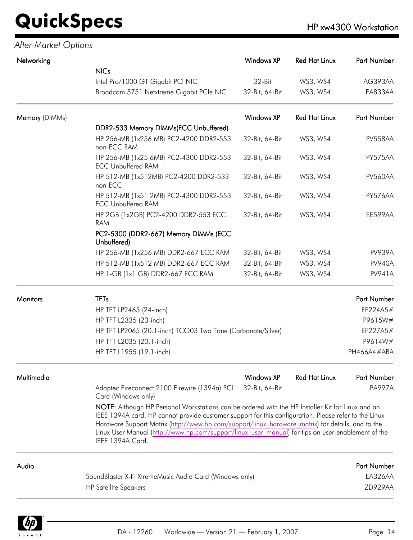| After-Market Options |                                                                                                                                                                                                                                                                                                                                                                                                                                           |                   |                      |                    |
|----------------------|-------------------------------------------------------------------------------------------------------------------------------------------------------------------------------------------------------------------------------------------------------------------------------------------------------------------------------------------------------------------------------------------------------------------------------------------|-------------------|----------------------|--------------------|
| Networking           |                                                                                                                                                                                                                                                                                                                                                                                                                                           | <b>Windows XP</b> | <b>Red Hat Linux</b> | Part Number        |
|                      | <b>NICs</b>                                                                                                                                                                                                                                                                                                                                                                                                                               |                   |                      |                    |
|                      | Intel Pro/1000 GT Gigabit PCI NIC                                                                                                                                                                                                                                                                                                                                                                                                         | 32-Bit            | WS3, WS4             | AG393AA            |
|                      | Broadcom 5751 Netxtreme Gigabit PCIe NIC                                                                                                                                                                                                                                                                                                                                                                                                  | 32-Bit, 64-Bit    | WS3, WS4             | EA833AA            |
| Memory (DIMMs)       |                                                                                                                                                                                                                                                                                                                                                                                                                                           | <b>Windows XP</b> | <b>Red Hat Linux</b> | Part Number        |
|                      | DDR2-533 Memory DIMMs(ECC Unbuffered)                                                                                                                                                                                                                                                                                                                                                                                                     |                   |                      |                    |
|                      | HP 256-MB (1x256 MB) PC2-4200 DDR2-553<br>non-ECC RAM                                                                                                                                                                                                                                                                                                                                                                                     | 32-Bit, 64-Bit    | WS3, WS4             | PV558AA            |
|                      | HP 256-MB (1x25 6MB) PC2-4300 DDR2-553<br><b>ECC Unbuffered RAM</b>                                                                                                                                                                                                                                                                                                                                                                       | 32-Bit, 64-Bit    | WS3, WS4             | PY575AA            |
|                      | HP 512-MB (1x512MB) PC2-4200 DDR2-533<br>non-ECC                                                                                                                                                                                                                                                                                                                                                                                          | 32-Bit, 64-Bit    | WS3, WS4             | PV560AA            |
|                      | HP 512-MB (1x51 2MB) PC2-4300 DDR2-553<br><b>ECC Unbuffered RAM</b>                                                                                                                                                                                                                                                                                                                                                                       | 32-Bit, 64-Bit    | WS3, WS4             | PY576AA            |
|                      | HP 2GB (1x2GB) PC2-4200 DDR2-553 ECC<br><b>RAM</b>                                                                                                                                                                                                                                                                                                                                                                                        | 32-Bit, 64-Bit    | WS3, WS4             | EE599AA            |
|                      | PC2-5300 (DDR2-667) Memory DIMMs (ECC<br>Unbuffered)                                                                                                                                                                                                                                                                                                                                                                                      |                   |                      |                    |
|                      | HP 256-MB (1x256 MB) DDR2-667 ECC RAM                                                                                                                                                                                                                                                                                                                                                                                                     | 32-Bit, 64-Bit    | WS3, WS4             | <b>PV939A</b>      |
|                      | HP 512-MB (1x512 MB) DDR2-667 ECC RAM                                                                                                                                                                                                                                                                                                                                                                                                     | 32-Bit, 64-Bit    | WS3, WS4             | <b>PV940A</b>      |
|                      | HP 1-GB (1x1 GB) DDR2-667 ECC RAM                                                                                                                                                                                                                                                                                                                                                                                                         | 32-Bit, 64-Bit    | WS3, WS4             | <b>PV941A</b>      |
| <b>Monitors</b>      | <b>TFTs</b>                                                                                                                                                                                                                                                                                                                                                                                                                               |                   |                      | Part Number        |
|                      | HP TFT LP2465 (24-inch)                                                                                                                                                                                                                                                                                                                                                                                                                   |                   |                      | EF224A5#           |
|                      | HP TFT L2335 (23-inch)                                                                                                                                                                                                                                                                                                                                                                                                                    |                   |                      | P9615W#            |
|                      | HP TFT LP2065 (20.1-inch) TCO03 Two Tone (Carbonate/Silver)                                                                                                                                                                                                                                                                                                                                                                               |                   |                      | EF227A5#           |
|                      | HP TFT L2035 (20.1-inch)                                                                                                                                                                                                                                                                                                                                                                                                                  |                   |                      | P9614W#            |
|                      | HP TFT L1955 (19.1-inch)                                                                                                                                                                                                                                                                                                                                                                                                                  |                   |                      | PH466A4#ABA        |
| Multimedia           |                                                                                                                                                                                                                                                                                                                                                                                                                                           | <b>Windows XP</b> | <b>Red Hat Linux</b> | <b>Part Number</b> |
|                      | Adaptec Fireconnect 2100 Firewire (1394a) PCI<br>Card (Windows only)                                                                                                                                                                                                                                                                                                                                                                      | 32-Bit, 64-Bit    |                      | <b>PA997A</b>      |
|                      | NOTE: Although HP Personal Workstations can be ordered with the HP Installer Kit for Linux and an<br>IEEE 1394A card, HP cannot provide customer support for this configuration. Please refer to the Linux<br>Hardware Support Matrix (http://www.hp.com/support/linux hardware matrix) for details, and to the<br>Linux User Manual (http://www.hp.com/support/linux user manual) for tips on user-enablement of the<br>IEEE 1394A Card. |                   |                      |                    |
| Audio                |                                                                                                                                                                                                                                                                                                                                                                                                                                           |                   |                      | <b>Part Number</b> |
|                      | SoundBlaster X-Fi XtremeMusic Audio Card (Windows only)                                                                                                                                                                                                                                                                                                                                                                                   |                   |                      | EA326AA            |
|                      | <b>HP Satellite Speakers</b>                                                                                                                                                                                                                                                                                                                                                                                                              |                   |                      | ZD929AA            |

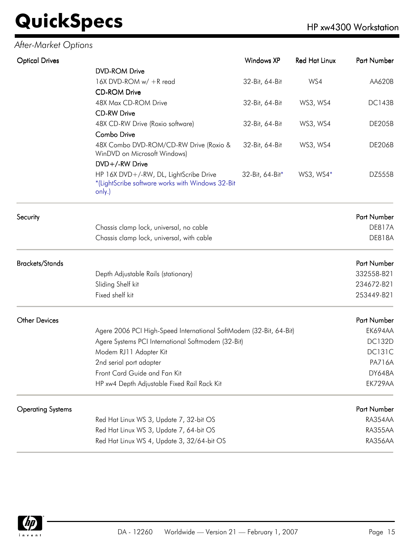### *After-Market Options*

| <b>Optical Drives</b>    |                                                                                                      | Windows XP      | <b>Red Hat Linux</b> | Part Number   |
|--------------------------|------------------------------------------------------------------------------------------------------|-----------------|----------------------|---------------|
|                          | <b>DVD-ROM Drive</b>                                                                                 |                 |                      |               |
|                          | 16X DVD-ROM w/ +R read                                                                               | 32-Bit, 64-Bit  | WS4                  | AA620B        |
|                          | <b>CD-ROM Drive</b>                                                                                  |                 |                      |               |
|                          | 48X Max CD-ROM Drive                                                                                 | 32-Bit, 64-Bit  | WS3, WS4             | <b>DC143B</b> |
|                          | <b>CD-RW Drive</b>                                                                                   |                 |                      |               |
|                          | 48X CD-RW Drive (Roxio software)                                                                     | 32-Bit, 64-Bit  | WS3, WS4             | <b>DE205B</b> |
|                          | Combo Drive                                                                                          |                 |                      |               |
|                          | 48X Combo DVD-ROM/CD-RW Drive (Roxio &<br>WinDVD on Microsoft Windows)                               | 32-Bit, 64-Bit  | WS3, WS4             | <b>DE206B</b> |
|                          | DVD+/-RW Drive                                                                                       |                 |                      |               |
|                          | HP 16X DVD+/-RW, DL, LightScribe Drive<br>*(LightScribe software works with Windows 32-Bit<br>only.) | 32-Bit, 64-Bit* | WS3, WS4*            | DZ555B        |
| Security                 |                                                                                                      |                 |                      | Part Number   |
|                          | Chassis clamp lock, universal, no cable                                                              |                 |                      | <b>DE817A</b> |
|                          | Chassis clamp lock, universal, with cable                                                            |                 |                      | <b>DE818A</b> |
| <b>Brackets/Stands</b>   |                                                                                                      |                 |                      | Part Number   |
|                          | Depth Adjustable Rails (stationary)                                                                  |                 |                      | 332558-B21    |
|                          | Sliding Shelf kit                                                                                    |                 |                      | 234672-B21    |
|                          | Fixed shelf kit                                                                                      |                 |                      | 253449-B21    |
| <b>Other Devices</b>     |                                                                                                      |                 |                      | Part Number   |
|                          | Agere 2006 PCI High-Speed International SoftModem (32-Bit, 64-Bit)                                   |                 |                      | EK694AA       |
|                          | Agere Systems PCI International Softmodem (32-Bit)                                                   |                 |                      | <b>DC132D</b> |
|                          | Modem RJ11 Adapter Kit                                                                               |                 |                      | <b>DC131C</b> |
|                          | 2nd serial port adapter                                                                              |                 |                      | <b>PA716A</b> |
|                          | Front Card Guide and Fan Kit                                                                         |                 |                      | <b>DY648A</b> |
|                          | HP xw4 Depth Adjustable Fixed Rail Rack Kit                                                          |                 |                      | EK729AA       |
| <b>Operating Systems</b> |                                                                                                      |                 |                      | Part Number   |
|                          | Red Hat Linux WS 3, Update 7, 32-bit OS                                                              |                 |                      | RA354AA       |
|                          | Red Hat Linux WS 3, Update 7, 64-bit OS                                                              |                 |                      | RA355AA       |
|                          | Red Hat Linux WS 4, Update 3, 32/64-bit OS                                                           |                 |                      | RA356AA       |

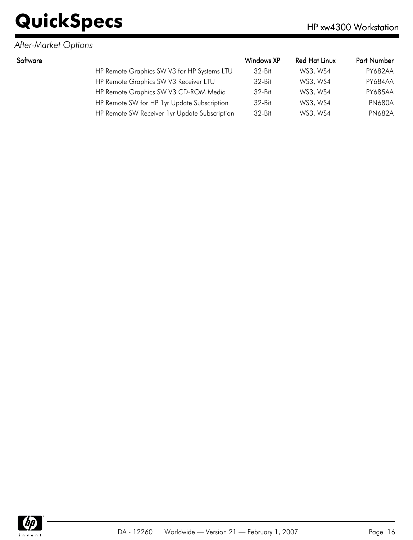### *After-Market Options*

| Software |                                               | Windows XP | Red Hat Linux | <b>Part Number</b> |
|----------|-----------------------------------------------|------------|---------------|--------------------|
|          | HP Remote Graphics SW V3 for HP Systems LTU   | $32-Hit$   | WS3, WS4      | PY682AA            |
|          | HP Remote Graphics SW V3 Receiver LTU         | $32-Hit$   | WS3, WS4      | PY684AA            |
|          | HP Remote Graphics SW V3 CD-ROM Media         | $32-Hit$   | WS3, WS4      | <b>PY685AA</b>     |
|          | HP Remote SW for HP 1yr Update Subscription   | $32-Hit$   | WS3, WS4      | <b>PN680A</b>      |
|          | HP Remote SW Receiver 1yr Update Subscription | $32-Hit$   | WS3, WS4      | <b>PN682A</b>      |
|          |                                               |            |               |                    |

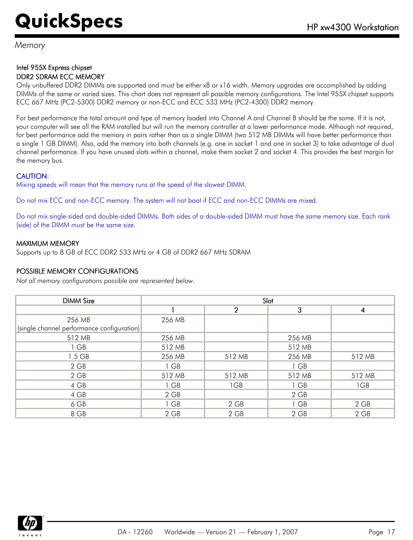*Memory*

#### Intel 955X Express chipset DDR2 SDRAM ECC MEMORY

Only unbuffered DDR2 DIMMs are supported and must be either x8 or x16 width. Memory upgrades are accomplished by adding DIMMs of the same or varied sizes. This chart does not represent all possible memory configurations. The Intel 955X chipset supports ECC 667 MHz (PC2-5300) DDR2 memory or non-ECC and ECC 533 MHz (PC2-4300) DDR2 memory.

For best performance the total amount and type of memory loaded into Channel A and Channel B should be the same. If it is not, your computer will see all the RAM installed but will run the memory controller at a lower performance mode. Although not required, for best performance add the memory in pairs rather than as a single DIMM (two 512 MB DIMMs will have better performance than a single 1 GB DIMM). Also, add the memory into both channels (e.g. one in socket 1 and one in socket 3) to take advantage of dual channel performance. If you have unused slots within a channel, make them socket 2 and socket 4. This provides the best margin for the memory bus.

### CAUTION:

Mixing speeds will mean that the memory runs at the speed of the slowest DIMM.

Do not mix ECC and non-ECC memory. The system will not boot if ECC and non-ECC DIMMs are mixed.

Do not mix single-sided and double-sided DIMMs. Both sides of a double-sided DIMM must have the same memory size. Each rank (side) of the DIMM must be the same size.

### MAXIMUM MEMORY

Supports up to 8 GB of ECC DDR2 533 MHz or 4 GB of DDR2 667 MHz SDRAM

### POSSIBLE MEMORY CONFIGURATIONS

*Not all memory configurations possible are represented below.*

| <b>DIMM Size</b>                           | Slot   |                |        |        |
|--------------------------------------------|--------|----------------|--------|--------|
|                                            |        | $\overline{2}$ | 3      | 4      |
| 256 MB                                     | 256 MB |                |        |        |
| (single channel performance configuration) |        |                |        |        |
| 512 MB                                     | 256 MB |                | 256 MB |        |
| 1 GB                                       | 512 MB |                | 512 MB |        |
| 1.5 GB                                     | 256 MB | 512 MB         | 256 MB | 512 MB |
| $2$ GB                                     | 1 GB   |                | 1 GB   |        |
| $2$ GB                                     | 512 MB | 512 MB         | 512 MB | 512 MB |
| 4 GB                                       | 1 GB   | 1GB            | 1 GB   | 1GB    |
| 4 GB                                       | 2 GB   |                | 2 GB   |        |
| 6 GB                                       | 1 GB   | 2 GB           | 1 GB   | 2 GB   |
| 8 GB                                       | $2$ GB | 2 GB           | $2$ GB | 2 GB   |

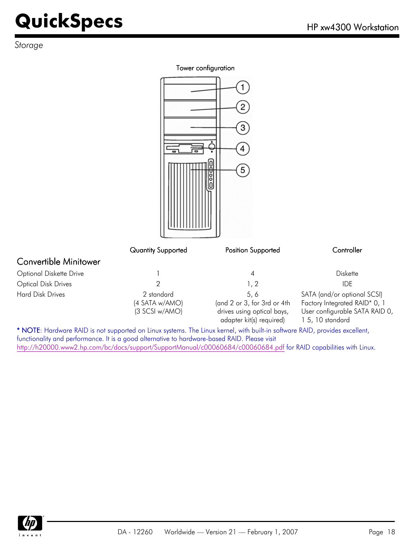*Storage*

#### Tower configuration

n

Æ

|                              |                                                | 3<br>4<br>5                                                                                  |                                                                                                                    |
|------------------------------|------------------------------------------------|----------------------------------------------------------------------------------------------|--------------------------------------------------------------------------------------------------------------------|
|                              | Quantity Supported                             | Position Supported                                                                           | Controller                                                                                                         |
| <b>Convertible Minitower</b> |                                                |                                                                                              |                                                                                                                    |
| Optional Diskette Drive      |                                                | 4                                                                                            | <b>Diskette</b>                                                                                                    |
| <b>Optical Disk Drives</b>   | $\overline{2}$                                 | 1, 2                                                                                         | <b>IDE</b>                                                                                                         |
| <b>Hard Disk Drives</b>      | 2 standard<br>(4 SATA w/AMO)<br>(3 SCSI w/AMO) | 5,6<br>(and 2 or 3, for 3rd or 4th<br>drives using optical bays,<br>adapter kit(s) required) | SATA (and/or optional SCSI)<br>Factory Integrated RAID* 0, 1<br>User configurable SATA RAID 0,<br>1 5, 10 standard |

\* NOTE: Hardware RAID is not supported on Linux systems. The Linux kernel, with built-in software RAID, provides excellent, functionality and performance. It is a good alternative to hardware-based RAID. Please visit <http://h20000.www2.hp.com/bc/docs/support/SupportManual/c00060684/c00060684.pdf> for RAID capabilities with Linux.

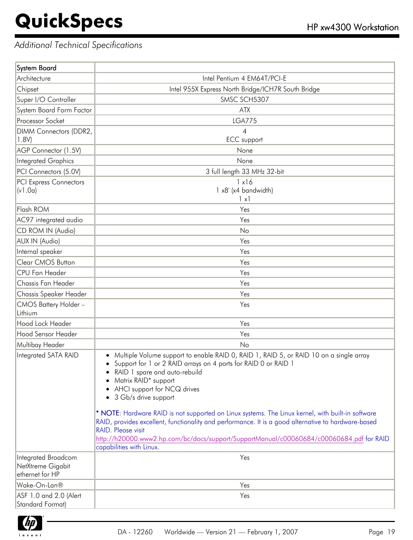### *Additional Technical Specifications*

| System Board                                                |                                                                                                                                                                                                                                                                                                                                                        |
|-------------------------------------------------------------|--------------------------------------------------------------------------------------------------------------------------------------------------------------------------------------------------------------------------------------------------------------------------------------------------------------------------------------------------------|
| Architecture                                                | Intel Pentium 4 EM64T/PCI-E                                                                                                                                                                                                                                                                                                                            |
| Chipset                                                     | Intel 955X Express North Bridge/ICH7R South Bridge                                                                                                                                                                                                                                                                                                     |
| Super I/O Controller                                        | SMSC SCH5307                                                                                                                                                                                                                                                                                                                                           |
| System Board Form Factor                                    | <b>ATX</b>                                                                                                                                                                                                                                                                                                                                             |
| Processor Socket                                            | <b>LGA775</b>                                                                                                                                                                                                                                                                                                                                          |
| DIMM Connectors (DDR2,                                      | $\overline{4}$                                                                                                                                                                                                                                                                                                                                         |
| 1.8V                                                        | <b>ECC</b> support                                                                                                                                                                                                                                                                                                                                     |
| AGP Connector (1.5V)                                        | None                                                                                                                                                                                                                                                                                                                                                   |
| <b>Integrated Graphics</b>                                  | None                                                                                                                                                                                                                                                                                                                                                   |
| PCI Connectors (5.0V)                                       | 3 full length 33 MHz 32-bit                                                                                                                                                                                                                                                                                                                            |
| <b>PCI Express Connectors</b>                               | 1x16                                                                                                                                                                                                                                                                                                                                                   |
| (v1.0a)                                                     | 1 x8' (x4 bandwidth)<br>$\lceil x \rceil$                                                                                                                                                                                                                                                                                                              |
| Flash ROM                                                   | Yes                                                                                                                                                                                                                                                                                                                                                    |
| AC97 integrated audio                                       | Yes                                                                                                                                                                                                                                                                                                                                                    |
| CD ROM IN (Audio)                                           | No                                                                                                                                                                                                                                                                                                                                                     |
| <b>AUX IN (Audio)</b>                                       | Yes                                                                                                                                                                                                                                                                                                                                                    |
| Internal speaker                                            | Yes                                                                                                                                                                                                                                                                                                                                                    |
| Clear CMOS Button                                           | Yes                                                                                                                                                                                                                                                                                                                                                    |
| <b>CPU Fan Header</b>                                       | Yes                                                                                                                                                                                                                                                                                                                                                    |
| Chassis Fan Header                                          | Yes                                                                                                                                                                                                                                                                                                                                                    |
| Chassis Speaker Header                                      | Yes                                                                                                                                                                                                                                                                                                                                                    |
| CMOS Battery Holder-                                        | Yes                                                                                                                                                                                                                                                                                                                                                    |
| Lithium                                                     |                                                                                                                                                                                                                                                                                                                                                        |
| Hood Lock Header                                            | Yes                                                                                                                                                                                                                                                                                                                                                    |
| Hood Sensor Header                                          | Yes                                                                                                                                                                                                                                                                                                                                                    |
| Multibay Header                                             | N <sub>o</sub>                                                                                                                                                                                                                                                                                                                                         |
| Integrated SATA RAID                                        | Multiple Volume support to enable RAID 0, RAID 1, RAID 5, or RAID 10 on a single array<br>$\bullet$<br>Support for 1 or 2 RAID arrays on 4 ports for RAID 0 or RAID 1<br>RAID 1 spare and auto-rebuild<br>Matrix RAID* support<br>• AHCI support for NCQ drives<br>3 Gb/s drive support<br>٠                                                           |
|                                                             | * NOTE: Hardware RAID is not supported on Linux systems. The Linux kernel, with built-in software<br>RAID, provides excellent, functionality and performance. It is a good alternative to hardware-based<br>RAID. Please visit<br>http://h20000.www2.hp.com/bc/docs/support/SupportManual/c00060684/c00060684.pdf for RAID<br>capabilities with Linux. |
| Integrated Broadcom<br>NetXtreme Gigabit<br>ethernet for HP | Yes                                                                                                                                                                                                                                                                                                                                                    |
| Wake-On-Lan®                                                | Yes                                                                                                                                                                                                                                                                                                                                                    |
| ASF 1.0 and 2.0 (Alert<br>Standard Format)                  | Yes                                                                                                                                                                                                                                                                                                                                                    |

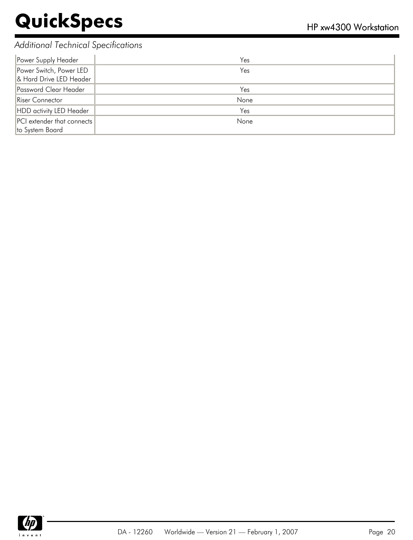### *Additional Technical Specifications*

| Power Supply Header                                  | Yes  |
|------------------------------------------------------|------|
| Power Switch, Power LED<br>& Hard Drive LED Header   | Yes  |
| Password Clear Header                                | Yes  |
| Riser Connector                                      | None |
| HDD activity LED Header                              | Yes  |
| <b>PCI</b> extender that connects<br>to System Board | None |

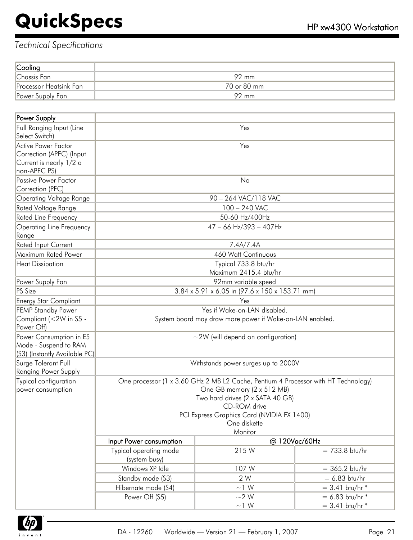| Cooling                |             |
|------------------------|-------------|
| Chassis Fan            | 92 mm       |
| Processor Heatsink Fan | 70 or 80 mm |
| Power Supply Fan       | 92 mm       |

| Power Supply                                                                                                                                                                                                                                                                                |                                         |                                                                                          |                     |
|---------------------------------------------------------------------------------------------------------------------------------------------------------------------------------------------------------------------------------------------------------------------------------------------|-----------------------------------------|------------------------------------------------------------------------------------------|---------------------|
| Full Ranging Input (Line<br>Select Switch)                                                                                                                                                                                                                                                  |                                         | Yes                                                                                      |                     |
| Active Power Factor<br>Correction (APFC) (Input                                                                                                                                                                                                                                             |                                         | Yes                                                                                      |                     |
| Current is nearly 1/2 a                                                                                                                                                                                                                                                                     |                                         |                                                                                          |                     |
| non-APFC PS)                                                                                                                                                                                                                                                                                |                                         |                                                                                          |                     |
| Passive Power Factor                                                                                                                                                                                                                                                                        |                                         | No                                                                                       |                     |
| Correction (PFC)                                                                                                                                                                                                                                                                            |                                         |                                                                                          |                     |
| <b>Operating Voltage Range</b>                                                                                                                                                                                                                                                              |                                         | 90 - 264 VAC/118 VAC                                                                     |                     |
| Rated Voltage Range                                                                                                                                                                                                                                                                         |                                         | 100 - 240 VAC                                                                            |                     |
| Rated Line Frequency                                                                                                                                                                                                                                                                        |                                         | 50-60 Hz/400Hz                                                                           |                     |
| <b>Operating Line Frequency</b><br>Range                                                                                                                                                                                                                                                    |                                         | $47 - 66$ Hz/393 - 407Hz                                                                 |                     |
| Rated Input Current                                                                                                                                                                                                                                                                         |                                         | 7.4A/7.4A                                                                                |                     |
| Maximum Rated Power                                                                                                                                                                                                                                                                         |                                         | 460 Watt Continuous                                                                      |                     |
| <b>Heat Dissipation</b>                                                                                                                                                                                                                                                                     |                                         | Typical 733.8 btu/hr                                                                     |                     |
|                                                                                                                                                                                                                                                                                             |                                         | Maximum 2415.4 btu/hr                                                                    |                     |
| Power Supply Fan                                                                                                                                                                                                                                                                            |                                         | 92mm variable speed                                                                      |                     |
| PS Size                                                                                                                                                                                                                                                                                     |                                         | 3.84 x 5.91 x 6.05 in (97.6 x 150 x 153.71 mm)                                           |                     |
| <b>Energy Star Compliant</b>                                                                                                                                                                                                                                                                |                                         | Yes                                                                                      |                     |
| <b>FEMP Standby Power</b><br>Compliant (<2W in S5 -<br>Power Off)                                                                                                                                                                                                                           |                                         | Yes if Wake-on-LAN disabled.<br>System board may draw more power if Wake-on-LAN enabled. |                     |
| Power Consumption in ES<br>Mode - Suspend to RAM<br>(S3) (Instantly Available PC)                                                                                                                                                                                                           |                                         | $\sim$ 2W (will depend on configuration)                                                 |                     |
| Surge Tolerant Full<br>Ranging Power Supply                                                                                                                                                                                                                                                 |                                         | Withstands power surges up to 2000V                                                      |                     |
| Typical configuration<br>One processor (1 x 3.60 GHz 2 MB L2 Cache, Pentium 4 Processor with HT Technology)<br>power consumption<br>One GB memory (2 x 512 MB)<br>Two hard drives (2 x SATA 40 GB)<br>CD-ROM drive<br>PCI Express Graphics Card (NVIDIA FX 1400)<br>One diskette<br>Monitor |                                         |                                                                                          |                     |
|                                                                                                                                                                                                                                                                                             | Input Power consumption                 |                                                                                          | @ 120Vac/60Hz       |
|                                                                                                                                                                                                                                                                                             | Typical operating mode<br>(system busy) | 215W                                                                                     | $= 733.8$ btu/hr    |
|                                                                                                                                                                                                                                                                                             | Windows XP Idle                         | 107 W                                                                                    | $= 365.2$ btu/hr    |
|                                                                                                                                                                                                                                                                                             | Standby mode (S3)                       | 2 W                                                                                      | $= 6.83$ btu/hr     |
|                                                                                                                                                                                                                                                                                             | Hibernate mode (S4)                     | $\sim$ 1 W                                                                               | $= 3.41$ btu/hr *   |
|                                                                                                                                                                                                                                                                                             | Power Off (S5)                          | $\sim$ 2 W                                                                               | $= 6.83$ btu/hr $*$ |
|                                                                                                                                                                                                                                                                                             |                                         | $\sim\!1\,$ W                                                                            | $= 3.41$ btu/hr *   |

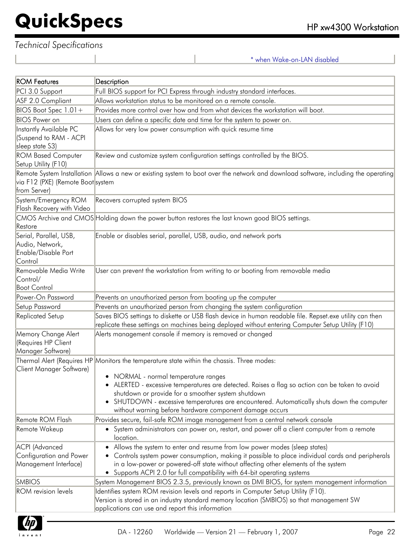### *Technical Specifications*

\* when Wake-on-LAN disabled

| <b>ROM Features</b>                                                         | Description                                                                                                                                                                                                                                                                                                                                                                                                                                       |
|-----------------------------------------------------------------------------|---------------------------------------------------------------------------------------------------------------------------------------------------------------------------------------------------------------------------------------------------------------------------------------------------------------------------------------------------------------------------------------------------------------------------------------------------|
| PCI 3.0 Support                                                             | Full BIOS support for PCI Express through industry standard interfaces.                                                                                                                                                                                                                                                                                                                                                                           |
| ASF 2.0 Compliant                                                           | Allows workstation status to be monitored on a remote console.                                                                                                                                                                                                                                                                                                                                                                                    |
| BIOS Boot Spec 1.01+                                                        | Provides more control over how and from what devices the workstation will boot.                                                                                                                                                                                                                                                                                                                                                                   |
| <b>BIOS</b> Power on                                                        | Users can define a specific date and time for the system to power on.                                                                                                                                                                                                                                                                                                                                                                             |
| Instantly Available PC<br>(Suspend to RAM - ACPI<br>sleep state S3)         | Allows for very low power consumption with quick resume time                                                                                                                                                                                                                                                                                                                                                                                      |
| <b>ROM Based Computer</b><br>Setup Utility (F10)                            | Review and customize system configuration settings controlled by the BIOS.                                                                                                                                                                                                                                                                                                                                                                        |
| via F12 (PXE) (Remote Boot system<br>from Server)                           | Remote System Installation Allows a new or existing system to boot over the network and download software, including the operating                                                                                                                                                                                                                                                                                                                |
| System/Emergency ROM<br>Flash Recovery with Video                           | Recovers corrupted system BIOS                                                                                                                                                                                                                                                                                                                                                                                                                    |
| Restore                                                                     | CMOS Archive and CMOS Holding down the power button restores the last known good BIOS settings.                                                                                                                                                                                                                                                                                                                                                   |
| Serial, Parallel, USB,<br>Audio, Network,<br>Enable/Disable Port<br>Control | Enable or disables serial, parallel, USB, audio, and network ports                                                                                                                                                                                                                                                                                                                                                                                |
| Removable Media Write<br>Control/<br><b>Boot Control</b>                    | User can prevent the workstation from writing to or booting from removable media                                                                                                                                                                                                                                                                                                                                                                  |
| Power-On Password                                                           | Prevents an unauthorized person from booting up the computer                                                                                                                                                                                                                                                                                                                                                                                      |
| Setup Password                                                              | Prevents an unauthorized person from changing the system configuration                                                                                                                                                                                                                                                                                                                                                                            |
| Replicated Setup                                                            | Saves BIOS settings to diskette or USB flash device in human readable file. Repset.exe utility can then<br>replicate these settings on machines being deployed without entering Computer Setup Utility (F10)                                                                                                                                                                                                                                      |
| Memory Change Alert<br><b>Requires HP Client</b><br>Manager Software)       | Alerts management console if memory is removed or changed                                                                                                                                                                                                                                                                                                                                                                                         |
| Client Manager Software)                                                    | Thermal Alert (Requires HP Monitors the temperature state within the chassis. Three modes:<br>• NORMAL - normal temperature ranges<br>• ALERTED - excessive temperatures are detected. Raises a flag so action can be taken to avoid<br>shutdown or provide for a smoother system shutdown<br>SHUTDOWN - excessive temperatures are encountered. Automatically shuts down the computer<br>without warning before hardware component damage occurs |
| Remote ROM Flash                                                            | Provides secure, fail-safe ROM image management from a central network console                                                                                                                                                                                                                                                                                                                                                                    |
| Remote Wakeup                                                               | • System administrators can power on, restart, and power off a client computer from a remote<br>location.                                                                                                                                                                                                                                                                                                                                         |
| ACPI (Advanced<br>Configuration and Power<br>Management Interface)          | Allows the system to enter and resume from low power modes (sleep states)<br>Controls system power consumption, making it possible to place individual cards and peripherals<br>in a low-power or powered-off state without affecting other elements of the system<br>• Supports ACPI 2.0 for full compatibility with 64-bit operating systems                                                                                                    |
| <b>SMBIOS</b>                                                               | System Management BIOS 2.3.5, previously known as DMI BIOS, for system management information                                                                                                                                                                                                                                                                                                                                                     |
| <b>ROM</b> revision levels                                                  | Identifies system ROM revision levels and reports in Computer Setup Utility (F10).<br>Version is stored in an industry standard memory location (SMBIOS) so that management SW<br>applications can use and report this information                                                                                                                                                                                                                |

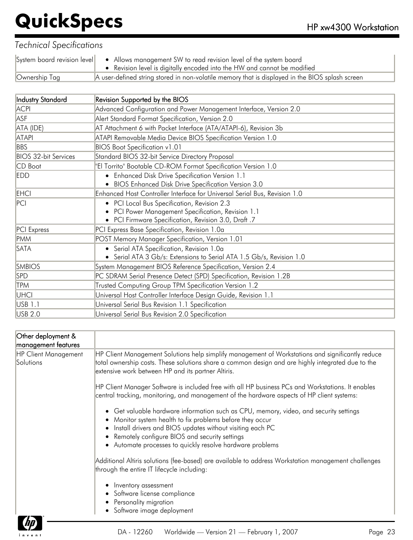|               | System board revision level • Allows management SW to read revision level of the system board<br>• Revision level is digitally encoded into the HW and cannot be modified |
|---------------|---------------------------------------------------------------------------------------------------------------------------------------------------------------------------|
| Ownership Tag | A user-defined string stored in non-volatile memory that is displayed in the BIOS splash screen                                                                           |

| Industry Standard           | Revision Supported by the BIOS                                            |
|-----------------------------|---------------------------------------------------------------------------|
| <b>ACPI</b>                 | Advanced Configuration and Power Management Interface, Version 2.0        |
| ASF                         | Alert Standard Format Specification, Version 2.0                          |
| ATA (IDE)                   | AT Attachment 6 with Packet Interface (ATA/ATAPI-6), Revision 3b          |
| <b>ATAPI</b>                | ATAPI Removable Media Device BIOS Specification Version 1.0               |
| <b>BBS</b>                  | <b>BIOS Boot Specification v1.01</b>                                      |
| <b>BIOS 32-bit Services</b> | Standard BIOS 32-bit Service Directory Proposal                           |
| CD Boot                     | 'El Torrito" Bootable CD-ROM Format Specification Version 1.0             |
| <b>EDD</b>                  | • Enhanced Disk Drive Specification Version 1.1                           |
|                             | • BIOS Enhanced Disk Drive Specification Version 3.0                      |
| <b>EHCI</b>                 | Enhanced Host Controller Interface for Universal Serial Bus, Revision 1.0 |
| PCI                         | • PCI Local Bus Specification, Revision 2.3                               |
|                             | • PCI Power Management Specification, Revision 1.1                        |
|                             | • PCI Firmware Specification, Revision 3.0, Draft .7                      |
| PCI Express                 | PCI Express Base Specification, Revision 1.0a                             |
| <b>PMM</b>                  | POST Memory Manager Specification, Version 1.01                           |
| <b>SATA</b>                 | • Serial ATA Specification, Revision 1.0a                                 |
|                             | • Serial ATA 3 Gb/s: Extensions to Serial ATA 1.5 Gb/s, Revision 1.0      |
| <b>SMBIOS</b>               | System Management BIOS Reference Specification, Version 2.4               |
| <b>SPD</b>                  | PC SDRAM Serial Presence Detect (SPD) Specification, Revision 1.2B        |
| <b>TPM</b>                  | Trusted Computing Group TPM Specification Version 1.2                     |
| UHCI                        | Universal Host Controller Interface Design Guide, Revision 1.1            |
| USB 1.1                     | Universal Serial Bus Revision 1.1 Specification                           |
| USB 2.0                     | Universal Serial Bus Revision 2.0 Specification                           |

| Other deployment &<br>management features |                                                                                                                                                                                                                                                                                                                              |
|-------------------------------------------|------------------------------------------------------------------------------------------------------------------------------------------------------------------------------------------------------------------------------------------------------------------------------------------------------------------------------|
| <b>HP Client Management</b><br>Solutions  | HP Client Management Solutions help simplify management of Workstations and significantly reduce<br>total ownership costs. These solutions share a common design and are highly integrated due to the<br>extensive work between HP and its partner Altiris.                                                                  |
|                                           | HP Client Manager Software is included free with all HP business PCs and Workstations. It enables<br>central tracking, monitoring, and management of the hardware aspects of HP client systems:                                                                                                                              |
|                                           | Get valuable hardware information such as CPU, memory, video, and security settings<br>Monitor system health to fix problems before they occur<br>Install drivers and BIOS updates without visiting each PC<br>Remotely configure BIOS and security settings<br>Automate processes to quickly resolve hardware problems<br>٠ |
|                                           | Additional Altiris solutions (fee-based) are available to address Workstation management challenges<br>through the entire IT lifecycle including:                                                                                                                                                                            |
|                                           | Inventory assessment<br>Software license compliance<br>Personality migration<br>Software image deployment<br>$\bullet$                                                                                                                                                                                                       |

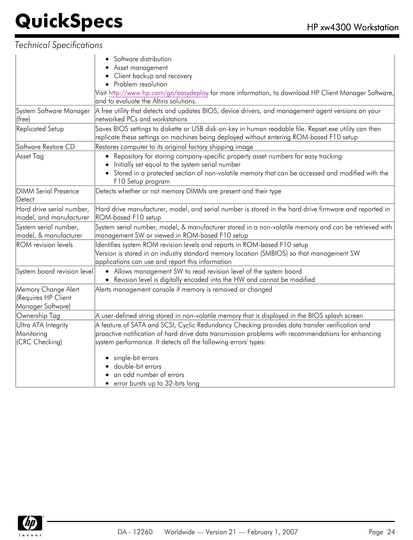|                                                                       | Software distribution<br>Asset management<br>Client backup and recovery                                                                                                                                                                |
|-----------------------------------------------------------------------|----------------------------------------------------------------------------------------------------------------------------------------------------------------------------------------------------------------------------------------|
|                                                                       | Problem resolution                                                                                                                                                                                                                     |
|                                                                       | Visit http://www.hp.com/go/easydeploy for more information, to download HP Client Manager Software,<br>and to evaluate the Altiris solutions.                                                                                          |
| System Software Manager<br>$ $ (free)                                 | A free utility that detects and updates BIOS, device drivers, and management agent versions on your<br>networked PCs and workstations                                                                                                  |
| <b>Replicated Setup</b>                                               | Saves BIOS settings to diskette or USB disk-on-key in human readable file. Repset.exe utility can then<br>replicate these settings on machines being deployed without entering ROM-based F10 setup                                     |
| Software Restore CD                                                   | Restores computer to its original factory shipping image                                                                                                                                                                               |
| Asset Tag                                                             | Repository for storing company-specific property asset numbers for easy tracking<br>Initially set equal to the system serial number<br>Stored in a protected section of non-volatile memory that can be accessed and modified with the |
|                                                                       | F10 Setup program                                                                                                                                                                                                                      |
| <b>DIMM Serial Presence</b><br>Detect                                 | Detects whether or not memory DIMMs are present and their type                                                                                                                                                                         |
| Hard drive serial number,<br>model, and manufacturer                  | Hard drive manufacturer, model, and serial number is stored in the hard drive firmware and reported in<br>ROM-based F10 setup                                                                                                          |
| System serial number,<br>model, & manufacturer                        | System serial number, model, & manufacturer stored in a non-volatile memory and can be retrieved with<br>management SW or viewed in ROM-based F10 setup                                                                                |
| <b>ROM</b> revision levels                                            | Identifies system ROM revision levels and reports in ROM-based F10 setup<br>Version is stored in an industry standard memory location (SMBIOS) so that management SW<br>applications can use and report this information               |
| System board revision level                                           | • Allows management SW to read revision level of the system board<br>• Revision level is digitally encoded into the HW and cannot be modified                                                                                          |
| Memory Change Alert<br><b>Requires HP Client</b><br>Manager Software) | Alerts management console if memory is removed or changed                                                                                                                                                                              |
| Ownership Tag                                                         | A user-defined string stored in non-volatile memory that is displayed in the BIOS splash screen                                                                                                                                        |
| Ultra ATA Integrity                                                   | A feature of SATA and SCSI, Cyclic Redundancy Checking provides data transfer verification and                                                                                                                                         |
| Monitoring                                                            | proactive notification of hard drive data transmission problems with recommendations for enhancing                                                                                                                                     |
| (CRC Checking)                                                        | system performance. It detects all the following errors' types:                                                                                                                                                                        |
|                                                                       | single-bit errors                                                                                                                                                                                                                      |
|                                                                       | double-bit errors                                                                                                                                                                                                                      |
|                                                                       | an odd number of errors                                                                                                                                                                                                                |
|                                                                       | • error bursts up to 32-bits long                                                                                                                                                                                                      |

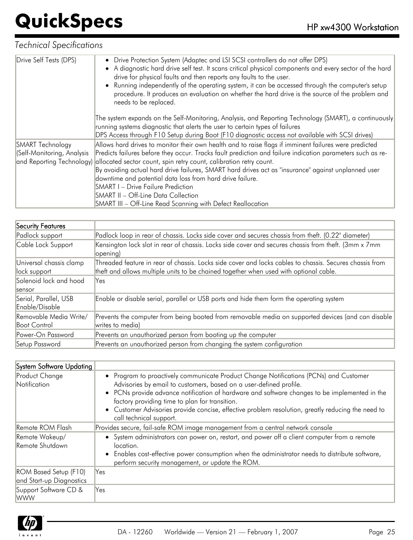| Drive Self Tests (DPS)     | • Drive Protection System (Adaptec and LSI SCSI controllers do not offer DPS)<br>• A diagnostic hard drive self test. It scans critical physical components and every sector of the hard<br>drive for physical faults and then reports any faults to the user.<br>• Running independently of the operating system, it can be accessed through the computer's setup<br>procedure. It produces an evaluation on whether the hard drive is the source of the problem and<br>needs to be replaced. |
|----------------------------|------------------------------------------------------------------------------------------------------------------------------------------------------------------------------------------------------------------------------------------------------------------------------------------------------------------------------------------------------------------------------------------------------------------------------------------------------------------------------------------------|
|                            | The system expands on the Self-Monitoring, Analysis, and Reporting Technology (SMART), a continuously<br>running systems diagnostic that alerts the user to certain types of failures                                                                                                                                                                                                                                                                                                          |
|                            | DPS Access through F10 Setup during Boot (F10 diagnostic access not available with SCSI drives)                                                                                                                                                                                                                                                                                                                                                                                                |
| SMART Technology           | Allows hard drives to monitor their own health and to raise flags if imminent failures were predicted                                                                                                                                                                                                                                                                                                                                                                                          |
| (Self-Monitoring, Analysis | Predicts failures before they occur. Tracks fault prediction and failure indication parameters such as re-                                                                                                                                                                                                                                                                                                                                                                                     |
|                            | and Reporting Technology) allocated sector count, spin retry count, calibration retry count.                                                                                                                                                                                                                                                                                                                                                                                                   |
|                            | By avoiding actual hard drive failures, SMART hard drives act as "insurance" against unplanned user                                                                                                                                                                                                                                                                                                                                                                                            |
|                            | downtime and potential data loss from hard drive failure.                                                                                                                                                                                                                                                                                                                                                                                                                                      |
|                            | SMART I - Drive Failure Prediction                                                                                                                                                                                                                                                                                                                                                                                                                                                             |
|                            | SMART II - Off-Line Data Collection                                                                                                                                                                                                                                                                                                                                                                                                                                                            |
|                            | SMART III - Off-Line Read Scanning with Defect Reallocation                                                                                                                                                                                                                                                                                                                                                                                                                                    |

| Security Features                        |                                                                                                                                                                                                  |
|------------------------------------------|--------------------------------------------------------------------------------------------------------------------------------------------------------------------------------------------------|
| Padlock support                          | Padlock loop in rear of chassis. Locks side cover and secures chassis from theft. (0.22" diameter)                                                                                               |
| Cable Lock Support                       | Kensington lock slot in rear of chassis. Locks side cover and secures chassis from theft. (3mm x 7mm<br>opening)                                                                                 |
| Universal chassis clamp<br>llock support | Threaded feature in rear of chassis. Locks side cover and locks cables to chassis. Secures chassis from<br>theft and allows multiple units to be chained together when used with optional cable. |
| Solenoid lock and hood<br>sensor         | Yes                                                                                                                                                                                              |
| Serial, Parallel, USB<br>Enable/Disable  | Enable or disable serial, parallel or USB ports and hide them form the operating system                                                                                                          |
| Removable Media Write/<br>Boot Control   | Prevents the computer from being booted from removable media on supported devices (and can disable<br>writes to media)                                                                           |
| Power-On Password                        | Prevents an unauthorized person from booting up the computer                                                                                                                                     |
| Setup Password                           | Prevents an unauthorized person from changing the system configuration                                                                                                                           |

| System Software Updating                                 |                                                                                                                                                                                                                                                                                                                                                                                                                                                |
|----------------------------------------------------------|------------------------------------------------------------------------------------------------------------------------------------------------------------------------------------------------------------------------------------------------------------------------------------------------------------------------------------------------------------------------------------------------------------------------------------------------|
| <b>Product Change</b><br>Notification                    | • Program to proactively communicate Product Change Notifications (PCNs) and Customer<br>Advisories by email to customers, based on a user-defined profile.<br>• PCNs provide advance notification of hardware and software changes to be implemented in the<br>factory providing time to plan for transition.<br>• Customer Advisories provide concise, effective problem resolution, greatly reducing the need to<br>call technical support. |
| Remote ROM Flash                                         | Provides secure, fail-safe ROM image management from a central network console                                                                                                                                                                                                                                                                                                                                                                 |
| Remote Wakeup/<br>Remote Shutdown                        | • System administrators can power on, restart, and power off a client computer from a remote<br>location.<br>Enables cost-effective power consumption when the administrator needs to distribute software,<br>perform security management, or update the ROM.                                                                                                                                                                                  |
| <b>ROM Based Setup (F10)</b><br>and Start-up Diagnostics | Yes                                                                                                                                                                                                                                                                                                                                                                                                                                            |
| Support Software CD &<br><b>WWW</b>                      | Yes                                                                                                                                                                                                                                                                                                                                                                                                                                            |

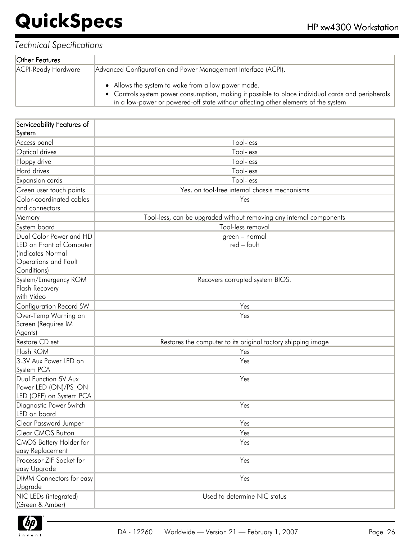| Other Features      |                                                                                                                                                                                                                                               |
|---------------------|-----------------------------------------------------------------------------------------------------------------------------------------------------------------------------------------------------------------------------------------------|
| ACPI-Ready Hardware | Advanced Configuration and Power Management Interface (ACPI).                                                                                                                                                                                 |
|                     | • Allows the system to wake from a low power mode.<br>• Controls system power consumption, making it possible to place individual cards and peripherals<br>in a low-power or powered-off state without affecting other elements of the system |

| Serviceability Features of                                                                                      |                                                                     |
|-----------------------------------------------------------------------------------------------------------------|---------------------------------------------------------------------|
| System                                                                                                          |                                                                     |
| Access panel                                                                                                    | Tool-less                                                           |
| Optical drives                                                                                                  | Tool-less                                                           |
| Floppy drive                                                                                                    | Tool-less                                                           |
| Hard drives                                                                                                     | Tool-less                                                           |
| <b>Expansion cards</b>                                                                                          | Tool-less                                                           |
| Green user touch points                                                                                         | Yes, on tool-free internal chassis mechanisms                       |
| Color-coordinated cables                                                                                        | Yes                                                                 |
| and connectors                                                                                                  |                                                                     |
| Memory                                                                                                          | Tool-less, can be upgraded without removing any internal components |
| System board                                                                                                    | Tool-less removal                                                   |
| Dual Color Power and HD<br>LED on Front of Computer<br>(Indicates Normal<br>Operations and Fault<br>Conditions) | green - normal<br>red – fault                                       |
| System/Emergency ROM<br><b>Flash Recovery</b><br>with Video                                                     | Recovers corrupted system BIOS.                                     |
| Configuration Record SW                                                                                         | Yes                                                                 |
| Over-Temp Warning on<br>Screen (Requires IM<br>Agents)                                                          | Yes                                                                 |
| Restore CD set                                                                                                  | Restores the computer to its original factory shipping image        |
| Flash ROM                                                                                                       | Yes                                                                 |
| 3.3V Aux Power LED on<br>System PCA                                                                             | Yes                                                                 |
| Dual Function 5V Aux<br>Power LED (ON)/PS ON<br>LED (OFF) on System PCA                                         | Yes                                                                 |
| Diagnostic Power Switch<br>LED on board                                                                         | Yes                                                                 |
| Clear Password Jumper                                                                                           | Yes                                                                 |
| Clear CMOS Button                                                                                               | Yes                                                                 |
| <b>CMOS Battery Holder for</b>                                                                                  | Yes                                                                 |
| easy Replacement                                                                                                |                                                                     |
| Processor ZIF Socket for                                                                                        | Yes                                                                 |
| easy Upgrade                                                                                                    |                                                                     |
| <b>DIMM</b> Connectors for easy<br>Upgrade                                                                      | Yes                                                                 |
| NIC LEDs (integrated)<br>(Green & Amber)                                                                        | Used to determine NIC status                                        |

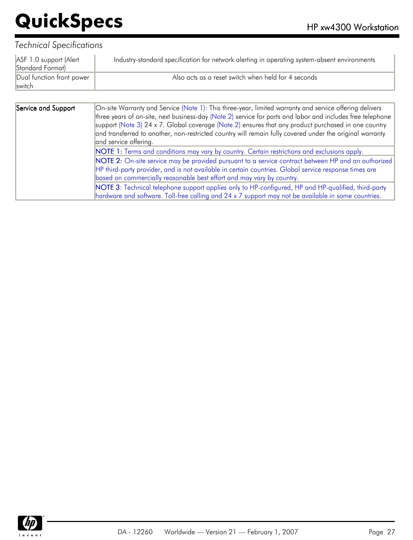| ASF 1.0 support (Alert<br>Standard Format) | Industry-standard specification for network alerting in operating system-absent environments |
|--------------------------------------------|----------------------------------------------------------------------------------------------|
| Dual function front power<br><b>Switch</b> | Also acts as a reset switch when held for 4 seconds                                          |

| Service and Support | On-site Warranty and Service (Note 1): This three-year, limited warranty and service offering delivers<br>three years of on-site, next business-day (Note 2) service for parts and labor and includes free telephone<br>support (Note 3) 24 x 7. Global coverage (Note 2) ensures that any product purchased in one country<br>and transferred to another, non-restricted country will remain fully covered under the original warranty<br>and service offering. |
|---------------------|------------------------------------------------------------------------------------------------------------------------------------------------------------------------------------------------------------------------------------------------------------------------------------------------------------------------------------------------------------------------------------------------------------------------------------------------------------------|
|                     | NOTE 1: Terms and conditions may vary by country. Certain restrictions and exclusions apply.                                                                                                                                                                                                                                                                                                                                                                     |
|                     |                                                                                                                                                                                                                                                                                                                                                                                                                                                                  |
|                     | NOTE 2: On-site service may be provided pursuant to a service contract between HP and an authorized                                                                                                                                                                                                                                                                                                                                                              |
|                     | HP third-party provider, and is not available in certain countries. Global service response times are                                                                                                                                                                                                                                                                                                                                                            |
|                     | based on commercially reasonable best effort and may vary by country.                                                                                                                                                                                                                                                                                                                                                                                            |
|                     | NOTE 3: Technical telephone support applies only to HP-configured, HP and HP-qualified, third-party                                                                                                                                                                                                                                                                                                                                                              |
|                     | hardware and software. Toll-free calling and 24 x 7 support may not be available in some countries.                                                                                                                                                                                                                                                                                                                                                              |

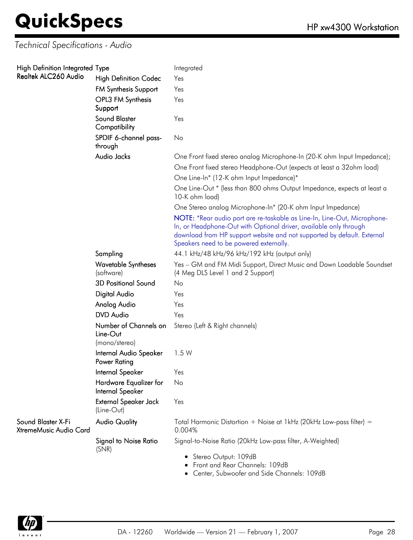### *Technical Specifications - Audio*

| High Definition Integrated Type              |                                                    | Integrated                                                                                                                                                                                                                                                          |
|----------------------------------------------|----------------------------------------------------|---------------------------------------------------------------------------------------------------------------------------------------------------------------------------------------------------------------------------------------------------------------------|
| Realtek ALC260 Audio                         | <b>High Definition Codec</b>                       | Yes                                                                                                                                                                                                                                                                 |
|                                              | <b>FM Synthesis Support</b>                        | Yes                                                                                                                                                                                                                                                                 |
|                                              | OPL3 FM Synthesis<br>Support                       | Yes                                                                                                                                                                                                                                                                 |
|                                              | <b>Sound Blaster</b><br>Compatibility              | Yes                                                                                                                                                                                                                                                                 |
|                                              | SPDIF 6-channel pass-<br>through                   | No                                                                                                                                                                                                                                                                  |
|                                              | Audio Jacks                                        | One Front fixed stereo analog Microphone-In (20-K ohm Input Impedance);                                                                                                                                                                                             |
|                                              |                                                    | One Front fixed stereo Headphone-Out (expects at least a 32ohm load)                                                                                                                                                                                                |
|                                              |                                                    | One Line-In* (12-K ohm Input Impedance)*                                                                                                                                                                                                                            |
|                                              |                                                    | One Line-Out * (less than 800 ohms Output Impedance, expects at least a<br>10-K ohm load)                                                                                                                                                                           |
|                                              |                                                    | One Stereo analog Microphone-In* (20-K ohm Input Impedance)                                                                                                                                                                                                         |
|                                              |                                                    | NOTE: *Rear audio port are re-taskable as Line-In, Line-Out, Microphone-<br>In, or Headphone-Out with Optional driver, available only through<br>download from HP support website and not supported by default. External<br>Speakers need to be powered externally. |
|                                              | Sampling                                           | 44.1 kHz/48 kHz/96 kHz/192 kHz (output only)                                                                                                                                                                                                                        |
|                                              | <b>Wavetable Syntheses</b><br>(software)           | Yes - GM and FM Midi Support, Direct Music and Down Loadable Soundset<br>(4 Meg DLS Level 1 and 2 Support)                                                                                                                                                          |
|                                              | <b>3D Positional Sound</b>                         | No                                                                                                                                                                                                                                                                  |
|                                              | Digital Audio                                      | Yes                                                                                                                                                                                                                                                                 |
|                                              | Analog Audio                                       | Yes                                                                                                                                                                                                                                                                 |
|                                              | <b>DVD</b> Audio                                   | Yes                                                                                                                                                                                                                                                                 |
|                                              | Number of Channels on<br>Line-Out<br>(mono/stereo) | Stereo (Left & Right channels)                                                                                                                                                                                                                                      |
|                                              | Internal Audio Speaker<br>Power Rating             | 1.5W                                                                                                                                                                                                                                                                |
|                                              | Internal Speaker                                   | Yes                                                                                                                                                                                                                                                                 |
|                                              | Hardware Equalizer for<br>Internal Speaker         | No                                                                                                                                                                                                                                                                  |
|                                              | External Speaker Jack<br>(Line-Out)                | Yes                                                                                                                                                                                                                                                                 |
| Sound Blaster X-Fi<br>XtremeMusic Audio Card | <b>Audio Quality</b>                               | Total Harmonic Distortion + Noise at 1kHz (20kHz Low-pass filter) =<br>0.004%                                                                                                                                                                                       |
|                                              | <b>Signal to Noise Ratio</b><br>(SNR)              | Signal-to-Noise Ratio (20kHz Low-pass filter, A-Weighted)                                                                                                                                                                                                           |
|                                              |                                                    | • Stereo Output: 109dB<br>Front and Rear Channels: 109dB                                                                                                                                                                                                            |

Center, Subwoofer and Side Channels: 109dB

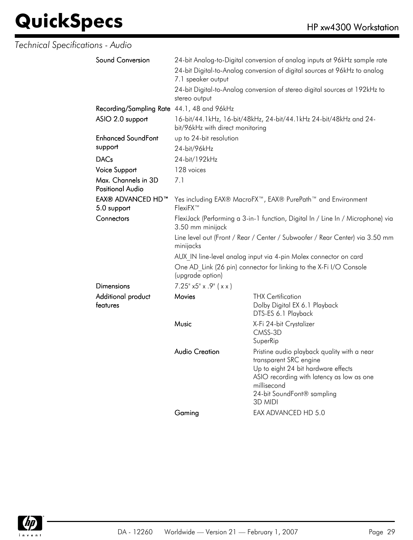### *Technical Specifications - Audio*

| Sound Conversion                               | 24-bit Analog-to-Digital conversion of analog inputs at 96kHz sample rate<br>24-bit Digital-to-Analog conversion of digital sources at 96kHz to analog<br>7.1 speaker output                     |                                                                                                                                                                                                                   |  |  |
|------------------------------------------------|--------------------------------------------------------------------------------------------------------------------------------------------------------------------------------------------------|-------------------------------------------------------------------------------------------------------------------------------------------------------------------------------------------------------------------|--|--|
|                                                | 24-bit Digital-to-Analog conversion of stereo digital sources at 192kHz to<br>stereo output                                                                                                      |                                                                                                                                                                                                                   |  |  |
| Recording/Sampling Rate 44.1, 48 and 96kHz     |                                                                                                                                                                                                  |                                                                                                                                                                                                                   |  |  |
| ASIO 2.0 support                               | 16-bit/44.1kHz, 16-bit/48kHz, 24-bit/44.1kHz 24-bit/48kHz and 24-<br>bit/96kHz with direct monitoring                                                                                            |                                                                                                                                                                                                                   |  |  |
| <b>Enhanced SoundFont</b>                      | up to 24-bit resolution                                                                                                                                                                          |                                                                                                                                                                                                                   |  |  |
| support                                        | 24-bit/96kHz                                                                                                                                                                                     |                                                                                                                                                                                                                   |  |  |
| <b>DACs</b>                                    | 24-bit/192kHz                                                                                                                                                                                    |                                                                                                                                                                                                                   |  |  |
| Voice Support                                  | 128 voices                                                                                                                                                                                       |                                                                                                                                                                                                                   |  |  |
| Max. Channels in 3D<br><b>Positional Audio</b> | 7.1                                                                                                                                                                                              |                                                                                                                                                                                                                   |  |  |
| <b>EAX® ADVANCED HD™</b><br>5.0 support        | Yes including EAX® MacroFX <sup>™</sup> , EAX® PurePath <sup>™</sup> and Environment<br>FlexiFX™                                                                                                 |                                                                                                                                                                                                                   |  |  |
| Connectors                                     | FlexiJack (Performing a 3-in-1 function, Digital In / Line In / Microphone) via<br>3.50 mm minijack<br>Line level out (Front / Rear / Center / Subwoofer / Rear Center) via 3.50 mm<br>minijacks |                                                                                                                                                                                                                   |  |  |
|                                                |                                                                                                                                                                                                  |                                                                                                                                                                                                                   |  |  |
|                                                | AUX IN line-level analog input via 4-pin Molex connector on card                                                                                                                                 |                                                                                                                                                                                                                   |  |  |
|                                                | One AD Link (26 pin) connector for linking to the X-Fi I/O Console<br>(upgrade option)                                                                                                           |                                                                                                                                                                                                                   |  |  |
| Dimensions                                     | $7.25^{\circ}$ x5" x .9" ( x x )                                                                                                                                                                 |                                                                                                                                                                                                                   |  |  |
| Additional product<br>features                 | Movies                                                                                                                                                                                           | <b>THX Certification</b><br>Dolby Digital EX 6.1 Playback<br>DTS-ES 6.1 Playback                                                                                                                                  |  |  |
|                                                | Music                                                                                                                                                                                            | X-Fi 24-bit Crystalizer<br>CMSS-3D<br>SuperRip                                                                                                                                                                    |  |  |
|                                                | <b>Audio Creation</b>                                                                                                                                                                            | Pristine audio playback quality with a near<br>transparent SRC engine<br>Up to eight 24 bit hardware effects<br>ASIO recording with latency as low as one<br>millisecond<br>24-bit SoundFont® sampling<br>3D MIDI |  |  |
|                                                | Gaming                                                                                                                                                                                           | EAX ADVANCED HD 5.0                                                                                                                                                                                               |  |  |

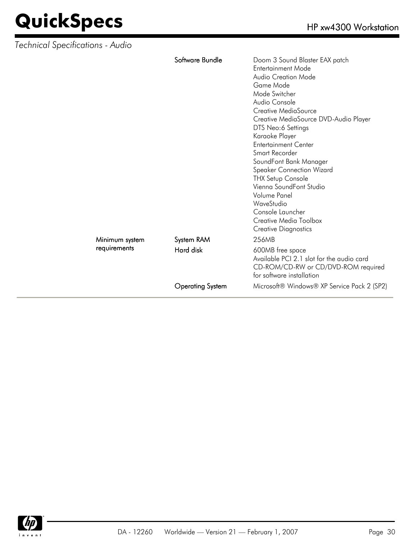| <b>Technical Specifications - Audio</b> |                         |                                                                                                                                                                                                                                                                                                                                                                                                                                                                                                                      |
|-----------------------------------------|-------------------------|----------------------------------------------------------------------------------------------------------------------------------------------------------------------------------------------------------------------------------------------------------------------------------------------------------------------------------------------------------------------------------------------------------------------------------------------------------------------------------------------------------------------|
|                                         | Software Bundle         | Doom 3 Sound Blaster EAX patch<br>Entertainment Mode<br>Audio Creation Mode<br>Game Mode<br>Mode Switcher<br>Audio Console<br>Creative MediaSource<br>Creative MediaSource DVD-Audio Player<br>DTS Neo:6 Settings<br>Karaoke Player<br><b>Entertainment Center</b><br>Smart Recorder<br>SoundFont Bank Manager<br>Speaker Connection Wizard<br><b>THX Setup Console</b><br>Vienna SoundFont Studio<br><b>Volume Panel</b><br>WaveStudio<br>Console Launcher<br>Creative Media Toolbox<br><b>Creative Diagnostics</b> |
| Minimum system                          | System RAM              | 256MB                                                                                                                                                                                                                                                                                                                                                                                                                                                                                                                |
| requirements                            | Hard disk               | 600MB free space<br>Available PCI 2.1 slot for the audio card<br>CD-ROM/CD-RW or CD/DVD-ROM required<br>for software installation                                                                                                                                                                                                                                                                                                                                                                                    |
|                                         | <b>Operating System</b> | Microsoft® Windows® XP Service Pack 2 (SP2)                                                                                                                                                                                                                                                                                                                                                                                                                                                                          |

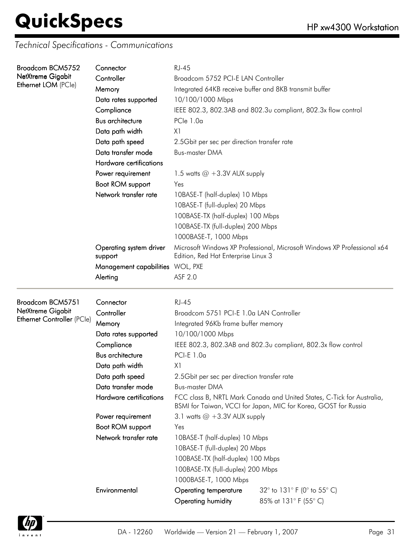*Technical Specifications - Communications*

| Broadcom BCM5752                         | Connector                                            | <b>RJ-45</b>                                                                                                    |                                                                                                                                           |  |  |
|------------------------------------------|------------------------------------------------------|-----------------------------------------------------------------------------------------------------------------|-------------------------------------------------------------------------------------------------------------------------------------------|--|--|
| NetXtreme Gigabit<br>Ethernet LOM (PCle) | Controller                                           | Broadcom 5752 PCI-E LAN Controller                                                                              |                                                                                                                                           |  |  |
|                                          | Memory                                               | Integrated 64KB receive buffer and 8KB transmit buffer                                                          |                                                                                                                                           |  |  |
|                                          | Data rates supported                                 | 10/100/1000 Mbps                                                                                                |                                                                                                                                           |  |  |
|                                          | Compliance                                           | IEEE 802.3, 802.3AB and 802.3u compliant, 802.3x flow control                                                   |                                                                                                                                           |  |  |
|                                          | <b>Bus architecture</b>                              | $PCle$ 1.0 $\alpha$                                                                                             |                                                                                                                                           |  |  |
|                                          | Data path width                                      | X <sub>1</sub>                                                                                                  |                                                                                                                                           |  |  |
|                                          | Data path speed                                      | 2.5Gbit per sec per direction transfer rate                                                                     |                                                                                                                                           |  |  |
|                                          | Data transfer mode                                   | <b>Bus-master DMA</b>                                                                                           |                                                                                                                                           |  |  |
|                                          | Hardware certifications                              |                                                                                                                 |                                                                                                                                           |  |  |
|                                          | Power requirement<br>1.5 watts $@ + 3.3V$ AUX supply |                                                                                                                 |                                                                                                                                           |  |  |
|                                          | Boot ROM support                                     | Yes                                                                                                             |                                                                                                                                           |  |  |
|                                          | Network transfer rate                                | 10BASE-T (half-duplex) 10 Mbps                                                                                  |                                                                                                                                           |  |  |
|                                          |                                                      | 10BASE-T (full-duplex) 20 Mbps                                                                                  |                                                                                                                                           |  |  |
|                                          |                                                      | 100BASE-TX (half-duplex) 100 Mbps                                                                               |                                                                                                                                           |  |  |
|                                          |                                                      | 100BASE-TX (full-duplex) 200 Mbps                                                                               |                                                                                                                                           |  |  |
|                                          |                                                      | 1000BASE-T, 1000 Mbps                                                                                           |                                                                                                                                           |  |  |
|                                          | Operating system driver<br>support                   | Microsoft Windows XP Professional, Microsoft Windows XP Professional x64<br>Edition, Red Hat Enterprise Linux 3 |                                                                                                                                           |  |  |
|                                          | Management capabilities WOL, PXE                     |                                                                                                                 |                                                                                                                                           |  |  |
|                                          | Alerting                                             | ASF 2.0                                                                                                         |                                                                                                                                           |  |  |
|                                          |                                                      |                                                                                                                 |                                                                                                                                           |  |  |
| Broadcom BCM5751<br>Connector            |                                                      | <b>RJ-45</b>                                                                                                    |                                                                                                                                           |  |  |
|                                          | Controller                                           | Broadcom 5751 PCI-E 1.0a LAN Controller                                                                         |                                                                                                                                           |  |  |
| NetXtreme Gigabit                        |                                                      | Integrated 96Kb frame buffer memory                                                                             |                                                                                                                                           |  |  |
| Ethernet Controller (PCle)               | Memory                                               |                                                                                                                 |                                                                                                                                           |  |  |
|                                          | Data rates supported                                 | 10/100/1000 Mbps                                                                                                |                                                                                                                                           |  |  |
|                                          | Compliance                                           |                                                                                                                 | IEEE 802.3, 802.3AB and 802.3u compliant, 802.3x flow control                                                                             |  |  |
|                                          | <b>Bus architecture</b>                              | PCI-E 1.0a                                                                                                      |                                                                                                                                           |  |  |
|                                          | Data path width                                      | X1                                                                                                              |                                                                                                                                           |  |  |
|                                          | Data path speed                                      | 2.5Gbit per sec per direction transter rate                                                                     |                                                                                                                                           |  |  |
|                                          | Data transfer mode                                   | <b>Bus-master DMA</b>                                                                                           |                                                                                                                                           |  |  |
|                                          | Hardware certifications                              |                                                                                                                 | FCC class B, NRTL Mark Canada and United States, C-Tick for Australia,<br>BSMI for Taiwan, VCCI for Japan, MIC for Korea, GOST for Russia |  |  |
|                                          | Power requirement                                    | 3.1 watts $@ + 3.3V$ AUX supply                                                                                 |                                                                                                                                           |  |  |
|                                          | Boot ROM support                                     | Yes                                                                                                             |                                                                                                                                           |  |  |
|                                          | Network transfer rate                                | 10BASE-T (half-duplex) 10 Mbps                                                                                  |                                                                                                                                           |  |  |
|                                          |                                                      | 10BASE-T (full-duplex) 20 Mbps                                                                                  |                                                                                                                                           |  |  |
|                                          |                                                      | 100BASE-TX (half-duplex) 100 Mbps                                                                               |                                                                                                                                           |  |  |
|                                          |                                                      | 100BASE-TX (full-duplex) 200 Mbps                                                                               |                                                                                                                                           |  |  |
|                                          |                                                      | 1000BASE-T, 1000 Mbps                                                                                           |                                                                                                                                           |  |  |
|                                          | Environmental                                        | <b>Operating temperature</b>                                                                                    | 32° to 131° F (0° to 55° C)                                                                                                               |  |  |

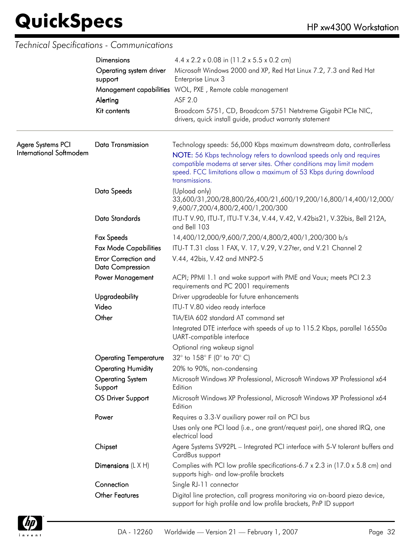### *Technical Specifications - Communications*

|                                              | <b>Dimensions</b><br>Operating system driver<br>support | $4.4 \times 2.2 \times 0.08$ in (11.2 x 5.5 x 0.2 cm)                                                                                                                                                                                                                                                        |  |  |
|----------------------------------------------|---------------------------------------------------------|--------------------------------------------------------------------------------------------------------------------------------------------------------------------------------------------------------------------------------------------------------------------------------------------------------------|--|--|
|                                              |                                                         | Microsoft Windows 2000 and XP, Red Hat Linux 7.2, 7.3 and Red Hat<br>Enterprise Linux 3                                                                                                                                                                                                                      |  |  |
|                                              |                                                         | Management capabilities WOL, PXE, Remote cable management                                                                                                                                                                                                                                                    |  |  |
|                                              | Alerting                                                | ASF 2.0                                                                                                                                                                                                                                                                                                      |  |  |
|                                              | Kit contents                                            | Broadcom 5751, CD, Broadcom 5751 Netxtreme Gigabit PCIe NIC,<br>drivers, quick install guide, product warranty statement                                                                                                                                                                                     |  |  |
| Agere Systems PCI<br>International Softmodem | <b>Data Transmission</b>                                | Technology speeds: 56,000 Kbps maximum downstream data, controllerless<br>NOTE: 56 Kbps technology refers to download speeds only and requires<br>compatible modems at server sites. Other conditions may limit modem<br>speed. FCC limitations allow a maximum of 53 Kbps during download<br>transmissions. |  |  |
|                                              | Data Speeds                                             | (Upload only)<br>33,600/31,200/28,800/26,400/21,600/19,200/16,800/14,400/12,000/<br>9,600/7,200/4,800/2,400/1,200/300                                                                                                                                                                                        |  |  |
|                                              | Data Standards                                          | ITU-T V.90, ITU-T, ITU-T V.34, V.44, V.42, V.42bis21, V.32bis, Bell 212A,<br>and Bell 103                                                                                                                                                                                                                    |  |  |
|                                              | <b>Fax Speeds</b>                                       | 14,400/12,000/9,600/7,200/4,800/2,400/1,200/300 b/s                                                                                                                                                                                                                                                          |  |  |
|                                              | <b>Fax Mode Capabilities</b>                            | ITU-T T.31 class 1 FAX, V. 17, V.29, V.27ter, and V.21 Channel 2                                                                                                                                                                                                                                             |  |  |
|                                              | <b>Error Correction and</b><br><b>Data Compression</b>  | V.44, 42bis, V.42 and MNP2-5                                                                                                                                                                                                                                                                                 |  |  |
|                                              | <b>Power Management</b>                                 | ACPI; PPMI 1.1 and wake support with PME and Vaux; meets PCI 2.3<br>requirements and PC 2001 requirements                                                                                                                                                                                                    |  |  |
|                                              | Upgradeability                                          | Driver upgradeable for future enhancements                                                                                                                                                                                                                                                                   |  |  |
|                                              | Video                                                   | ITU-T V.80 video ready interface                                                                                                                                                                                                                                                                             |  |  |
|                                              | Other                                                   | TIA/EIA 602 standard AT command set                                                                                                                                                                                                                                                                          |  |  |
|                                              |                                                         | Integrated DTE interface with speeds of up to 115.2 Kbps, parallel 16550a<br>UART-compatible interface                                                                                                                                                                                                       |  |  |
|                                              |                                                         | Optional ring wakeup signal                                                                                                                                                                                                                                                                                  |  |  |
|                                              | <b>Operating Temperature</b>                            | 32° to 158° F (0° to 70° C)                                                                                                                                                                                                                                                                                  |  |  |
|                                              | <b>Operating Humidity</b>                               | 20% to 90%, non-condensing                                                                                                                                                                                                                                                                                   |  |  |
|                                              | <b>Operating System</b><br>Support                      | Microsoft Windows XP Professional, Microsoft Windows XP Professional x64<br>Edition                                                                                                                                                                                                                          |  |  |
|                                              | OS Driver Support                                       | Microsoft Windows XP Professional, Microsoft Windows XP Professional x64<br>Edition                                                                                                                                                                                                                          |  |  |
|                                              | Power                                                   | Requires a 3.3-V auxiliary power rail on PCI bus                                                                                                                                                                                                                                                             |  |  |
|                                              |                                                         | Uses only one PCI load (i.e., one grant/request pair), one shared IRQ, one<br>electrical load                                                                                                                                                                                                                |  |  |
|                                              | Chipset                                                 | Agere Systems SV92PL - Integrated PCI interface with 5-V tolerant buffers and<br>CardBus support                                                                                                                                                                                                             |  |  |
|                                              | Dimensions $(L \times H)$                               | Complies with PCI low profile specifications-6.7 x 2.3 in (17.0 x 5.8 cm) and<br>supports high- and low-profile brackets                                                                                                                                                                                     |  |  |
|                                              | Connection                                              | Single RJ-11 connector                                                                                                                                                                                                                                                                                       |  |  |
|                                              | <b>Other Features</b>                                   | Digital line protection, call progress monitoring via on-board piezo device,<br>support for high profile and low profile brackets, PnP ID support                                                                                                                                                            |  |  |

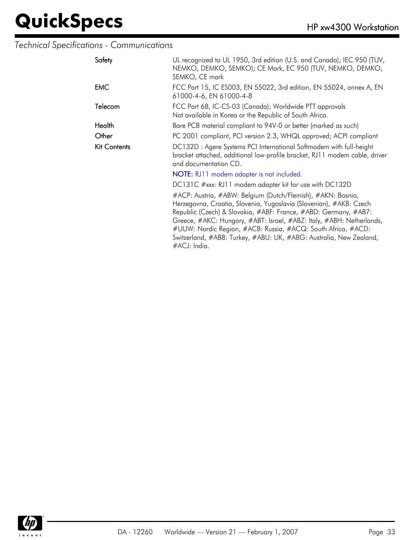### *Technical Specifications - Communications*

| Safety       | UL recognized to UL 1950, 3rd edition (U.S. and Canada); IEC 950 (TUV,<br>NEMKO, DEMKO, SEMKO); CE Mark, EC 950 (TUV, NEMKO, DEMKO,<br>SEMKO, CE mark                                                                                                                                                                                                                                                                              |  |  |
|--------------|------------------------------------------------------------------------------------------------------------------------------------------------------------------------------------------------------------------------------------------------------------------------------------------------------------------------------------------------------------------------------------------------------------------------------------|--|--|
| <b>EMC</b>   | FCC Part 15, IC ES003, EN 55022, 3rd edition, EN 55024, annex A, EN<br>61000-4-6, EN 61000-4-8                                                                                                                                                                                                                                                                                                                                     |  |  |
| Telecom      | FCC Part 68, IC-CS-03 (Canada); Worldwide PTT approvals<br>Not available in Korea or the Republic of South Africa.                                                                                                                                                                                                                                                                                                                 |  |  |
| Health       | Bare PCB material compliant to 94V-0 or better (marked as such)                                                                                                                                                                                                                                                                                                                                                                    |  |  |
| Other        | PC 2001 compliant, PCI version 2.3, WHQL approved; ACPI compliant                                                                                                                                                                                                                                                                                                                                                                  |  |  |
| Kit Contents | DC132D: Agere Systems PCI International Softmodem with full-height<br>bracket attached, additional low-profile bracket, RJ11 modem cable, driver<br>and documentation CD.                                                                                                                                                                                                                                                          |  |  |
|              | NOTE: RJ11 modem adapter is not included.                                                                                                                                                                                                                                                                                                                                                                                          |  |  |
|              | DC131C #xxx: RJ11 modem adapter kit for use with DC132D                                                                                                                                                                                                                                                                                                                                                                            |  |  |
|              | #ACP: Austria, #ABW: Belgium (Dutch/Flemish), #AKN: Bosnia,<br>Herzegovna, Croatia, Slovenia, Yugoslavia (Slovenian), #AKB: Czech<br>Republic (Czech) & Slovakia, #ABF: France, #ABD: Germany, #AB7:<br>Greece, #AKC: Hungary, #ABT: Israel, #ABZ: Italy, #ABH: Netherlands,<br>#UUW: Nordic Region, #ACB: Russia, #ACQ: South Africa, #ACD:<br>Switzerland, #AB8: Turkey, #ABU: UK, #ABG: Australia, New Zealand,<br>#ACJ: India. |  |  |

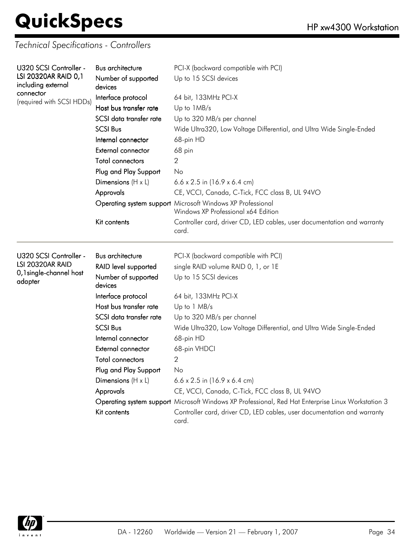*Technical Specifications - Controllers*

| U320 SCSI Controller -<br>LSI 20320AR RAID 0,1 | Bus architecture               | PCI-X (backward compatible with PCI)<br>Up to 15 SCSI devices                                      |  |  |  |
|------------------------------------------------|--------------------------------|----------------------------------------------------------------------------------------------------|--|--|--|
| including external<br>connector                | Number of supported<br>devices |                                                                                                    |  |  |  |
|                                                | Interface protocol             | 64 bit, 133MHz PCI-X                                                                               |  |  |  |
| (required with SCSI HDDs)                      | Host bus transfer rate         | Up to 1MB/s                                                                                        |  |  |  |
|                                                | SCSI data transfer rate        | Up to 320 MB/s per channel                                                                         |  |  |  |
|                                                | <b>SCSI Bus</b>                | Wide Ultra320, Low Voltage Differential, and Ultra Wide Single-Ended                               |  |  |  |
|                                                | Internal connector             | 68-pin HD                                                                                          |  |  |  |
|                                                | External connector             | 68 pin                                                                                             |  |  |  |
|                                                | Total connectors               | 2                                                                                                  |  |  |  |
|                                                | Plug and Play Support          | No                                                                                                 |  |  |  |
|                                                | Dimensions $(H \times L)$      | $6.6 \times 2.5$ in (16.9 x 6.4 cm)                                                                |  |  |  |
|                                                | Approvals                      | CE, VCCI, Canada, C-Tick, FCC class B, UL 94VO                                                     |  |  |  |
|                                                |                                | Operating system support Microsoft Windows XP Professional<br>Windows XP Professional x64 Edition  |  |  |  |
|                                                | Kit contents                   | Controller card, driver CD, LED cables, user documentation and warranty<br>card.                   |  |  |  |
| U320 SCSI Controller -                         | <b>Bus architecture</b>        | PCI-X (backward compatible with PCI)                                                               |  |  |  |
| LSI 20320AR RAID                               | RAID level supported           | single RAID volume RAID 0, 1, or 1E                                                                |  |  |  |
| 0,1 single-channel host<br>adapter             | Number of supported<br>devices | Up to 15 SCSI devices                                                                              |  |  |  |
|                                                | Interface protocol             | 64 bit, 133MHz PCI-X                                                                               |  |  |  |
|                                                | Host bus transfer rate         | Up to 1 MB/s                                                                                       |  |  |  |
|                                                | SCSI data transfer rate        | Up to 320 MB/s per channel                                                                         |  |  |  |
|                                                | <b>SCSI Bus</b>                | Wide Ultra320, Low Voltage Differential, and Ultra Wide Single-Ended                               |  |  |  |
|                                                | Internal connector             | 68-pin HD                                                                                          |  |  |  |
|                                                | External connector             | 68-pin VHDCI                                                                                       |  |  |  |
|                                                | Total connectors               | 2                                                                                                  |  |  |  |
|                                                | Plug and Play Support          | No                                                                                                 |  |  |  |
|                                                | Dimensions $(H \times L)$      | $6.6 \times 2.5$ in (16.9 x 6.4 cm)                                                                |  |  |  |
|                                                | Approvals                      | CE, VCCI, Canada, C-Tick, FCC class B, UL 94VO                                                     |  |  |  |
|                                                |                                | Operating system support Microsoft Windows XP Professional, Red Hat Enterprise Linux Workstation 3 |  |  |  |
|                                                | Kit contents                   | Controller card, driver CD, LED cables, user documentation and warranty<br>card.                   |  |  |  |

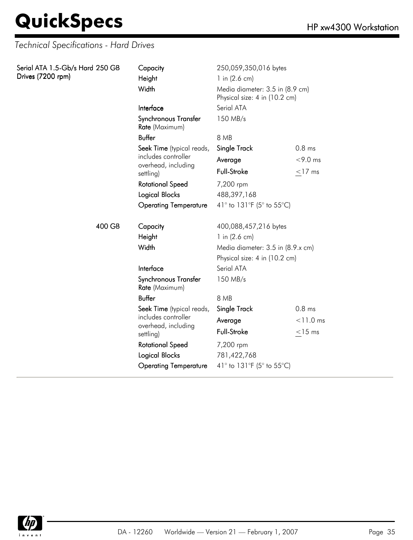*Technical Specifications - Hard Drives*

| Serial ATA 1.5-Gb/s Hard 250 GB<br>Drives (7200 rpm) | Capacity<br>Height<br>Width            | 250,059,350,016 bytes<br>1 in $(2.6 \text{ cm})$<br>Media diameter: 3.5 in (8.9 cm)<br>Physical size: 4 in (10.2 cm) |             |
|------------------------------------------------------|----------------------------------------|----------------------------------------------------------------------------------------------------------------------|-------------|
|                                                      | Interface                              | Serial ATA                                                                                                           |             |
|                                                      | Synchronous Transfer<br>Rate (Maximum) | 150 MB/s                                                                                                             |             |
|                                                      | <b>Buffer</b>                          | 8 MB                                                                                                                 |             |
|                                                      | Seek Time (typical reads,              | Single Track                                                                                                         | $0.8$ ms    |
|                                                      | includes controller                    | Average                                                                                                              | $< 9.0$ ms  |
|                                                      | overhead, including<br>settling)       | Full-Stroke                                                                                                          | $<$ 17 ms   |
|                                                      | <b>Rotational Speed</b>                | 7,200 rpm                                                                                                            |             |
|                                                      | <b>Logical Blocks</b>                  | 488,397,168                                                                                                          |             |
|                                                      | <b>Operating Temperature</b>           | 41° to 131°F (5° to 55°C)                                                                                            |             |
| 400 GB                                               | Capacity                               | 400,088,457,216 bytes                                                                                                |             |
|                                                      | Height                                 | 1 in $(2.6 \text{ cm})$                                                                                              |             |
|                                                      | Width                                  | Media diameter: 3.5 in (8.9.x cm)                                                                                    |             |
|                                                      |                                        | Physical size: 4 in (10.2 cm)                                                                                        |             |
|                                                      | Interface                              | Serial ATA                                                                                                           |             |
|                                                      | Synchronous Transfer<br>Rate (Maximum) | 150 MB/s                                                                                                             |             |
|                                                      | <b>Buffer</b>                          | 8 MB                                                                                                                 |             |
|                                                      | Seek Time (typical reads,              | Single Track                                                                                                         | $0.8$ ms    |
|                                                      | includes controller                    | Average                                                                                                              | $< 11.0$ ms |
|                                                      | overhead, including<br>settling)       | <b>Full-Stroke</b>                                                                                                   | $<$ 15 ms   |
|                                                      | <b>Rotational Speed</b>                | 7,200 rpm                                                                                                            |             |
|                                                      | <b>Logical Blocks</b>                  | 781,422,768                                                                                                          |             |
|                                                      | <b>Operating Temperature</b>           | 41° to 131°F (5° to 55°C)                                                                                            |             |

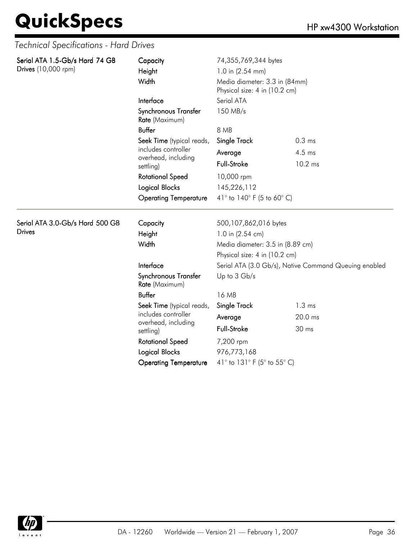*Technical Specifications - Hard Drives*

| Serial ATA 1.5-Gb/s Hard 74 GB  | Capacity                               | 74,355,769,344 bytes                                                                  |                   |  |
|---------------------------------|----------------------------------------|---------------------------------------------------------------------------------------|-------------------|--|
| Drives (10,000 rpm)             | Height                                 | 1.0 in $(2.54$ mm)<br>Media diameter: 3.3 in (84mm)<br>Physical size: 4 in (10.2 cm)  |                   |  |
|                                 | Width                                  |                                                                                       |                   |  |
|                                 | Interface                              | Serial ATA                                                                            |                   |  |
|                                 | Synchronous Transfer<br>Rate (Maximum) | 150 MB/s<br>8 MB                                                                      |                   |  |
|                                 | <b>Buffer</b>                          |                                                                                       |                   |  |
|                                 | Seek Time (typical reads,              | Single Track                                                                          | 0.3 <sub>ms</sub> |  |
|                                 | includes controller                    | Average                                                                               | $4.5$ ms          |  |
|                                 | overhead, including<br>settling)       | Full-Stroke                                                                           | 10.2 ms           |  |
|                                 | <b>Rotational Speed</b>                | 10,000 rpm<br>145,226,112<br>41 $^{\circ}$ to 140 $^{\circ}$ F (5 to 60 $^{\circ}$ C) |                   |  |
|                                 | <b>Logical Blocks</b>                  |                                                                                       |                   |  |
|                                 | <b>Operating Temperature</b>           |                                                                                       |                   |  |
| Serial ATA 3.0-Gb/s Hard 500 GB | Capacity                               | 500,107,862,016 bytes                                                                 |                   |  |
| <b>Drives</b>                   | Height                                 | 1.0 in (2.54 cm)                                                                      |                   |  |
|                                 | Width                                  | Media diameter: 3.5 in (8.89 cm)                                                      |                   |  |
|                                 |                                        | Physical size: 4 in (10.2 cm)                                                         |                   |  |
|                                 | Interface                              | Serial ATA (3.0 Gb/s), Native Command Queuing enabled                                 |                   |  |
|                                 | Synchronous Transfer<br>Rate (Maximum) | Up to 3 Gb/s                                                                          |                   |  |
|                                 | <b>Buffer</b>                          | 16 MB                                                                                 |                   |  |
|                                 | Seek Time (typical reads,              | Single Track                                                                          | $1.3 \text{ ms}$  |  |
|                                 | includes controller                    | Average                                                                               | 20.0 ms           |  |
|                                 | overhead, including<br>settling)       | Full-Stroke                                                                           | 30 ms             |  |
|                                 | <b>Rotational Speed</b>                | 7,200 rpm                                                                             |                   |  |
|                                 | <b>Logical Blocks</b>                  | 976,773,168                                                                           |                   |  |
|                                 | <b>Operating Temperature</b>           | 41° to 131° F (5° to 55° C)                                                           |                   |  |

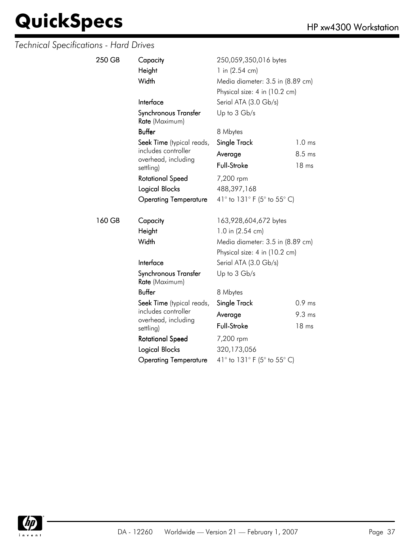| 250 GB | Capacity<br>Height<br>Width            | 250,059,350,016 bytes<br>1 in $(2.54 \text{ cm})$<br>Media diameter: 3.5 in (8.89 cm)<br>Physical size: 4 in (10.2 cm) |                   |
|--------|----------------------------------------|------------------------------------------------------------------------------------------------------------------------|-------------------|
|        | Interface                              | Serial ATA (3.0 Gb/s)                                                                                                  |                   |
|        | Synchronous Transfer<br>Rate (Maximum) | Up to 3 Gb/s                                                                                                           |                   |
|        | <b>Buffer</b>                          | 8 Mbytes                                                                                                               |                   |
|        | Seek Time (typical reads,              | Single Track                                                                                                           | 1.0 <sub>ms</sub> |
|        | includes controller                    | Average                                                                                                                | 8.5 ms            |
|        | overhead, including<br>settling)       | Full-Stroke                                                                                                            | 18 <sub>ms</sub>  |
|        | <b>Rotational Speed</b>                | 7,200 rpm                                                                                                              |                   |
|        | <b>Logical Blocks</b>                  | 488,397,168                                                                                                            |                   |
|        | <b>Operating Temperature</b>           | 41° to 131° F (5° to 55° C)                                                                                            |                   |
| 160 GB | Capacity                               | 163,928,604,672 bytes                                                                                                  |                   |
|        | Height                                 | 1.0 in (2.54 cm)                                                                                                       |                   |
|        | Width                                  | Media diameter: 3.5 in (8.89 cm)                                                                                       |                   |
|        |                                        | Physical size: 4 in (10.2 cm)                                                                                          |                   |
|        | Interface                              | Serial ATA (3.0 Gb/s)                                                                                                  |                   |
|        | Synchronous Transfer<br>Rate (Maximum) | Up to 3 Gb/s                                                                                                           |                   |
|        | <b>Buffer</b>                          | 8 Mbytes                                                                                                               |                   |
|        | Seek Time (typical reads,              | Single Track                                                                                                           | 0.9 <sub>ms</sub> |
|        | includes controller                    | Average                                                                                                                | 9.3 <sub>ms</sub> |
|        | overhead, including<br>settling)       | Full-Stroke                                                                                                            | 18 ms             |
|        | <b>Rotational Speed</b>                | 7,200 rpm                                                                                                              |                   |
|        | <b>Logical Blocks</b>                  | 320,173,056                                                                                                            |                   |
|        | <b>Operating Temperature</b>           | 41° to 131° F (5° to 55° C)                                                                                            |                   |
|        |                                        |                                                                                                                        |                   |

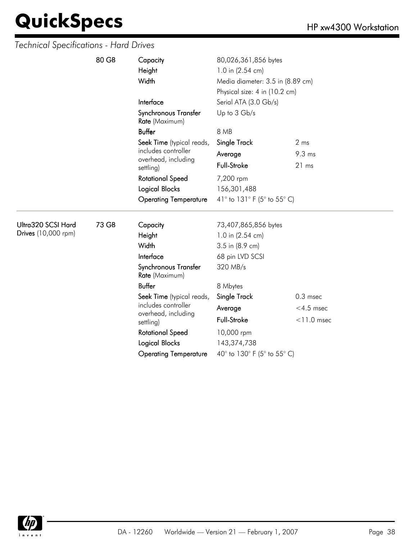|                     | 80 GB | Capacity                                                                                                                                                                                                                                                                                                                                                                                                                                                                                                                                                                                                     | 80,026,361,856 bytes        |               |  |
|---------------------|-------|--------------------------------------------------------------------------------------------------------------------------------------------------------------------------------------------------------------------------------------------------------------------------------------------------------------------------------------------------------------------------------------------------------------------------------------------------------------------------------------------------------------------------------------------------------------------------------------------------------------|-----------------------------|---------------|--|
|                     |       | Height<br>1.0 in (2.54 cm)<br>Width<br>Media diameter: 3.5 in (8.89 cm)<br>Physical size: 4 in (10.2 cm)<br>Interface<br>Serial ATA (3.0 Gb/s)<br>Up to 3 Gb/s<br>Synchronous Transfer<br>Rate (Maximum)<br><b>Buffer</b><br>8 MB<br>Seek Time (typical reads,<br>Single Track<br>2 <sub>ms</sub><br>includes controller<br>9.3 ms<br>Average<br>overhead, including<br><b>Full-Stroke</b><br>21 ms<br>settling)<br><b>Rotational Speed</b><br>7,200 rpm<br><b>Logical Blocks</b><br>156,301,488<br>41° to 131° F (5° to 55° C)<br><b>Operating Temperature</b><br>73 GB<br>Capacity<br>73,407,865,856 bytes |                             |               |  |
|                     |       |                                                                                                                                                                                                                                                                                                                                                                                                                                                                                                                                                                                                              |                             |               |  |
|                     |       |                                                                                                                                                                                                                                                                                                                                                                                                                                                                                                                                                                                                              |                             |               |  |
|                     |       |                                                                                                                                                                                                                                                                                                                                                                                                                                                                                                                                                                                                              |                             |               |  |
|                     |       |                                                                                                                                                                                                                                                                                                                                                                                                                                                                                                                                                                                                              |                             |               |  |
|                     |       |                                                                                                                                                                                                                                                                                                                                                                                                                                                                                                                                                                                                              |                             |               |  |
|                     |       |                                                                                                                                                                                                                                                                                                                                                                                                                                                                                                                                                                                                              |                             |               |  |
|                     |       |                                                                                                                                                                                                                                                                                                                                                                                                                                                                                                                                                                                                              |                             |               |  |
|                     |       |                                                                                                                                                                                                                                                                                                                                                                                                                                                                                                                                                                                                              |                             |               |  |
|                     |       |                                                                                                                                                                                                                                                                                                                                                                                                                                                                                                                                                                                                              |                             |               |  |
|                     |       |                                                                                                                                                                                                                                                                                                                                                                                                                                                                                                                                                                                                              |                             |               |  |
|                     |       |                                                                                                                                                                                                                                                                                                                                                                                                                                                                                                                                                                                                              |                             |               |  |
| Ultra320 SCSI Hard  |       |                                                                                                                                                                                                                                                                                                                                                                                                                                                                                                                                                                                                              |                             |               |  |
| Drives (10,000 rpm) |       | Height                                                                                                                                                                                                                                                                                                                                                                                                                                                                                                                                                                                                       | 1.0 in (2.54 cm)            |               |  |
|                     |       | Width                                                                                                                                                                                                                                                                                                                                                                                                                                                                                                                                                                                                        | 3.5 in (8.9 cm)             |               |  |
|                     |       | Interface                                                                                                                                                                                                                                                                                                                                                                                                                                                                                                                                                                                                    | 68 pin LVD SCSI             |               |  |
|                     |       | Synchronous Transfer<br>Rate (Maximum)                                                                                                                                                                                                                                                                                                                                                                                                                                                                                                                                                                       | 320 MB/s                    |               |  |
|                     |       | <b>Buffer</b>                                                                                                                                                                                                                                                                                                                                                                                                                                                                                                                                                                                                | 8 Mbytes                    |               |  |
|                     |       | Seek Time (typical reads,                                                                                                                                                                                                                                                                                                                                                                                                                                                                                                                                                                                    | Single Track                | $0.3$ msec    |  |
|                     |       | includes controller                                                                                                                                                                                                                                                                                                                                                                                                                                                                                                                                                                                          | Average                     | $<$ 4.5 msec  |  |
|                     |       | overhead, including<br>settling)                                                                                                                                                                                                                                                                                                                                                                                                                                                                                                                                                                             | Full-Stroke                 | $<$ 11.0 msec |  |
|                     |       | <b>Rotational Speed</b>                                                                                                                                                                                                                                                                                                                                                                                                                                                                                                                                                                                      | 10,000 rpm                  |               |  |
|                     |       | Logical Blocks                                                                                                                                                                                                                                                                                                                                                                                                                                                                                                                                                                                               | 143,374,738                 |               |  |
|                     |       | <b>Operating Temperature</b>                                                                                                                                                                                                                                                                                                                                                                                                                                                                                                                                                                                 | 40° to 130° F (5° to 55° C) |               |  |

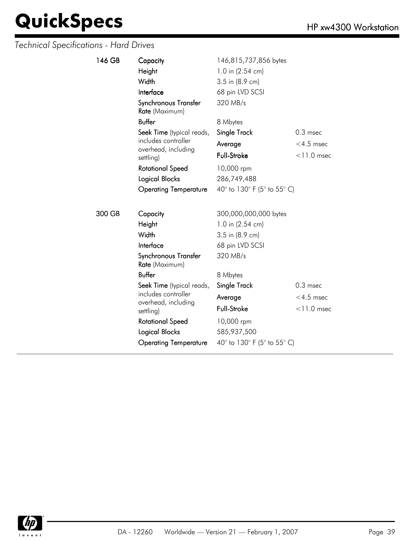| 146 GB                  | Capacity                               | 146,815,737,856 bytes       |               |  |
|-------------------------|----------------------------------------|-----------------------------|---------------|--|
|                         | Height                                 | 1.0 in (2.54 cm)            |               |  |
|                         | Width                                  | 3.5 in (8.9 cm)             |               |  |
|                         | Interface                              | 68 pin LVD SCSI             |               |  |
|                         | Synchronous Transfer<br>Rate (Maximum) | 320 MB/s                    |               |  |
|                         | <b>Buffer</b>                          | 8 Mbytes                    |               |  |
|                         | Seek Time (typical reads,              | Single Track                | $0.3$ msec    |  |
|                         | includes controller                    | Average                     | $<$ 4.5 msec  |  |
|                         | overhead, including<br>settling)       | <b>Full-Stroke</b>          | $<$ 11.0 msec |  |
| <b>Rotational Speed</b> |                                        | 10,000 rpm                  |               |  |
|                         | Logical Blocks                         | 286,749,488                 |               |  |
|                         | <b>Operating Temperature</b>           | 40° to 130° F (5° to 55° C) |               |  |
|                         |                                        |                             |               |  |
| 300 GB                  | Capacity                               | 300,000,000,000 bytes       |               |  |
|                         | Height                                 | 1.0 in (2.54 cm)            |               |  |
|                         | Width                                  | 3.5 in (8.9 cm)             |               |  |
|                         | Interface                              | 68 pin LVD SCSI             |               |  |
|                         | Synchronous Transfer<br>Rate (Maximum) | 320 MB/s                    |               |  |
|                         | <b>Buffer</b>                          | 8 Mbytes                    |               |  |
|                         | Seek Time (typical reads,              | Single Track                | $0.3$ msec    |  |
|                         | includes controller                    | Average                     | $<$ 4.5 msec  |  |
|                         | overhead, including<br>settling)       | Full-Stroke                 | $<$ 11.0 msec |  |
|                         | <b>Rotational Speed</b>                | 10,000 rpm                  |               |  |
|                         | Logical Blocks                         | 585,937,500                 |               |  |
|                         | <b>Operating Temperature</b>           | 40° to 130° F (5° to 55° C) |               |  |

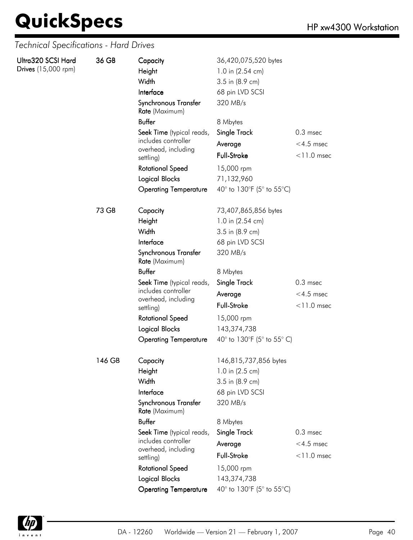| Ultra320 SCSI Hard<br>Drives (15,000 rpm) | 36 GB  | Capacity<br>Height<br>Width<br>Interface<br>Synchronous Transfer<br>Rate (Maximum) | 36,420,075,520 bytes<br>1.0 in (2.54 cm)<br>3.5 in (8.9 cm)<br>68 pin LVD SCSI<br>320 MB/s |               |
|-------------------------------------------|--------|------------------------------------------------------------------------------------|--------------------------------------------------------------------------------------------|---------------|
|                                           |        | <b>Buffer</b>                                                                      | 8 Mbytes                                                                                   |               |
|                                           |        | Seek Time (typical reads,                                                          | Single Track                                                                               | $0.3$ msec    |
|                                           |        | includes controller                                                                | Average                                                                                    | $<$ 4.5 msec  |
|                                           |        | overhead, including<br>settling)                                                   | Full-Stroke                                                                                | $<$ 11.0 msec |
|                                           |        | <b>Rotational Speed</b>                                                            | 15,000 rpm                                                                                 |               |
|                                           |        | Logical Blocks                                                                     | 71,132,960                                                                                 |               |
|                                           |        | <b>Operating Temperature</b>                                                       | 40° to 130°F (5° to 55°C)                                                                  |               |
|                                           | 73 GB  | Capacity                                                                           | 73,407,865,856 bytes                                                                       |               |
|                                           |        | Height                                                                             | 1.0 in (2.54 cm)                                                                           |               |
|                                           |        | Width                                                                              | 3.5 in (8.9 cm)                                                                            |               |
|                                           |        | Interface                                                                          | 68 pin LVD SCSI                                                                            |               |
|                                           |        | Synchronous Transfer<br>Rate (Maximum)                                             | 320 MB/s                                                                                   |               |
|                                           |        | <b>Buffer</b>                                                                      | 8 Mbytes                                                                                   |               |
|                                           |        | Seek Time (typical reads,                                                          | Single Track                                                                               | $0.3$ msec    |
|                                           |        | includes controller<br>overhead, including                                         | Average                                                                                    | $<$ 4.5 msec  |
|                                           |        | settling)                                                                          | Full-Stroke                                                                                | $<$ 11.0 msec |
|                                           |        | <b>Rotational Speed</b>                                                            | 15,000 rpm                                                                                 |               |
|                                           |        | <b>Logical Blocks</b>                                                              | 143,374,738                                                                                |               |
|                                           |        | <b>Operating Temperature</b>                                                       | 40° to 130°F (5° to 55° C)                                                                 |               |
|                                           | 146 GB | Capacity                                                                           | 146,815,737,856 bytes                                                                      |               |
|                                           |        | Height                                                                             | 1.0 in (2.5 cm)                                                                            |               |
|                                           |        | Width                                                                              | 3.5 in (8.9 cm)                                                                            |               |
|                                           |        | Interface                                                                          | 68 pin LVD SCSI                                                                            |               |
|                                           |        | Synchronous Transfer<br>Rate (Maximum)                                             | 320 MB/s                                                                                   |               |
|                                           |        | <b>Buffer</b>                                                                      | 8 Mbytes                                                                                   |               |
|                                           |        | Seek Time (typical reads,                                                          | Single Track                                                                               | $0.3$ msec    |
|                                           |        | includes controller<br>overhead, including                                         | Average                                                                                    | $<$ 4.5 msec  |
|                                           |        | settling)                                                                          | Full-Stroke                                                                                | $<$ 11.0 msec |
|                                           |        | <b>Rotational Speed</b>                                                            | 15,000 rpm                                                                                 |               |
|                                           |        | Logical Blocks                                                                     | 143,374,738                                                                                |               |
|                                           |        | <b>Operating Temperature</b>                                                       | 40° to 130°F (5° to 55°C)                                                                  |               |

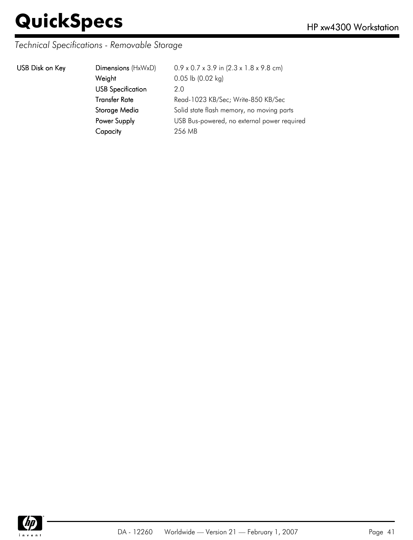### *Technical Specifications - Removable Storage*

|  | USB Disk on Key |  |  |
|--|-----------------|--|--|
|--|-----------------|--|--|

| USB Disk on Key | Dimensions (HxWxD)       | $0.9 \times 0.7 \times 3.9$ in $(2.3 \times 1.8 \times 9.8$ cm) |
|-----------------|--------------------------|-----------------------------------------------------------------|
|                 | Weight                   | $0.05$ lb $(0.02$ kg)                                           |
|                 | <b>USB Specification</b> | 2.0                                                             |
|                 | <b>Transfer Rate</b>     | Read-1023 KB/Sec; Write-850 KB/Sec                              |
|                 | Storage Media            | Solid state flash memory, no moving parts                       |
|                 | Power Supply             | USB Bus-powered, no external power required                     |
|                 | Capacity                 | 256 MB                                                          |
|                 |                          |                                                                 |

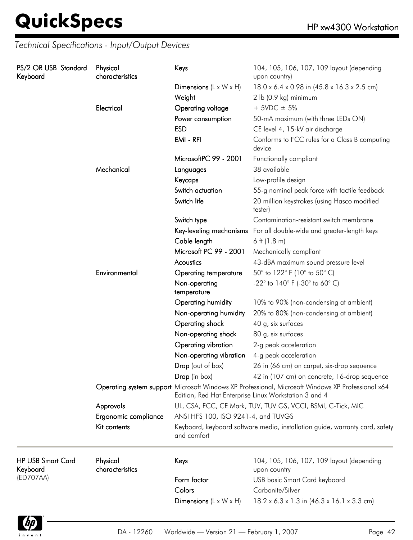| PS/2 OR USB Standard<br>Keyboard     |              | Physical<br>characteristics                                                                 | Keys                                                                                                                                                       | 104, 105, 106, 107, 109 layout (depending<br>upon country)             |
|--------------------------------------|--------------|---------------------------------------------------------------------------------------------|------------------------------------------------------------------------------------------------------------------------------------------------------------|------------------------------------------------------------------------|
|                                      |              |                                                                                             | Dimensions $(L \times W \times H)$                                                                                                                         | 18.0 x 6.4 x 0.98 in (45.8 x 16.3 x 2.5 cm)                            |
|                                      |              |                                                                                             | Weight                                                                                                                                                     | 2 lb (0.9 kg) minimum                                                  |
|                                      |              | Electrical                                                                                  | Operating voltage                                                                                                                                          | $+$ 5VDC $\pm$ 5%                                                      |
|                                      |              |                                                                                             | Power consumption                                                                                                                                          | 50-mA maximum (with three LEDs ON)                                     |
|                                      |              |                                                                                             | <b>ESD</b>                                                                                                                                                 | CE level 4, 15-kV air discharge                                        |
|                                      |              |                                                                                             | EMI - RFI                                                                                                                                                  | Conforms to FCC rules for a Class B computing<br>device                |
|                                      |              |                                                                                             | MicrosoftPC 99 - 2001                                                                                                                                      | Functionally compliant                                                 |
|                                      |              | Mechanical                                                                                  | Languages                                                                                                                                                  | 38 available                                                           |
|                                      |              |                                                                                             | Keycaps                                                                                                                                                    | Low-profile design                                                     |
|                                      |              |                                                                                             | Switch actuation                                                                                                                                           | 55-g nominal peak force with tactile feedback                          |
|                                      |              |                                                                                             | Switch life                                                                                                                                                | 20 million keystrokes (using Hasco modified<br>tester)                 |
|                                      |              |                                                                                             | Switch type                                                                                                                                                | Contamination-resistant switch membrane                                |
|                                      |              |                                                                                             |                                                                                                                                                            | Key-leveling mechanisms For all double-wide and greater-length keys    |
|                                      |              |                                                                                             | Cable length                                                                                                                                               | 6 ft $(1.8 \text{ m})$                                                 |
|                                      |              |                                                                                             | Microsoft PC 99 - 2001                                                                                                                                     | Mechanically compliant                                                 |
|                                      |              | Acoustics                                                                                   | 43-dBA maximum sound pressure level                                                                                                                        |                                                                        |
|                                      |              | Environmental                                                                               | <b>Operating temperature</b>                                                                                                                               | 50° to 122° F (10° to 50° C)                                           |
|                                      |              |                                                                                             | Non-operating<br>temperature                                                                                                                               | -22 $^{\circ}$ to 140 $^{\circ}$ F (-30 $^{\circ}$ to 60 $^{\circ}$ C) |
|                                      |              |                                                                                             | Operating humidity                                                                                                                                         | 10% to 90% (non-condensing at ambient)                                 |
|                                      |              |                                                                                             | Non-operating humidity                                                                                                                                     | 20% to 80% (non-condensing at ambient)                                 |
|                                      |              |                                                                                             | Operating shock                                                                                                                                            | 40 g, six surfaces                                                     |
|                                      |              |                                                                                             | Non-operating shock                                                                                                                                        | 80 g, six surfaces                                                     |
|                                      |              |                                                                                             | Operating vibration                                                                                                                                        | 2-g peak acceleration                                                  |
|                                      |              |                                                                                             | Non-operating vibration                                                                                                                                    | 4-g peak acceleration                                                  |
|                                      |              |                                                                                             | Drop (out of box)                                                                                                                                          | 26 in (66 cm) on carpet, six-drop sequence                             |
|                                      |              |                                                                                             | Drop (in box)                                                                                                                                              | 42 in (107 cm) on concrete, 16-drop sequence                           |
|                                      |              |                                                                                             | Operating system support Microsoft Windows XP Professional, Microsoft Windows XP Professional x64<br>Edition, Red Hat Enterprise Linux Workstation 3 and 4 |                                                                        |
|                                      |              | Approvals                                                                                   |                                                                                                                                                            | UL, CSA, FCC, CE Mark, TUV, TUV GS, VCCI, BSMI, C-Tick, MIC            |
|                                      |              | Ergonomic compliance                                                                        | ANSI HFS 100, ISO 9241-4, and TUVGS                                                                                                                        |                                                                        |
|                                      | Kit contents | Keyboard, keyboard software media, installation guide, warranty card, safety<br>and comfort |                                                                                                                                                            |                                                                        |
| <b>HP USB Smart Card</b><br>Keyboard |              | Physical<br>characteristics                                                                 | Keys                                                                                                                                                       | 104, 105, 106, 107, 109 layout (depending<br>upon country              |
| (ED707AA)                            |              |                                                                                             | Form factor                                                                                                                                                | <b>USB</b> basic Smart Card keyboard                                   |
|                                      |              |                                                                                             | Colors                                                                                                                                                     | Carbonite/Silver                                                       |
|                                      |              |                                                                                             | Dimensions $(L \times W \times H)$                                                                                                                         | $18.2 \times 6.3 \times 1.3$ in $(46.3 \times 16.1 \times 3.3$ cm)     |

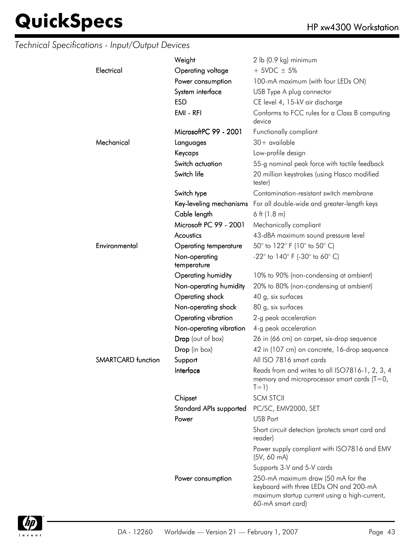|                    | Weight                       | 2 lb (0.9 kg) minimum                                                                                                                              |
|--------------------|------------------------------|----------------------------------------------------------------------------------------------------------------------------------------------------|
| Electrical         | Operating voltage            | $+$ 5VDC $\pm$ 5%                                                                                                                                  |
|                    | Power consumption            | 100-mA maximum (with four LEDs ON)                                                                                                                 |
|                    | System interface             | USB Type A plug connector                                                                                                                          |
|                    | <b>ESD</b>                   | CE level 4, 15-kV air discharge                                                                                                                    |
|                    | EMI - RFI                    | Conforms to FCC rules for a Class B computing<br>device                                                                                            |
|                    | MicrosoftPC 99 - 2001        | Functionally compliant                                                                                                                             |
| Mechanical         | Languages                    | $30+$ available                                                                                                                                    |
|                    | Keycaps                      | Low-profile design                                                                                                                                 |
|                    | Switch actuation             | 55-g nominal peak force with tactile feedback                                                                                                      |
|                    | Switch life                  | 20 million keystrokes (using Hasco modified<br>tester)                                                                                             |
|                    | Switch type                  | Contamination-resistant switch membrane                                                                                                            |
|                    |                              | Key-leveling mechanisms For all double-wide and greater-length keys                                                                                |
|                    | Cable length                 | 6 ft $(1.8 m)$                                                                                                                                     |
|                    | Microsoft PC 99 - 2001       | Mechanically compliant                                                                                                                             |
|                    | Acoustics                    | 43-dBA maximum sound pressure level                                                                                                                |
| Environmental      | Operating temperature        | 50° to 122° F (10° to 50° C)                                                                                                                       |
|                    | Non-operating<br>temperature | $-22^{\circ}$ to 140° F (-30° to 60° C)                                                                                                            |
|                    | Operating humidity           | 10% to 90% (non-condensing at ambient)                                                                                                             |
|                    | Non-operating humidity       | 20% to 80% (non-condensing at ambient)                                                                                                             |
|                    | Operating shock              | 40 g, six surfaces                                                                                                                                 |
|                    | Non-operating shock          | 80 g, six surfaces                                                                                                                                 |
|                    | Operating vibration          | 2-g peak acceleration                                                                                                                              |
|                    | Non-operating vibration      | 4-g peak acceleration                                                                                                                              |
|                    | Drop (out of box)            | 26 in (66 cm) on carpet, six-drop sequence                                                                                                         |
|                    | Drop (in box)                | 42 in (107 cm) on concrete, 16-drop sequence                                                                                                       |
| SMARTCARD function | Support                      | All ISO 7816 smart cards                                                                                                                           |
|                    | Interface                    | Reads from and writes to all ISO7816-1, 2, 3, 4<br>memory and microprocessor smart cards ( $T=0$ ,<br>$T=1)$                                       |
|                    | Chipset                      | <b>SCM STCII</b>                                                                                                                                   |
|                    | Standard APIs supported      | PC/SC, EMV2000, SET                                                                                                                                |
|                    | Power                        | USB Port                                                                                                                                           |
|                    |                              | Short circuit detection (protects smart card and<br>reader)                                                                                        |
|                    |                              | Power supply compliant with ISO7816 and EMV<br>$(5V, 60 \text{ mA})$                                                                               |
|                    |                              | Supports 3-V and 5-V cards                                                                                                                         |
|                    | Power consumption            | 250-mA maximum draw (50 mA for the<br>keyboard with three LEDs ON and 200-mA<br>maximum startup current using a high-current,<br>60-mA smart card) |

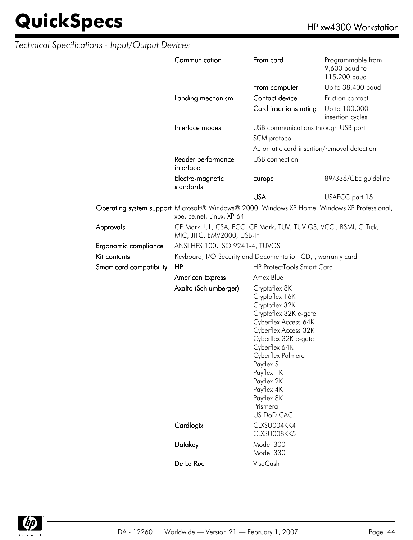|                          | Communication                                                                                                             | From card                                                                                                                                                                                                                                                                               | Programmable from<br>9,600 baud to<br>115,200 baud |  |
|--------------------------|---------------------------------------------------------------------------------------------------------------------------|-----------------------------------------------------------------------------------------------------------------------------------------------------------------------------------------------------------------------------------------------------------------------------------------|----------------------------------------------------|--|
|                          |                                                                                                                           | From computer                                                                                                                                                                                                                                                                           | Up to 38,400 baud                                  |  |
|                          | Landing mechanism                                                                                                         | Contact device                                                                                                                                                                                                                                                                          | Friction contact                                   |  |
|                          |                                                                                                                           | Card insertions rating                                                                                                                                                                                                                                                                  | Up to 100,000<br>insertion cycles                  |  |
|                          | Interface modes                                                                                                           | USB communications through USB port<br>SCM protocol                                                                                                                                                                                                                                     |                                                    |  |
|                          |                                                                                                                           |                                                                                                                                                                                                                                                                                         |                                                    |  |
|                          |                                                                                                                           | Automatic card insertion/removal detection                                                                                                                                                                                                                                              |                                                    |  |
|                          | Reader performance<br>interface                                                                                           | USB connection                                                                                                                                                                                                                                                                          |                                                    |  |
|                          | Electro-magnetic<br>standards                                                                                             | Europe                                                                                                                                                                                                                                                                                  | 89/336/CEE guideline                               |  |
|                          |                                                                                                                           | <b>USA</b>                                                                                                                                                                                                                                                                              | USAFCC part 15                                     |  |
|                          | Operating system support Microsoft® Windows® 2000, Windows XP Home, Windows XP Professional,<br>xpe, ce.net, Linux, XP-64 |                                                                                                                                                                                                                                                                                         |                                                    |  |
| Approvals                | CE-Mark, UL, CSA, FCC, CE Mark, TUV, TUV GS, VCCI, BSMI, C-Tick,<br>MIC, JITC, EMV2000, USB-IF                            |                                                                                                                                                                                                                                                                                         |                                                    |  |
| Ergonomic compliance     | ANSI HFS 100, ISO 9241-4, TUVGS                                                                                           |                                                                                                                                                                                                                                                                                         |                                                    |  |
| Kit contents             | Keyboard, I/O Security and Documentation CD, , warranty card                                                              |                                                                                                                                                                                                                                                                                         |                                                    |  |
| Smart card compatibility | <b>HP ProtectTools Smart Card</b><br>HP                                                                                   |                                                                                                                                                                                                                                                                                         |                                                    |  |
|                          | <b>American Express</b>                                                                                                   | Amex Blue                                                                                                                                                                                                                                                                               |                                                    |  |
|                          | Axalto (Schlumberger)                                                                                                     | Cryptoflex 8K<br>Cryptoflex 16K<br>Cryptoflex 32K<br>Cryptoflex 32K e-gate<br>Cyberflex Access 64K<br>Cyberflex Access 32K<br>Cyberflex 32K e-gate<br>Cyberflex 64K<br>Cyberflex Palmera<br>Payflex-S<br>Payflex 1K<br>Payflex 2K<br>Payflex 4K<br>Payflex 8K<br>Prismera<br>US DoD CAC |                                                    |  |
|                          | Cardlogix                                                                                                                 | CLXSU004KK4<br>CLXSU008KK5                                                                                                                                                                                                                                                              |                                                    |  |
|                          | Datakey                                                                                                                   | Model 300<br>Model 330                                                                                                                                                                                                                                                                  |                                                    |  |
|                          | De La Rue                                                                                                                 | VisaCash                                                                                                                                                                                                                                                                                |                                                    |  |

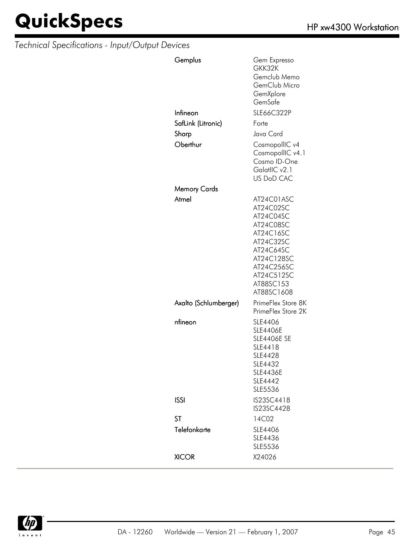| Gemplus               | Gem Expresso<br>GKK32K<br>Gemclub Memo<br>GemClub Micro<br>GemXplore<br>GemSafe                                                                               |
|-----------------------|---------------------------------------------------------------------------------------------------------------------------------------------------------------|
| Infineon              | SLE66C322P                                                                                                                                                    |
| SafLink (Litronic)    | Forte                                                                                                                                                         |
| Sharp                 | Java Card                                                                                                                                                     |
| Oberthur              | CosmopollIC v4<br>CosmopollIC v4.1<br>Cosmo ID-One<br>GalatlIC v2.1<br><b>US DoD CAC</b>                                                                      |
| Memory Cards          |                                                                                                                                                               |
| Atmel                 | AT24C01ASC<br>AT24C02SC<br>AT24C04SC<br>AT24C08SC<br>AT24C16SC<br>AT24C32SC<br>AT24C64SC<br>AT24C128SC<br>AT24C256SC<br>AT24C512SC<br>AT88SC153<br>AT88SC1608 |
| Axalto (Schlumberger) | PrimeFlex Store 8K<br>PrimeFlex Store 2K                                                                                                                      |
| nfineon               | SLE4406<br><b>SLE4406E</b><br><b>SLE4406E SE</b><br>SLE4418<br><b>SLE4428</b><br>SLE4432<br><b>SLE4436E</b><br>SLE4442<br>SLE5536                             |
| <b>ISSI</b>           | IS23SC4418<br>IS23SC4428                                                                                                                                      |
| <b>ST</b>             | 14C02                                                                                                                                                         |
| Telefonkarte          | SLE4406<br>SLE4436<br>SLE5536                                                                                                                                 |
| <b>XICOR</b>          | X24026                                                                                                                                                        |

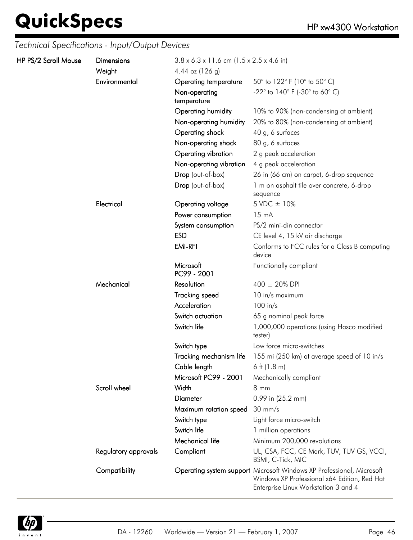| HP PS/2 Scroll Mouse | <b>Dimensions</b><br>Weight | $3.8 \times 6.3 \times 11.6$ cm (1.5 x 2.5 x 4.6 in)<br>4.44 oz $(126 g)$ |                                                                                                                                                               |
|----------------------|-----------------------------|---------------------------------------------------------------------------|---------------------------------------------------------------------------------------------------------------------------------------------------------------|
|                      | Environmental               | Operating temperature                                                     | 50 $^{\circ}$ to 122 $^{\circ}$ F (10 $^{\circ}$ to 50 $^{\circ}$ C)                                                                                          |
|                      |                             | Non-operating<br>temperature                                              | -22 $^{\circ}$ to 140 $^{\circ}$ F (-30 $^{\circ}$ to 60 $^{\circ}$ C)                                                                                        |
|                      |                             | Operating humidity                                                        | 10% to 90% (non-condensing at ambient)                                                                                                                        |
|                      |                             | Non-operating humidity                                                    | 20% to 80% (non-condensing at ambient)                                                                                                                        |
|                      |                             | Operating shock                                                           | 40 g, 6 surfaces                                                                                                                                              |
|                      |                             | Non-operating shock                                                       | 80 g, 6 surfaces                                                                                                                                              |
|                      |                             | Operating vibration                                                       | 2 g peak acceleration                                                                                                                                         |
|                      |                             | Non-operating vibration                                                   | 4 g peak acceleration                                                                                                                                         |
|                      |                             | Drop (out-of-box)                                                         | 26 in (66 cm) on carpet, 6-drop sequence                                                                                                                      |
|                      |                             | Drop (out-of-box)                                                         | 1 m on asphalt tile over concrete, 6-drop<br>sequence                                                                                                         |
|                      | Electrical                  | Operating voltage                                                         | 5 VDC ± 10%                                                                                                                                                   |
|                      |                             | Power consumption                                                         | $15 \text{ mA}$                                                                                                                                               |
|                      |                             | System consumption                                                        | PS/2 mini-din connector                                                                                                                                       |
|                      |                             | <b>ESD</b>                                                                | CE level 4, 15 kV air discharge                                                                                                                               |
|                      |                             | <b>EMI-RFI</b>                                                            | Conforms to FCC rules for a Class B computing<br>device                                                                                                       |
|                      |                             | Microsoft<br>PC99 - 2001                                                  | Functionally compliant                                                                                                                                        |
|                      | Mechanical                  | Resolution                                                                | $400 \pm 20\%$ DPI                                                                                                                                            |
|                      |                             | <b>Tracking speed</b>                                                     | 10 in/s maximum                                                                                                                                               |
|                      |                             | Acceleration                                                              | $100$ in/s                                                                                                                                                    |
|                      |                             | Switch actuation                                                          | 65 g nominal peak force                                                                                                                                       |
|                      |                             | Switch life                                                               | 1,000,000 operations (using Hasco modified<br>tester)                                                                                                         |
|                      |                             | Switch type                                                               | Low force micro-switches                                                                                                                                      |
|                      |                             | Tracking mechanism life                                                   | 155 mi (250 km) at average speed of 10 in/s                                                                                                                   |
|                      |                             | Cable length                                                              | 6 ft $(1.8 \text{ m})$                                                                                                                                        |
|                      |                             | Microsoft PC99 - 2001                                                     | Mechanically compliant                                                                                                                                        |
|                      | Scroll wheel                | Width                                                                     | $8 \, \text{mm}$                                                                                                                                              |
|                      |                             | <b>Diameter</b>                                                           | 0.99 in (25.2 mm)                                                                                                                                             |
|                      |                             | Maximum rotation speed                                                    | $30 \text{ mm/s}$                                                                                                                                             |
|                      |                             | Switch type                                                               | Light force micro-switch                                                                                                                                      |
|                      |                             | Switch life                                                               | 1 million operations                                                                                                                                          |
|                      |                             | Mechanical life                                                           | Minimum 200,000 revolutions                                                                                                                                   |
|                      | Regulatory approvals        | Compliant                                                                 | UL, CSA, FCC, CE Mark, TUV, TUV GS, VCCI,<br>BSMI, C-Tick, MIC                                                                                                |
|                      | Compatibility               |                                                                           | Operating system support Microsoft Windows XP Professional, Microsoft<br>Windows XP Professional x64 Edition, Red Hat<br>Enterprise Linux Workstation 3 and 4 |

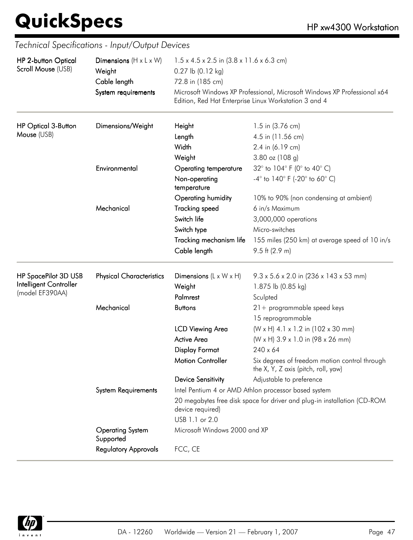| HP 2-button Optical        | Dimensions $(H \times L \times W)$   | $1.5 \times 4.5 \times 2.5$ in $(3.8 \times 11.6 \times 6.3$ cm)<br>0.27 lb (0.12 kg)                                             |                                                                                      |  |
|----------------------------|--------------------------------------|-----------------------------------------------------------------------------------------------------------------------------------|--------------------------------------------------------------------------------------|--|
| Scroll Mouse (USB)         | Weight                               |                                                                                                                                   |                                                                                      |  |
|                            | Cable length                         | 72.8 in (185 cm)                                                                                                                  |                                                                                      |  |
|                            | System requirements                  | Microsoft Windows XP Professional, Microsoft Windows XP Professional x64<br>Edition, Red Hat Enterprise Linux Workstation 3 and 4 |                                                                                      |  |
| <b>HP Optical 3-Button</b> | Dimensions/Weight                    | Height                                                                                                                            | 1.5 in (3.76 cm)                                                                     |  |
| Mouse (USB)                |                                      | Length                                                                                                                            | 4.5 in (11.56 cm)                                                                    |  |
|                            |                                      | Width                                                                                                                             | 2.4 in (6.19 cm)                                                                     |  |
|                            |                                      | Weight                                                                                                                            | 3.80 oz (108 g)                                                                      |  |
|                            | Environmental                        | <b>Operating temperature</b>                                                                                                      | 32° to 104° F (0° to 40° C)                                                          |  |
|                            |                                      | Non-operating<br>temperature                                                                                                      | $-4^{\circ}$ to $140^{\circ}$ F (-20° to 60° C)                                      |  |
|                            |                                      | Operating humidity                                                                                                                | 10% to 90% (non condensing at ambient)                                               |  |
|                            | Mechanical                           | <b>Tracking speed</b>                                                                                                             | 6 in/s Maximum                                                                       |  |
|                            |                                      | Switch life                                                                                                                       | 3,000,000 operations                                                                 |  |
|                            |                                      | Switch type                                                                                                                       | Micro-switches                                                                       |  |
|                            |                                      | Tracking mechanism life                                                                                                           | 155 miles (250 km) at average speed of 10 in/s                                       |  |
|                            |                                      | Cable length                                                                                                                      | $9.5$ ft (2.9 m)                                                                     |  |
| HP SpacePilot 3D USB       | <b>Physical Characteristics</b>      | Dimensions $(L \times W \times H)$                                                                                                | 9.3 x 5.6 x 2.0 in (236 x 143 x 53 mm)                                               |  |
| Intelligent Controller     |                                      | Weight                                                                                                                            | 1.875 lb (0.85 kg)                                                                   |  |
| (model EF390AA)            |                                      | Palmrest                                                                                                                          | Sculpted                                                                             |  |
|                            | Mechanical                           | <b>Buttons</b>                                                                                                                    | $21 +$ programmable speed keys                                                       |  |
|                            |                                      |                                                                                                                                   | 15 reprogrammable                                                                    |  |
|                            |                                      | LCD Viewing Area                                                                                                                  | (W x H) 4.1 x 1.2 in (102 x 30 mm)                                                   |  |
|                            |                                      | <b>Active Area</b>                                                                                                                | (W x H) 3.9 x 1.0 in (98 x 26 mm)                                                    |  |
|                            |                                      | <b>Display Format</b>                                                                                                             | $240 \times 64$                                                                      |  |
|                            |                                      | <b>Motion Controller</b>                                                                                                          | Six degrees of freedom motion control through<br>the X, Y, Z axis (pitch, roll, yaw) |  |
|                            |                                      | <b>Device Sensitivity</b>                                                                                                         | Adjustable to preference                                                             |  |
|                            | <b>System Requirements</b>           |                                                                                                                                   | Intel Pentium 4 or AMD Athlon processor based system                                 |  |
|                            |                                      | device required)                                                                                                                  | 20 megabytes free disk space for driver and plug-in installation (CD-ROM             |  |
|                            |                                      | USB 1.1 or 2.0                                                                                                                    |                                                                                      |  |
|                            | <b>Operating System</b><br>Supported | Microsoft Windows 2000 and XP                                                                                                     |                                                                                      |  |
|                            | <b>Regulatory Approvals</b>          | FCC, CE                                                                                                                           |                                                                                      |  |

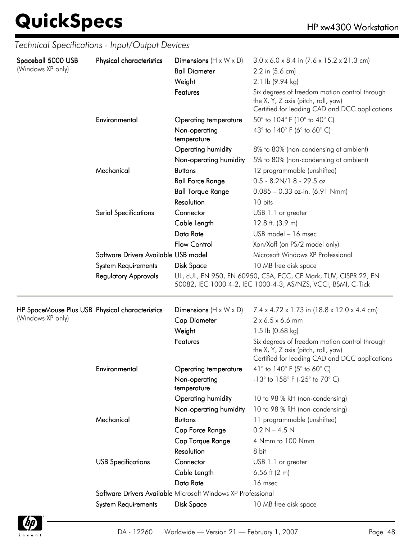| Spaceball 5000 USB                                                   | Physical characteristics                                     | Dimensions $(H \times W \times D)$ | $3.0 \times 6.0 \times 8.4$ in $(7.6 \times 15.2 \times 21.3$ cm)                                                                      |  |  |
|----------------------------------------------------------------------|--------------------------------------------------------------|------------------------------------|----------------------------------------------------------------------------------------------------------------------------------------|--|--|
| (Windows XP only)                                                    |                                                              | <b>Ball Diameter</b>               | 2.2 in (5.6 cm)                                                                                                                        |  |  |
|                                                                      |                                                              | Weight                             | 2.1 lb (9.94 kg)                                                                                                                       |  |  |
|                                                                      |                                                              | Features                           | Six degrees of freedom motion control through<br>the X, Y, Z axis (pitch, roll, yaw)<br>Certified for leading CAD and DCC applications |  |  |
|                                                                      | Environmental                                                | Operating temperature              | 50° to 104° F (10° to 40° C)                                                                                                           |  |  |
|                                                                      |                                                              | Non-operating<br>temperature       | 43° to 140° F (6° to 60° C)                                                                                                            |  |  |
|                                                                      |                                                              | Operating humidity                 | 8% to 80% (non-condensing at ambient)                                                                                                  |  |  |
|                                                                      |                                                              | Non-operating humidity             | 5% to 80% (non-condensing at ambient)                                                                                                  |  |  |
|                                                                      | Mechanical                                                   | <b>Buttons</b>                     | 12 programmable (unshifted)                                                                                                            |  |  |
|                                                                      |                                                              | <b>Ball Force Range</b>            | $0.5 - 8.2N/1.8 - 29.5$ oz                                                                                                             |  |  |
|                                                                      |                                                              | <b>Ball Torque Range</b>           | $0.085 - 0.33$ oz-in. (6.91 Nmm)                                                                                                       |  |  |
|                                                                      |                                                              | Resolution                         | 10 bits                                                                                                                                |  |  |
|                                                                      | <b>Serial Specifications</b>                                 | Connector                          | USB 1.1 or greater                                                                                                                     |  |  |
|                                                                      |                                                              | Cable Length                       | 12.8 ft. (3.9 m)                                                                                                                       |  |  |
|                                                                      |                                                              | Data Rate                          | USB model - 16 msec                                                                                                                    |  |  |
|                                                                      |                                                              | <b>Flow Control</b>                | Xon/Xoff (on PS/2 model only)                                                                                                          |  |  |
|                                                                      | Software Drivers Available USB model                         |                                    | Microsoft Windows XP Professional                                                                                                      |  |  |
|                                                                      | <b>System Requirements</b>                                   | Disk Space                         | 10 MB free disk space                                                                                                                  |  |  |
|                                                                      | <b>Regulatory Approvals</b>                                  |                                    | UL, cUL, EN 950, EN 60950, CSA, FCC, CE Mark, TUV, CISPR 22, EN<br>50082, IEC 1000 4-2, IEC 1000-4-3, AS/NZS, VCCI, BSMI, C-Tick       |  |  |
| HP SpaceMouse Plus USB Physical characteristics<br>(Windows XP only) |                                                              | Dimensions $(H \times W \times D)$ | 7.4 x 4.72 x 1.73 in (18.8 x 12.0 x 4.4 cm)                                                                                            |  |  |
|                                                                      |                                                              | <b>Cap Diameter</b>                | $2 \times 6.5 \times 6.6$ mm                                                                                                           |  |  |
|                                                                      |                                                              | Weight                             | 1.5 lb $(0.68 \text{ kg})$                                                                                                             |  |  |
|                                                                      |                                                              | Features                           | Six degrees of freedom motion control through<br>the X, Y, Z axis (pitch, roll, yaw)<br>Certified for leading CAD and DCC applications |  |  |
|                                                                      | Environmental                                                | <b>Operating temperature</b>       | 41° to 140° F (5° to 60° C)                                                                                                            |  |  |
|                                                                      |                                                              | Non-operating<br>temperature       | $-13^{\circ}$ to $158^{\circ}$ F (-25 $^{\circ}$ to 70 $^{\circ}$ C)                                                                   |  |  |
|                                                                      |                                                              | Operating humidity                 | 10 to 98 % RH (non-condensing)                                                                                                         |  |  |
|                                                                      |                                                              | Non-operating humidity             | 10 to 98 % RH (non-condensing)                                                                                                         |  |  |
|                                                                      | Mechanical                                                   | <b>Buttons</b>                     | 11 programmable (unshifted)                                                                                                            |  |  |
|                                                                      |                                                              | Cap Force Range                    | $0.2 N - 4.5 N$                                                                                                                        |  |  |
|                                                                      |                                                              | Cap Torque Range                   | 4 Nmm to 100 Nmm                                                                                                                       |  |  |
|                                                                      |                                                              | Resolution                         | 8 bit                                                                                                                                  |  |  |
|                                                                      | <b>USB Specifications</b>                                    | Connector                          | USB 1.1 or greater                                                                                                                     |  |  |
|                                                                      |                                                              | Cable Length                       | 6.56 ft $(2 \, \text{m})$                                                                                                              |  |  |
|                                                                      |                                                              | Data Rate                          | 16 msec                                                                                                                                |  |  |
|                                                                      | Software Drivers Available Microsoft Windows XP Professional |                                    |                                                                                                                                        |  |  |
|                                                                      | <b>System Requirements</b>                                   | Disk Space                         | 10 MB free disk space                                                                                                                  |  |  |



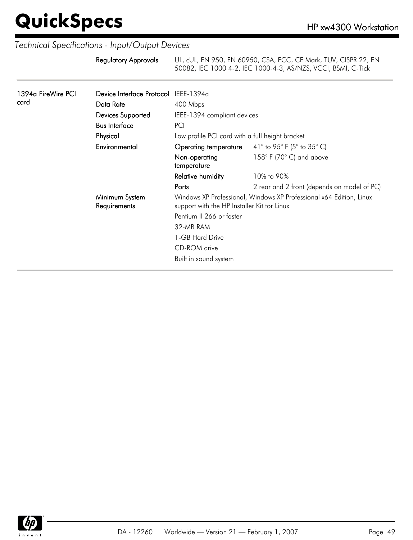| Regulatory Approvals | UL, cUL, EN 950, EN 60950, CSA, FCC, CE Mark, TUV, CISPR 22, EN |
|----------------------|-----------------------------------------------------------------|
|                      | 50082, IEC 1000 4-2, IEC 1000-4-3, AS/NZS, VCCI, BSMI, C-Tick   |

| 1394a FireWire PCI<br>card | Device Interface Protocol IEEE-1394a |                                                 |                                                                     |  |
|----------------------------|--------------------------------------|-------------------------------------------------|---------------------------------------------------------------------|--|
|                            | Data Rate                            | 400 Mbps                                        |                                                                     |  |
|                            | Devices Supported                    |                                                 | IEEE-1394 compliant devices                                         |  |
|                            | <b>Bus Interface</b>                 | PCI                                             |                                                                     |  |
|                            | Physical                             | Low profile PCI card with a full height bracket |                                                                     |  |
|                            | Environmental                        |                                                 | <b>Operating temperature</b> $41^{\circ}$ to 95° F (5° to 35° C)    |  |
|                            |                                      | Non-operating<br>temperature                    | $158^{\circ}$ F (70 $^{\circ}$ C) and above                         |  |
|                            |                                      | <b>Relative humidity</b>                        | 10% to 90%                                                          |  |
|                            |                                      | Ports                                           | 2 rear and 2 front (depends on model of PC)                         |  |
|                            | Minimum System<br>Requirements       | support with the HP Installer Kit for Linux     | Windows XP Professional, Windows XP Professional x64 Edition, Linux |  |
|                            |                                      | Pentium II 266 or faster                        |                                                                     |  |
|                            |                                      | 32-MB RAM                                       |                                                                     |  |
|                            |                                      | 1-GB Hard Drive                                 |                                                                     |  |
|                            |                                      | CD-ROM drive                                    |                                                                     |  |
|                            |                                      | Built in sound system                           |                                                                     |  |
|                            |                                      |                                                 |                                                                     |  |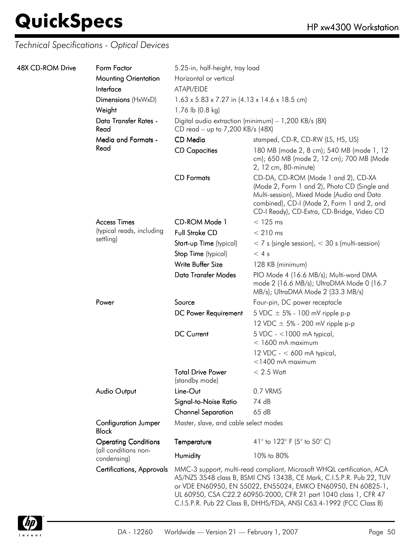| 48X CD-ROM Drive | Form Factor                                 | 5.25-in, half-height, tray load                                                                                                                                                                                                                                                                                                                          |                                                                                                                                                                                                                               |  |
|------------------|---------------------------------------------|----------------------------------------------------------------------------------------------------------------------------------------------------------------------------------------------------------------------------------------------------------------------------------------------------------------------------------------------------------|-------------------------------------------------------------------------------------------------------------------------------------------------------------------------------------------------------------------------------|--|
|                  | <b>Mounting Orientation</b>                 | Horizontal or vertical                                                                                                                                                                                                                                                                                                                                   |                                                                                                                                                                                                                               |  |
|                  | Interface                                   | ATAPI/EIDE                                                                                                                                                                                                                                                                                                                                               |                                                                                                                                                                                                                               |  |
|                  | Dimensions (HxWxD)                          | $1.63 \times 5.83 \times 7.27$ in $(4.13 \times 14.6 \times 18.5$ cm)                                                                                                                                                                                                                                                                                    |                                                                                                                                                                                                                               |  |
|                  | Weight                                      | 1.76 lb (0.8 kg)                                                                                                                                                                                                                                                                                                                                         |                                                                                                                                                                                                                               |  |
|                  | Data Transfer Rates -<br>Read               | Digital audio extraction (minimum) - 1,200 KB/s (8X)<br>CD read - up to 7,200 KB/s (48X)                                                                                                                                                                                                                                                                 |                                                                                                                                                                                                                               |  |
|                  | <b>Media and Formats -</b>                  | CD Media                                                                                                                                                                                                                                                                                                                                                 | stamped, CD-R, CD-RW (LS, HS, US)                                                                                                                                                                                             |  |
|                  | Read                                        | <b>CD Capacities</b>                                                                                                                                                                                                                                                                                                                                     | 180 MB (mode 2, 8 cm); 540 MB (mode 1, 12<br>cm); 650 MB (mode 2, 12 cm); 700 MB (Mode<br>2, 12 cm, 80-minute)                                                                                                                |  |
|                  |                                             | <b>CD</b> Formats                                                                                                                                                                                                                                                                                                                                        | CD-DA, CD-ROM (Mode 1 and 2), CD-XA<br>(Mode 2, Form 1 and 2), Photo CD (Single and<br>Multi-session), Mixed Mode (Audio and Data<br>combined), CD-I (Mode 2, Form 1 and 2, and<br>CD-I Ready), CD-Extra, CD-Bridge, Video CD |  |
|                  | <b>Access Times</b>                         | CD-ROM Mode 1                                                                                                                                                                                                                                                                                                                                            | $<$ 125 ms                                                                                                                                                                                                                    |  |
|                  | (typical reads, including                   | Full Stroke CD                                                                                                                                                                                                                                                                                                                                           | $< 210$ ms                                                                                                                                                                                                                    |  |
|                  | settling)                                   | Start-up Time (typical)                                                                                                                                                                                                                                                                                                                                  | $<$ 7 s (single session), $<$ 30 s (multi-session)                                                                                                                                                                            |  |
|                  |                                             | Stop Time (typical)                                                                                                                                                                                                                                                                                                                                      | < 4s                                                                                                                                                                                                                          |  |
|                  |                                             | Write Buffer Size                                                                                                                                                                                                                                                                                                                                        | 128 KB (minimum)                                                                                                                                                                                                              |  |
|                  |                                             | <b>Data Transfer Modes</b>                                                                                                                                                                                                                                                                                                                               | PIO Mode 4 (16.6 MB/s); Multi-word DMA<br>mode 2 (16.6 MB/s); UltraDMA Mode 0 (16.7<br>MB/s); UltraDMA Mode 2 (33.3 MB/s)                                                                                                     |  |
|                  | Power                                       | Source                                                                                                                                                                                                                                                                                                                                                   | Four-pin, DC power receptacle                                                                                                                                                                                                 |  |
|                  |                                             | DC Power Requirement                                                                                                                                                                                                                                                                                                                                     | 5 VDC $\pm$ 5% - 100 mV ripple p-p                                                                                                                                                                                            |  |
|                  |                                             |                                                                                                                                                                                                                                                                                                                                                          | 12 VDC $\pm$ 5% - 200 mV ripple p-p                                                                                                                                                                                           |  |
|                  |                                             | <b>DC Current</b>                                                                                                                                                                                                                                                                                                                                        | $5$ VDC - <1000 mA typical,<br>$<$ 1600 mA maximum                                                                                                                                                                            |  |
|                  |                                             |                                                                                                                                                                                                                                                                                                                                                          | 12 VDC - $<$ 600 mA typical,<br>$<$ 1400 mA maximum                                                                                                                                                                           |  |
|                  |                                             | <b>Total Drive Power</b><br>(standby mode)                                                                                                                                                                                                                                                                                                               | $< 2.5$ Watt                                                                                                                                                                                                                  |  |
|                  | <b>Audio Output</b>                         | Line-Out                                                                                                                                                                                                                                                                                                                                                 | 0.7 VRMS                                                                                                                                                                                                                      |  |
|                  |                                             | Signal-to-Noise Ratio                                                                                                                                                                                                                                                                                                                                    | 74 dB                                                                                                                                                                                                                         |  |
|                  |                                             | <b>Channel Separation</b>                                                                                                                                                                                                                                                                                                                                | 65dB                                                                                                                                                                                                                          |  |
|                  | <b>Configuration Jumper</b><br><b>Block</b> | Master, slave, and cable select modes                                                                                                                                                                                                                                                                                                                    |                                                                                                                                                                                                                               |  |
|                  | <b>Operating Conditions</b>                 | Temperature                                                                                                                                                                                                                                                                                                                                              | 41° to 122° F (5° to 50° C)                                                                                                                                                                                                   |  |
|                  | (all conditions non-<br>condensing)         | Humidity                                                                                                                                                                                                                                                                                                                                                 | 10% to 80%                                                                                                                                                                                                                    |  |
|                  | <b>Certifications, Approvals</b>            | MMC-3 support, multi-read compliant, Microsoft WHQL certification, ACA<br>AS/NZS 3548 class B, BSMI CNS 13438, CE Mark, C.I.S.P.R. Pub 22, TUV<br>or VDE EN60950, EN 55022, EN55024, EMKO EN60950, EN 60825-1,<br>UL 60950, CSA C22.2 60950-2000, CFR 21 part 1040 class 1, CFR 47<br>C.I.S.P.R. Pub 22 Class B, DHHS/FDA, ANSI C63.4-1992 (FCC Class B) |                                                                                                                                                                                                                               |  |

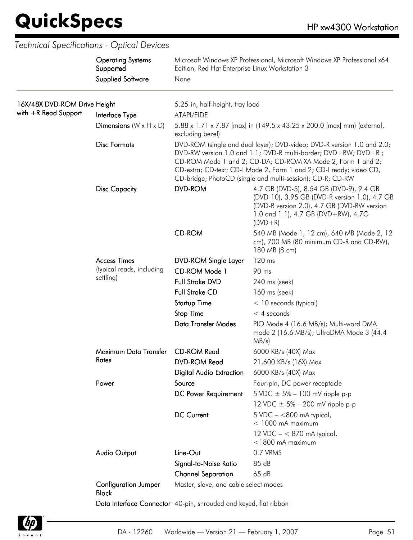$\overline{\phantom{a}}$ 

| <b>Supplied Software</b><br>16X/48X DVD-ROM Drive Height<br>5.25-in, half-height, tray load<br>with +R Read Support<br>Interface Type<br>ATAPI/EIDE<br>Dimensions $(W \times H \times D)$<br>5.88 x 1.71 x 7.87 [max] in (149.5 x 43.25 x 200.0 [max] mm) (external,<br>excluding bezel)<br><b>Disc Formats</b><br>DVD-ROM (single and dual layer); DVD-video; DVD-R version 1.0 and 2.0;<br>DVD-RW version 1.0 and 1.1; DVD-R multi-border; DVD+RW; DVD+R;<br>CD-ROM Mode 1 and 2; CD-DA; CD-ROM XA Mode 2, Form 1 and 2;<br>CD-extra; CD-text; CD-I Mode 2, Form 1 and 2; CD-I ready; video CD,<br>CD-bridge; PhotoCD (single and multi-session); CD-R; CD-RW<br><b>DVD-ROM</b><br>4.7 GB (DVD-5), 8.54 GB (DVD-9), 9.4 GB<br><b>Disc Capacity</b><br>(DVD-10), 3.95 GB (DVD-R version 1.0), 4.7 GB<br>(DVD-R version 2.0), 4.7 GB (DVD-RW version<br>1.0 and 1.1), 4.7 GB (DVD+RW), 4.7G<br>$(DVD + R)$<br><b>CD-ROM</b><br>540 MB (Mode 1, 12 cm), 640 MB (Mode 2, 12<br>cm), 700 MB (80 minimum CD-R and CD-RW),<br>180 MB (8 cm)<br>120 ms<br><b>Access Times</b><br><b>DVD-ROM Single Layer</b><br>(typical reads, including<br>CD-ROM Mode 1<br>90 ms<br>settling)<br>Full Stroke DVD<br>240 ms (seek)<br><b>Full Stroke CD</b><br>160 ms (seek)<br><b>Startup Time</b><br>$<$ 10 seconds (typical)<br><b>Stop Time</b><br>$<$ 4 seconds<br><b>Data Transfer Modes</b><br>PIO Mode 4 (16.6 MB/s); Multi-word DMA<br>mode 2 (16.6 MB/s); UltraDMA Mode 3 (44.4<br>MB/s)<br>Maximum Data Transfer<br><b>CD-ROM Read</b><br>6000 KB/s (40X) Max<br>Rates<br><b>DVD-ROM Read</b><br>21,600 KB/s (16X) Max<br><b>Digital Audio Extraction</b><br>6000 KB/s (40X) Max<br>Source<br>Power<br>Four-pin, DC power receptacle |  |  |  |
|-----------------------------------------------------------------------------------------------------------------------------------------------------------------------------------------------------------------------------------------------------------------------------------------------------------------------------------------------------------------------------------------------------------------------------------------------------------------------------------------------------------------------------------------------------------------------------------------------------------------------------------------------------------------------------------------------------------------------------------------------------------------------------------------------------------------------------------------------------------------------------------------------------------------------------------------------------------------------------------------------------------------------------------------------------------------------------------------------------------------------------------------------------------------------------------------------------------------------------------------------------------------------------------------------------------------------------------------------------------------------------------------------------------------------------------------------------------------------------------------------------------------------------------------------------------------------------------------------------------------------------------------------------------------------------------------------------------------------------|--|--|--|
|                                                                                                                                                                                                                                                                                                                                                                                                                                                                                                                                                                                                                                                                                                                                                                                                                                                                                                                                                                                                                                                                                                                                                                                                                                                                                                                                                                                                                                                                                                                                                                                                                                                                                                                             |  |  |  |
|                                                                                                                                                                                                                                                                                                                                                                                                                                                                                                                                                                                                                                                                                                                                                                                                                                                                                                                                                                                                                                                                                                                                                                                                                                                                                                                                                                                                                                                                                                                                                                                                                                                                                                                             |  |  |  |
|                                                                                                                                                                                                                                                                                                                                                                                                                                                                                                                                                                                                                                                                                                                                                                                                                                                                                                                                                                                                                                                                                                                                                                                                                                                                                                                                                                                                                                                                                                                                                                                                                                                                                                                             |  |  |  |
|                                                                                                                                                                                                                                                                                                                                                                                                                                                                                                                                                                                                                                                                                                                                                                                                                                                                                                                                                                                                                                                                                                                                                                                                                                                                                                                                                                                                                                                                                                                                                                                                                                                                                                                             |  |  |  |
|                                                                                                                                                                                                                                                                                                                                                                                                                                                                                                                                                                                                                                                                                                                                                                                                                                                                                                                                                                                                                                                                                                                                                                                                                                                                                                                                                                                                                                                                                                                                                                                                                                                                                                                             |  |  |  |
|                                                                                                                                                                                                                                                                                                                                                                                                                                                                                                                                                                                                                                                                                                                                                                                                                                                                                                                                                                                                                                                                                                                                                                                                                                                                                                                                                                                                                                                                                                                                                                                                                                                                                                                             |  |  |  |
|                                                                                                                                                                                                                                                                                                                                                                                                                                                                                                                                                                                                                                                                                                                                                                                                                                                                                                                                                                                                                                                                                                                                                                                                                                                                                                                                                                                                                                                                                                                                                                                                                                                                                                                             |  |  |  |
|                                                                                                                                                                                                                                                                                                                                                                                                                                                                                                                                                                                                                                                                                                                                                                                                                                                                                                                                                                                                                                                                                                                                                                                                                                                                                                                                                                                                                                                                                                                                                                                                                                                                                                                             |  |  |  |
|                                                                                                                                                                                                                                                                                                                                                                                                                                                                                                                                                                                                                                                                                                                                                                                                                                                                                                                                                                                                                                                                                                                                                                                                                                                                                                                                                                                                                                                                                                                                                                                                                                                                                                                             |  |  |  |
|                                                                                                                                                                                                                                                                                                                                                                                                                                                                                                                                                                                                                                                                                                                                                                                                                                                                                                                                                                                                                                                                                                                                                                                                                                                                                                                                                                                                                                                                                                                                                                                                                                                                                                                             |  |  |  |
|                                                                                                                                                                                                                                                                                                                                                                                                                                                                                                                                                                                                                                                                                                                                                                                                                                                                                                                                                                                                                                                                                                                                                                                                                                                                                                                                                                                                                                                                                                                                                                                                                                                                                                                             |  |  |  |
|                                                                                                                                                                                                                                                                                                                                                                                                                                                                                                                                                                                                                                                                                                                                                                                                                                                                                                                                                                                                                                                                                                                                                                                                                                                                                                                                                                                                                                                                                                                                                                                                                                                                                                                             |  |  |  |
|                                                                                                                                                                                                                                                                                                                                                                                                                                                                                                                                                                                                                                                                                                                                                                                                                                                                                                                                                                                                                                                                                                                                                                                                                                                                                                                                                                                                                                                                                                                                                                                                                                                                                                                             |  |  |  |
|                                                                                                                                                                                                                                                                                                                                                                                                                                                                                                                                                                                                                                                                                                                                                                                                                                                                                                                                                                                                                                                                                                                                                                                                                                                                                                                                                                                                                                                                                                                                                                                                                                                                                                                             |  |  |  |
|                                                                                                                                                                                                                                                                                                                                                                                                                                                                                                                                                                                                                                                                                                                                                                                                                                                                                                                                                                                                                                                                                                                                                                                                                                                                                                                                                                                                                                                                                                                                                                                                                                                                                                                             |  |  |  |
|                                                                                                                                                                                                                                                                                                                                                                                                                                                                                                                                                                                                                                                                                                                                                                                                                                                                                                                                                                                                                                                                                                                                                                                                                                                                                                                                                                                                                                                                                                                                                                                                                                                                                                                             |  |  |  |
|                                                                                                                                                                                                                                                                                                                                                                                                                                                                                                                                                                                                                                                                                                                                                                                                                                                                                                                                                                                                                                                                                                                                                                                                                                                                                                                                                                                                                                                                                                                                                                                                                                                                                                                             |  |  |  |
|                                                                                                                                                                                                                                                                                                                                                                                                                                                                                                                                                                                                                                                                                                                                                                                                                                                                                                                                                                                                                                                                                                                                                                                                                                                                                                                                                                                                                                                                                                                                                                                                                                                                                                                             |  |  |  |
| DC Power Requirement<br>5 VDC $\pm$ 5% – 100 mV ripple p-p                                                                                                                                                                                                                                                                                                                                                                                                                                                                                                                                                                                                                                                                                                                                                                                                                                                                                                                                                                                                                                                                                                                                                                                                                                                                                                                                                                                                                                                                                                                                                                                                                                                                  |  |  |  |
| 12 VDC $\pm$ 5% – 200 mV ripple p-p                                                                                                                                                                                                                                                                                                                                                                                                                                                                                                                                                                                                                                                                                                                                                                                                                                                                                                                                                                                                                                                                                                                                                                                                                                                                                                                                                                                                                                                                                                                                                                                                                                                                                         |  |  |  |
| <b>DC Current</b><br>$5$ VDC $-$ <800 mA typical,<br>$<$ 1000 mA maximum                                                                                                                                                                                                                                                                                                                                                                                                                                                                                                                                                                                                                                                                                                                                                                                                                                                                                                                                                                                                                                                                                                                                                                                                                                                                                                                                                                                                                                                                                                                                                                                                                                                    |  |  |  |
| 12 VDC $- < 870$ mA typical,<br>$<$ 1800 mA maximum                                                                                                                                                                                                                                                                                                                                                                                                                                                                                                                                                                                                                                                                                                                                                                                                                                                                                                                                                                                                                                                                                                                                                                                                                                                                                                                                                                                                                                                                                                                                                                                                                                                                         |  |  |  |
| 0.7 VRMS<br><b>Audio Output</b><br>Line-Out                                                                                                                                                                                                                                                                                                                                                                                                                                                                                                                                                                                                                                                                                                                                                                                                                                                                                                                                                                                                                                                                                                                                                                                                                                                                                                                                                                                                                                                                                                                                                                                                                                                                                 |  |  |  |
| 85 dB<br>Signal-to-Noise Ratio                                                                                                                                                                                                                                                                                                                                                                                                                                                                                                                                                                                                                                                                                                                                                                                                                                                                                                                                                                                                                                                                                                                                                                                                                                                                                                                                                                                                                                                                                                                                                                                                                                                                                              |  |  |  |
| 65 dB<br><b>Channel Separation</b>                                                                                                                                                                                                                                                                                                                                                                                                                                                                                                                                                                                                                                                                                                                                                                                                                                                                                                                                                                                                                                                                                                                                                                                                                                                                                                                                                                                                                                                                                                                                                                                                                                                                                          |  |  |  |
| Master, slave, and cable select modes<br><b>Configuration Jumper</b><br><b>Block</b>                                                                                                                                                                                                                                                                                                                                                                                                                                                                                                                                                                                                                                                                                                                                                                                                                                                                                                                                                                                                                                                                                                                                                                                                                                                                                                                                                                                                                                                                                                                                                                                                                                        |  |  |  |
| Data Interface Connector 40-pin, shrouded and keyed, flat ribbon                                                                                                                                                                                                                                                                                                                                                                                                                                                                                                                                                                                                                                                                                                                                                                                                                                                                                                                                                                                                                                                                                                                                                                                                                                                                                                                                                                                                                                                                                                                                                                                                                                                            |  |  |  |

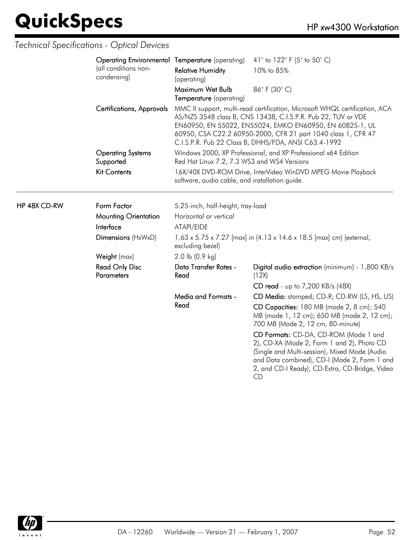HP 48X CD-RW

|  | Operating Environmental Temperature (operating) |                                                                                                                | 41 $\degree$ to 122 $\degree$ F (5 $\degree$ to 50 $\degree$ C)                                                                                                                                                                                                                                                                   |  |
|--|-------------------------------------------------|----------------------------------------------------------------------------------------------------------------|-----------------------------------------------------------------------------------------------------------------------------------------------------------------------------------------------------------------------------------------------------------------------------------------------------------------------------------|--|
|  | (all conditions non-<br>condensing)             | <b>Relative Humidity</b><br>(operating)                                                                        | 10% to 85%                                                                                                                                                                                                                                                                                                                        |  |
|  |                                                 | Maximum Wet Bulb<br>Temperature (operating)                                                                    | 86°F (30°C)                                                                                                                                                                                                                                                                                                                       |  |
|  | <b>Certifications, Approvals</b>                |                                                                                                                | MMC II support, multi-read certification, Microsoft WHQL certification, ACA<br>AS/NZS 3548 class B, CNS 13438, C.I.S.P.R. Pub 22, TUV or VDE<br>EN60950, EN 55022, EN55024, EMKO EN60950, EN 60825-1, UL<br>60950, CSA C22.2 60950-2000, CFR 21 part 1040 class 1, CFR 47<br>C.I.S.P.R. Pub 22 Class B, DHHS/FDA, ANSI C63.4-1992 |  |
|  | <b>Operating Systems</b><br>Supported           | Red Hat Linux 7.2, 7.3 WS3 and WS4 Versions                                                                    | Windows 2000, XP Professional, and XP Professional x64 Edition                                                                                                                                                                                                                                                                    |  |
|  | <b>Kit Contents</b>                             | 16X/40X DVD-ROM Drive, InterVideo WinDVD MPEG Movie Playback<br>software, audio cable, and installation guide. |                                                                                                                                                                                                                                                                                                                                   |  |
|  | Form Factor                                     | 5.25-inch, half-height, tray-load                                                                              |                                                                                                                                                                                                                                                                                                                                   |  |
|  | <b>Mounting Orientation</b>                     | Horizontal or vertical                                                                                         |                                                                                                                                                                                                                                                                                                                                   |  |
|  | Interface                                       | ATAPI/EIDE                                                                                                     |                                                                                                                                                                                                                                                                                                                                   |  |
|  | Dimensions (HxWxD)                              | excluding bezel)                                                                                               | 1.63 x 5.75 x 7.27 [max] in (4.13 x 14.6 x 18.5 [max] cm) (external,                                                                                                                                                                                                                                                              |  |
|  | Weight (max)                                    | $2.0$ lb $(0.9$ kg)                                                                                            |                                                                                                                                                                                                                                                                                                                                   |  |
|  | <b>Read Only Disc</b><br><b>Parameters</b>      | Data Transfer Rates -<br>Read                                                                                  | Digital audio extraction (minimum) - 1,800 KB/s<br>(12X)                                                                                                                                                                                                                                                                          |  |
|  |                                                 |                                                                                                                | CD read - up to 7,200 KB/s (48X)                                                                                                                                                                                                                                                                                                  |  |
|  |                                                 | <b>Media and Formats -</b>                                                                                     | CD Media: stamped; CD-R; CD-RW (LS, HS, US)                                                                                                                                                                                                                                                                                       |  |
|  |                                                 | Read                                                                                                           | CD Capacities: 180 MB (mode 2, 8 cm); 540<br>MB (mode 1, 12 cm); 650 MB (mode 2, 12 cm);<br>700 MB (Mode 2, 12 cm, 80-minute)                                                                                                                                                                                                     |  |
|  |                                                 |                                                                                                                | CD Formats: CD-DA, CD-ROM (Mode 1 and<br>2), CD-XA (Mode 2, Form 1 and 2), Photo CD<br>(Single and Multi-session), Mixed Mode (Audio<br>and Data combined), CD-I (Mode 2, Form 1 and<br>2, and CD-I Ready), CD-Extra, CD-Bridge, Video<br><b>CD</b>                                                                               |  |

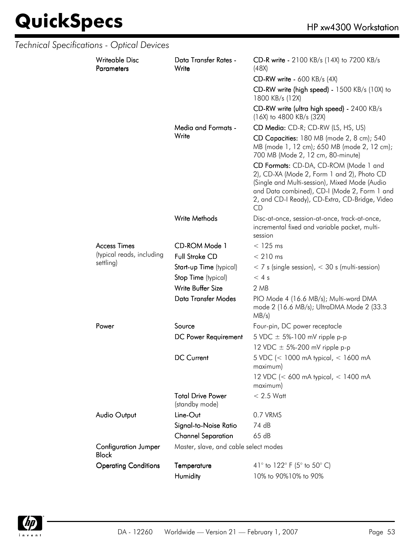|                                  | Technical Specifications - Optical Devices  |                                            |                                                                                                                                                                                                                                              |
|----------------------------------|---------------------------------------------|--------------------------------------------|----------------------------------------------------------------------------------------------------------------------------------------------------------------------------------------------------------------------------------------------|
|                                  | <b>Writeable Disc</b><br><b>Parameters</b>  | Data Transfer Rates -<br>Write             | CD-R write - 2100 KB/s (14X) to 7200 KB/s<br>(48X)                                                                                                                                                                                           |
|                                  |                                             |                                            | $CD-RW$ write - 600 KB/s (4X)                                                                                                                                                                                                                |
|                                  |                                             |                                            | CD-RW write (high speed) - 1500 KB/s (10X) to<br>1800 KB/s (12X)                                                                                                                                                                             |
|                                  |                                             |                                            | CD-RW write (ultra high speed) - 2400 KB/s<br>(16X) to 4800 KB/s (32X)                                                                                                                                                                       |
|                                  |                                             | Media and Formats -                        | CD Media: CD-R; CD-RW (LS, HS, US)                                                                                                                                                                                                           |
|                                  |                                             | Write                                      | CD Capacities: 180 MB (mode 2, 8 cm); 540<br>MB (mode 1, 12 cm); 650 MB (mode 2, 12 cm);<br>700 MB (Mode 2, 12 cm, 80-minute)                                                                                                                |
|                                  |                                             |                                            | CD Formats: CD-DA, CD-ROM (Mode 1 and<br>2), CD-XA (Mode 2, Form 1 and 2), Photo CD<br>(Single and Multi-session), Mixed Mode (Audio<br>and Data combined), CD-I (Mode 2, Form 1 and<br>2, and CD-I Ready), CD-Extra, CD-Bridge, Video<br>CD |
|                                  |                                             | Write Methods                              | Disc-at-once, session-at-once, track-at-once,<br>incremental fixed and variable packet, multi-<br>session                                                                                                                                    |
| <b>Access Times</b><br>settling) |                                             | CD-ROM Mode 1                              | $<$ 125 ms                                                                                                                                                                                                                                   |
|                                  | (typical reads, including                   | <b>Full Stroke CD</b>                      | $< 210$ ms                                                                                                                                                                                                                                   |
|                                  |                                             | Start-up Time (typical)                    | $<$ 7 s (single session), $<$ 30 s (multi-session)                                                                                                                                                                                           |
|                                  |                                             | Stop Time (typical)                        | < 4s                                                                                                                                                                                                                                         |
|                                  |                                             | Write Buffer Size                          | 2 MB                                                                                                                                                                                                                                         |
|                                  |                                             | <b>Data Transfer Modes</b>                 | PIO Mode 4 (16.6 MB/s); Multi-word DMA<br>mode 2 (16.6 MB/s); UltraDMA Mode 2 (33.3<br>MB/s)                                                                                                                                                 |
|                                  | Power                                       | Source                                     | Four-pin, DC power receptacle                                                                                                                                                                                                                |
|                                  |                                             | DC Power Requirement                       | 5 VDC $\pm$ 5%-100 mV ripple p-p                                                                                                                                                                                                             |
|                                  |                                             |                                            | 12 VDC $\pm$ 5%-200 mV ripple p-p                                                                                                                                                                                                            |
|                                  |                                             | DC Current                                 | 5 VDC (< 1000 mA typical, < 1600 mA<br>maximum)                                                                                                                                                                                              |
|                                  |                                             |                                            | 12 VDC (< 600 mA typical, < 1400 mA<br>maximum)                                                                                                                                                                                              |
|                                  |                                             | <b>Total Drive Power</b><br>(standby mode) | $< 2.5$ Watt                                                                                                                                                                                                                                 |
|                                  | <b>Audio Output</b>                         | Line-Out                                   | 0.7 VRMS                                                                                                                                                                                                                                     |
|                                  | Signal-to-Noise Ratio                       | 74 dB                                      |                                                                                                                                                                                                                                              |
|                                  |                                             | <b>Channel Separation</b>                  | 65 dB                                                                                                                                                                                                                                        |
|                                  | <b>Configuration Jumper</b><br><b>Block</b> | Master, slave, and cable select modes      |                                                                                                                                                                                                                                              |
|                                  | <b>Operating Conditions</b>                 | Temperature                                | 41° to 122° F (5° to 50° C)                                                                                                                                                                                                                  |
|                                  |                                             | Humidity                                   | 10% to 90%10% to 90%                                                                                                                                                                                                                         |

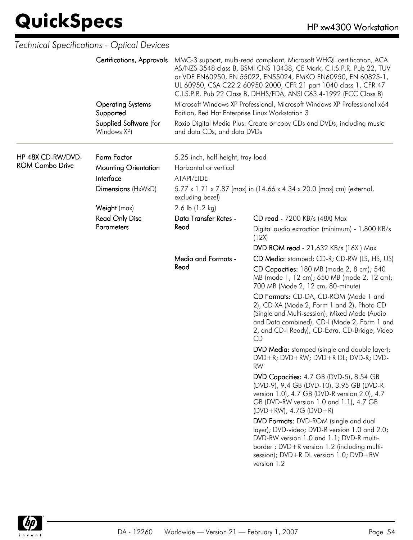|                                             | Technical Specifications - Optical Devices                                    |                                                                                                                                                                        |                                                                                                                                                                                                                                                                                                                                                          |
|---------------------------------------------|-------------------------------------------------------------------------------|------------------------------------------------------------------------------------------------------------------------------------------------------------------------|----------------------------------------------------------------------------------------------------------------------------------------------------------------------------------------------------------------------------------------------------------------------------------------------------------------------------------------------------------|
|                                             | <b>Certifications, Approvals</b>                                              |                                                                                                                                                                        | MMC-3 support, multi-read compliant, Microsoft WHQL certification, ACA<br>AS/NZS 3548 class B, BSMI CNS 13438, CE Mark, C.I.S.P.R. Pub 22, TUV<br>or VDE EN60950, EN 55022, EN55024, EMKO EN60950, EN 60825-1,<br>UL 60950, CSA C22.2 60950-2000, CFR 21 part 1040 class 1, CFR 47<br>C.I.S.P.R. Pub 22 Class B, DHHS/FDA, ANSI C63.4-1992 (FCC Class B) |
|                                             | <b>Operating Systems</b><br>Supported                                         | Edition, Red Hat Enterprise Linux Workstation 3                                                                                                                        | Microsoft Windows XP Professional, Microsoft Windows XP Professional x64                                                                                                                                                                                                                                                                                 |
|                                             | Supplied Software (for<br>Windows XP)                                         | and data CDs, and data DVDs                                                                                                                                            | Roxio Digital Media Plus: Create or copy CDs and DVDs, including music                                                                                                                                                                                                                                                                                   |
| HP 48X CD-RW/DVD-<br><b>ROM Combo Drive</b> | Form Factor<br><b>Mounting Orientation</b><br>Interface<br>Dimensions (HxWxD) | 5.25-inch, half-height, tray-load<br>Horizontal or vertical<br>ATAPI/EIDE<br>5.77 x 1.71 x 7.87 [max] in (14.66 x 4.34 x 20.0 [max] cm) (external,<br>excluding bezel) |                                                                                                                                                                                                                                                                                                                                                          |
|                                             | Weight (max)                                                                  | 2.6 lb $(1.2 \text{ kg})$                                                                                                                                              |                                                                                                                                                                                                                                                                                                                                                          |
|                                             | <b>Read Only Disc</b><br><b>Parameters</b>                                    | Data Transfer Rates -<br>Read                                                                                                                                          | CD read - 7200 KB/s (48X) Max<br>Digital audio extraction (minimum) - 1,800 KB/s                                                                                                                                                                                                                                                                         |
|                                             |                                                                               |                                                                                                                                                                        | (12X)                                                                                                                                                                                                                                                                                                                                                    |
|                                             |                                                                               |                                                                                                                                                                        | <b>DVD ROM read - 21,632 KB/s (16X) Max</b>                                                                                                                                                                                                                                                                                                              |
|                                             |                                                                               | Media and Formats -<br>Read                                                                                                                                            | CD Media: stamped; CD-R; CD-RW (LS, HS, US)<br>CD Capacities: 180 MB (mode 2, 8 cm); 540<br>MB (mode 1, 12 cm); 650 MB (mode 2, 12 cm);                                                                                                                                                                                                                  |
|                                             |                                                                               |                                                                                                                                                                        | 700 MB (Mode 2, 12 cm, 80-minute)<br>CD Formats: CD-DA, CD-ROM (Mode 1 and<br>2), CD-XA (Mode 2, Form 1 and 2), Photo CD<br>(Single and Multi-session), Mixed Mode (Audio<br>and Data combined), CD-I (Mode 2, Form 1 and<br>2, and CD-I Ready), CD-Extra, CD-Bridge, Video<br>CD                                                                        |
|                                             |                                                                               |                                                                                                                                                                        | DVD Media: stamped (single and double layer);<br>DVD+R; DVD+RW; DVD+R DL; DVD-R; DVD-<br><b>RW</b>                                                                                                                                                                                                                                                       |
|                                             |                                                                               |                                                                                                                                                                        | DVD Capacities: 4.7 GB (DVD-5), 8.54 GB<br>(DVD-9), 9.4 GB (DVD-10), 3.95 GB (DVD-R<br>version 1.0), 4.7 GB (DVD-R version 2.0), 4.7<br>GB (DVD-RW version 1.0 and 1.1), 4.7 GB<br>$(DVD+RW)$ , 4.7G $(DVD+R)$                                                                                                                                           |
|                                             |                                                                               |                                                                                                                                                                        | DVD Formats: DVD-ROM (single and dual<br>layer); DVD-video; DVD-R version 1.0 and 2.0;<br>DVD-RW version 1.0 and 1.1; DVD-R multi-<br>border ; DVD+R version 1.2 (including multi-<br>session); DVD+R DL version 1.0; DVD+RW<br>version 1.2                                                                                                              |

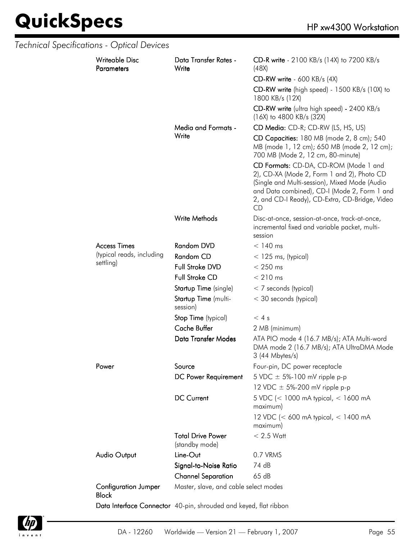|  | Technical Specifications - Optical Devices  |                                                                  |                                                                                                                                                                                                                                              |
|--|---------------------------------------------|------------------------------------------------------------------|----------------------------------------------------------------------------------------------------------------------------------------------------------------------------------------------------------------------------------------------|
|  | <b>Writeable Disc</b><br><b>Parameters</b>  | Data Transfer Rates -<br>Write                                   | CD-R write - 2100 KB/s (14X) to 7200 KB/s<br>(48X)                                                                                                                                                                                           |
|  |                                             |                                                                  | <b>CD-RW write - 600 KB/s (4X)</b>                                                                                                                                                                                                           |
|  |                                             |                                                                  | CD-RW write (high speed) - 1500 KB/s (10X) to<br>1800 KB/s (12X)                                                                                                                                                                             |
|  |                                             |                                                                  | CD-RW write (ultra high speed) - 2400 KB/s<br>$(16X)$ to 4800 KB/s $(32X)$                                                                                                                                                                   |
|  |                                             | Media and Formats -                                              | CD Media: CD-R; CD-RW (LS, HS, US)                                                                                                                                                                                                           |
|  |                                             | Write                                                            | CD Capacities: 180 MB (mode 2, 8 cm); 540<br>MB (mode 1, 12 cm); 650 MB (mode 2, 12 cm);<br>700 MB (Mode 2, 12 cm, 80-minute)                                                                                                                |
|  |                                             |                                                                  | CD Formats: CD-DA, CD-ROM (Mode 1 and<br>2), CD-XA (Mode 2, Form 1 and 2), Photo CD<br>(Single and Multi-session), Mixed Mode (Audio<br>and Data combined), CD-I (Mode 2, Form 1 and<br>2, and CD-I Ready), CD-Extra, CD-Bridge, Video<br>CD |
|  |                                             | Write Methods                                                    | Disc-at-once, session-at-once, track-at-once,<br>incremental fixed and variable packet, multi-<br>session                                                                                                                                    |
|  | <b>Access Times</b>                         | <b>Random DVD</b>                                                | $< 140$ ms                                                                                                                                                                                                                                   |
|  | (typical reads, including                   | Random CD                                                        | $<$ 125 ms, (typical)                                                                                                                                                                                                                        |
|  | settling)                                   | Full Stroke DVD                                                  | $< 250$ ms                                                                                                                                                                                                                                   |
|  |                                             | Full Stroke CD                                                   | $< 210$ ms                                                                                                                                                                                                                                   |
|  |                                             | Startup Time (single)                                            | $<$ 7 seconds (typical)                                                                                                                                                                                                                      |
|  | Startup Time (multi-<br>session)            | < 30 seconds (typical)                                           |                                                                                                                                                                                                                                              |
|  |                                             | Stop Time (typical)                                              | < 4s                                                                                                                                                                                                                                         |
|  |                                             | <b>Cache Buffer</b>                                              | 2 MB (minimum)                                                                                                                                                                                                                               |
|  |                                             | <b>Data Transfer Modes</b>                                       | ATA PIO mode 4 (16.7 MB/s); ATA Multi-word<br>DMA mode 2 (16.7 MB/s); ATA UltraDMA Mode<br>$3(44$ Mbytes/s)                                                                                                                                  |
|  | Power                                       | Source                                                           | Four-pin, DC power receptacle                                                                                                                                                                                                                |
|  |                                             | DC Power Requirement                                             | 5 VDC $\pm$ 5%-100 mV ripple p-p                                                                                                                                                                                                             |
|  |                                             |                                                                  | 12 VDC $\pm$ 5%-200 mV ripple p-p                                                                                                                                                                                                            |
|  |                                             | <b>DC Current</b>                                                | 5 VDC (< 1000 mA typical, < 1600 mA<br>maximum)                                                                                                                                                                                              |
|  |                                             |                                                                  | 12 VDC (< 600 mA typical, < 1400 mA<br>maximum)                                                                                                                                                                                              |
|  |                                             | <b>Total Drive Power</b><br>(standby mode)                       | $< 2.5$ Watt                                                                                                                                                                                                                                 |
|  | <b>Audio Output</b>                         | Line-Out                                                         | 0.7 VRMS                                                                                                                                                                                                                                     |
|  |                                             | Signal-to-Noise Ratio                                            | 74 dB                                                                                                                                                                                                                                        |
|  |                                             | <b>Channel Separation</b>                                        | 65 dB                                                                                                                                                                                                                                        |
|  | <b>Configuration Jumper</b><br><b>Block</b> | Master, slave, and cable select modes                            |                                                                                                                                                                                                                                              |
|  |                                             | Data Interface Connector 40-pin, shrouded and keyed, flat ribbon |                                                                                                                                                                                                                                              |

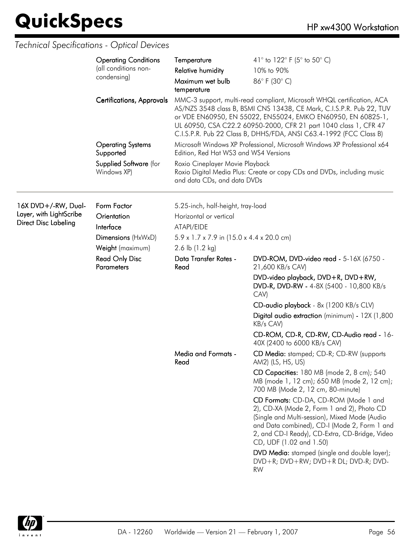|                                                                               | <b>Operating Conditions</b><br>(all conditions non-<br>condensing)<br><b>Certifications, Approvals</b> | Temperature<br><b>Relative humidity</b><br>Maximum wet bulb<br>temperature                                                                                                                                                                                    | 41° to 122° F (5° to 50° C)<br>10% to 90%<br>86°F (30°C)<br>MMC-3 support, multi-read compliant, Microsoft WHQL certification, ACA<br>AS/NZS 3548 class B, BSMI CNS 13438, CE Mark, C.I.S.P.R. Pub 22, TUV<br>or VDE EN60950, EN 55022, EN55024, EMKO EN60950, EN 60825-1,<br>UL 60950, CSA C22.2 60950-2000, CFR 21 part 1040 class 1, CFR 47<br>C.I.S.P.R. Pub 22 Class B, DHHS/FDA, ANSI C63.4-1992 (FCC Class B)                                                                                                                                                      |
|-------------------------------------------------------------------------------|--------------------------------------------------------------------------------------------------------|---------------------------------------------------------------------------------------------------------------------------------------------------------------------------------------------------------------------------------------------------------------|---------------------------------------------------------------------------------------------------------------------------------------------------------------------------------------------------------------------------------------------------------------------------------------------------------------------------------------------------------------------------------------------------------------------------------------------------------------------------------------------------------------------------------------------------------------------------|
|                                                                               | <b>Operating Systems</b><br>Supported<br>Supplied Software (for<br>Windows XP)                         | Microsoft Windows XP Professional, Microsoft Windows XP Professional x64<br>Edition, Red Hat WS3 and WS4 Versions<br>Roxio Cineplayer Movie Playback<br>Roxio Digital Media Plus: Create or copy CDs and DVDs, including music<br>and data CDs, and data DVDs |                                                                                                                                                                                                                                                                                                                                                                                                                                                                                                                                                                           |
| 16X DVD+/-RW, Dual-<br>Layer, with LightScribe<br><b>Direct Disc Labeling</b> | Form Factor<br>Orientation<br>Interface<br>Dimensions (HxWxD)<br>Weight (maximum)                      | 5.25-inch, half-height, tray-load<br>Horizontal or vertical<br>ATAPI/EIDE<br>$5.9 \times 1.7 \times 7.9$ in (15.0 x 4.4 x 20.0 cm)<br>2.6 lb (1.2 kg)                                                                                                         |                                                                                                                                                                                                                                                                                                                                                                                                                                                                                                                                                                           |
|                                                                               | <b>Read Only Disc</b><br><b>Parameters</b>                                                             | Data Transfer Rates -<br>Read                                                                                                                                                                                                                                 | DVD-ROM, DVD-video read - 5-16X (6750 -<br>21,600 KB/s CAV)<br>DVD-video playback, DVD+R, DVD+RW,<br>DVD-R, DVD-RW - 4-8X (5400 - 10,800 KB/s<br>CAV)<br>CD-audio playback - 8x (1200 KB/s CLV)<br>Digital audio extraction (minimum) - 12X (1,800<br>KB/s CAV)<br>CD-ROM, CD-R, CD-RW, CD-Audio read - 16-<br>40X (2400 to 6000 KB/s CAV)                                                                                                                                                                                                                                |
|                                                                               |                                                                                                        | Media and Formats -<br>Read                                                                                                                                                                                                                                   | CD Media: stamped; CD-R; CD-RW (supports<br>AM2) (LS, HS, US)<br>CD Capacities: 180 MB (mode 2, 8 cm); 540<br>MB (mode 1, 12 cm); 650 MB (mode 2, 12 cm);<br>700 MB (Mode 2, 12 cm, 80-minute)<br>CD Formats: CD-DA, CD-ROM (Mode 1 and<br>2), CD-XA (Mode 2, Form 1 and 2), Photo CD<br>(Single and Multi-session), Mixed Mode (Audio<br>and Data combined), CD-I (Mode 2, Form 1 and<br>2, and CD-I Ready), CD-Extra, CD-Bridge, Video<br>CD, UDF (1.02 and 1.50)<br>DVD Media: stamped (single and double layer);<br>DVD+R; DVD+RW; DVD+R DL; DVD-R; DVD-<br><b>RW</b> |

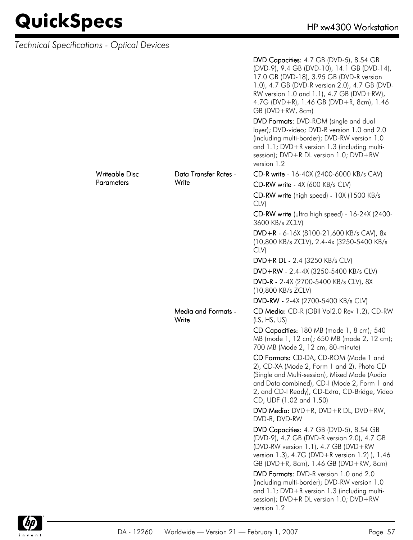| Technical Specifications - Optical Devices |                                     |                                                                                                                                                                                                                                                                                                    |
|--------------------------------------------|-------------------------------------|----------------------------------------------------------------------------------------------------------------------------------------------------------------------------------------------------------------------------------------------------------------------------------------------------|
|                                            |                                     | DVD Capacities: 4.7 GB (DVD-5), 8.54 GB<br>(DVD-9), 9.4 GB (DVD-10), 14.1 GB (DVD-14),<br>17.0 GB (DVD-18), 3.95 GB (DVD-R version<br>1.0), 4.7 GB (DVD-R version 2.0), 4.7 GB (DVD-<br>RW version 1.0 and 1.1), 4.7 GB (DVD+RW),<br>4.7G (DVD+R), 1.46 GB (DVD+R, 8cm), 1.46<br>$GB(DVD+RW, 8cm)$ |
|                                            |                                     | DVD Formats: DVD-ROM (single and dual<br>layer); DVD-video; DVD-R version 1.0 and 2.0<br>(including multi-border); DVD-RW version 1.0<br>and 1.1; DVD+R version 1.3 (including multi-<br>session); $DVD + R DL$ version 1.0; $DVD + RW$<br>version 1.2                                             |
| Writeable Disc                             | Data Transfer Rates -               | CD-R write - 16-40X (2400-6000 KB/s CAV)                                                                                                                                                                                                                                                           |
| <b>Parameters</b>                          | Write                               | CD-RW write - 4X (600 KB/s CLV)                                                                                                                                                                                                                                                                    |
|                                            |                                     | CD-RW write (high speed) - 10X (1500 KB/s<br>CLV)                                                                                                                                                                                                                                                  |
|                                            |                                     | CD-RW write (ultra high speed) - 16-24X (2400-<br>3600 KB/s ZCLV)                                                                                                                                                                                                                                  |
|                                            |                                     | DVD+R - 6-16X (8100-21,600 KB/s CAV), 8x<br>(10,800 KB/s ZCLV), 2.4-4x (3250-5400 KB/s<br>CLV)                                                                                                                                                                                                     |
|                                            |                                     | DVD+R DL - 2.4 (3250 KB/s CLV)                                                                                                                                                                                                                                                                     |
|                                            |                                     | DVD+RW - 2.4-4X (3250-5400 KB/s CLV)                                                                                                                                                                                                                                                               |
|                                            |                                     | DVD-R - 2-4X (2700-5400 KB/s CLV), 8X<br>(10,800 KB/s ZCLV)                                                                                                                                                                                                                                        |
|                                            |                                     | DVD-RW - 2-4X (2700-5400 KB/s CLV)                                                                                                                                                                                                                                                                 |
|                                            | <b>Media and Formats -</b><br>Write | CD Media: CD-R (OBII Vol2.0 Rev 1.2), CD-RW<br>(LS, HS, US)                                                                                                                                                                                                                                        |
|                                            |                                     | CD Capacities: 180 MB (mode 1, 8 cm); 540<br>MB (mode 1, 12 cm); 650 MB (mode 2, 12 cm);<br>700 MB (Mode 2, 12 cm, 80-minute)                                                                                                                                                                      |
|                                            |                                     | CD Formats: CD-DA, CD-ROM (Mode 1 and<br>2), CD-XA (Mode 2, Form 1 and 2), Photo CD<br>(Single and Multi-session), Mixed Mode (Audio<br>and Data combined), CD-I (Mode 2, Form 1 and<br>2, and CD-I Ready), CD-Extra, CD-Bridge, Video<br>CD, UDF (1.02 and 1.50)                                  |
|                                            |                                     | DVD Media: $DVD + R$ , $DVD + R DL$ , $DVD + RW$ ,<br>DVD-R, DVD-RW                                                                                                                                                                                                                                |
|                                            |                                     | DVD Capacities: 4.7 GB (DVD-5), 8.54 GB<br>(DVD-9), 4.7 GB (DVD-R version 2.0), 4.7 GB<br>(DVD-RW version 1.1), 4.7 GB (DVD+RW<br>version 1.3), 4.7G (DVD+R version 1.2) ), 1.46<br>GB (DVD+R, 8cm), 1.46 GB (DVD+RW, 8cm)                                                                         |
|                                            |                                     | DVD Formats: DVD-R version 1.0 and 2.0<br>(including multi-border); DVD-RW version 1.0<br>and 1.1; DVD+R version 1.3 (including multi-<br>session); DVD+R DL version 1.0; DVD+RW<br>version 1.2                                                                                                    |

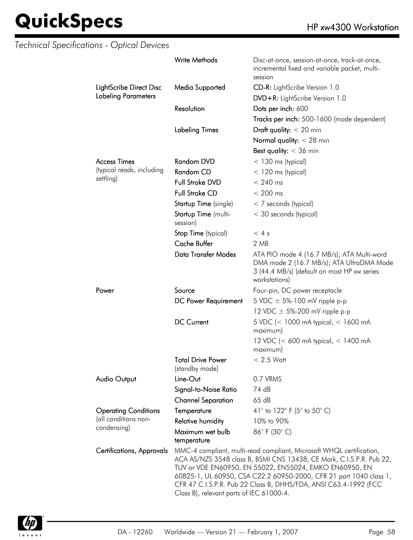|                             | <b>Write Methods</b>                                                                                                                                                                                                                                                                                                                                                                          | Disc-at-once, session-at-once, track-at-once,<br>incremental fixed and variable packet, multi-<br>session                                               |
|-----------------------------|-----------------------------------------------------------------------------------------------------------------------------------------------------------------------------------------------------------------------------------------------------------------------------------------------------------------------------------------------------------------------------------------------|---------------------------------------------------------------------------------------------------------------------------------------------------------|
| LightScribe Direct Disc     | Media Supported                                                                                                                                                                                                                                                                                                                                                                               | CD-R: LightScribe Version 1.0                                                                                                                           |
| <b>Labeling Parameters</b>  |                                                                                                                                                                                                                                                                                                                                                                                               | DVD+R: LightScribe Version 1.0                                                                                                                          |
|                             | Resolution                                                                                                                                                                                                                                                                                                                                                                                    | Dots per inch: 600                                                                                                                                      |
|                             |                                                                                                                                                                                                                                                                                                                                                                                               | Tracks per inch: 500-1600 (mode dependent)                                                                                                              |
|                             | <b>Labeling Times</b>                                                                                                                                                                                                                                                                                                                                                                         | Draft quality: $<$ 20 min                                                                                                                               |
|                             |                                                                                                                                                                                                                                                                                                                                                                                               | Normal quality: $<$ 28 min                                                                                                                              |
|                             |                                                                                                                                                                                                                                                                                                                                                                                               | Best quality: $<$ 36 min                                                                                                                                |
| <b>Access Times</b>         | <b>Random DVD</b>                                                                                                                                                                                                                                                                                                                                                                             | $<$ 130 ms (typical)                                                                                                                                    |
| (typical reads, including   | Random CD                                                                                                                                                                                                                                                                                                                                                                                     | $<$ 120 ms (typical)                                                                                                                                    |
| settling)                   | Full Stroke DVD                                                                                                                                                                                                                                                                                                                                                                               | $< 240$ ms                                                                                                                                              |
|                             | <b>Full Stroke CD</b>                                                                                                                                                                                                                                                                                                                                                                         | $< 200$ ms                                                                                                                                              |
|                             | Startup Time (single)                                                                                                                                                                                                                                                                                                                                                                         | $<$ 7 seconds (typical)                                                                                                                                 |
|                             | Startup Time (multi-                                                                                                                                                                                                                                                                                                                                                                          | < 30 seconds (typical)                                                                                                                                  |
|                             | session)                                                                                                                                                                                                                                                                                                                                                                                      |                                                                                                                                                         |
|                             | Stop Time (typical)                                                                                                                                                                                                                                                                                                                                                                           | < 4s                                                                                                                                                    |
|                             | <b>Cache Buffer</b>                                                                                                                                                                                                                                                                                                                                                                           | 2 MB                                                                                                                                                    |
|                             | <b>Data Transfer Modes</b>                                                                                                                                                                                                                                                                                                                                                                    | ATA PIO mode 4 (16.7 MB/s); ATA Multi-word<br>DMA mode 2 (16.7 MB/s); ATA UltraDMA Mode<br>3 (44.4 MB/s) (default on most HP xw series<br>workstations) |
| Power                       | Source                                                                                                                                                                                                                                                                                                                                                                                        | Four-pin, DC power receptacle                                                                                                                           |
|                             | DC Power Requirement                                                                                                                                                                                                                                                                                                                                                                          | 5 VDC $\pm$ 5%-100 mV ripple p-p                                                                                                                        |
|                             |                                                                                                                                                                                                                                                                                                                                                                                               | 12 VDC $\pm$ 5%-200 mV ripple p-p                                                                                                                       |
|                             | <b>DC Current</b>                                                                                                                                                                                                                                                                                                                                                                             | 5 VDC (< 1000 mA typical, < 1600 mA<br>maximum)                                                                                                         |
|                             |                                                                                                                                                                                                                                                                                                                                                                                               | 12 VDC (< 600 mA typical, < 1400 mA<br>maximum)                                                                                                         |
|                             | <b>Total Drive Power</b><br>(standby mode)                                                                                                                                                                                                                                                                                                                                                    | $< 2.5$ Watt                                                                                                                                            |
| <b>Audio Output</b>         | Line-Out                                                                                                                                                                                                                                                                                                                                                                                      | 0.7 VRMS                                                                                                                                                |
|                             | Signal-to-Noise Ratio                                                                                                                                                                                                                                                                                                                                                                         | 74 dB                                                                                                                                                   |
|                             | <b>Channel Separation</b>                                                                                                                                                                                                                                                                                                                                                                     | 65dB                                                                                                                                                    |
| <b>Operating Conditions</b> | Temperature                                                                                                                                                                                                                                                                                                                                                                                   | 41° to 122° F (5° to 50° C)                                                                                                                             |
| (all conditions non-        | <b>Relative humidity</b>                                                                                                                                                                                                                                                                                                                                                                      | 10% to 90%                                                                                                                                              |
| condensing)                 | Maximum wet bulb<br>temperature                                                                                                                                                                                                                                                                                                                                                               | 86°F (30°C)                                                                                                                                             |
| Certifications, Approvals   | MMC-4 compliant, multi-read compliant, Microsoft WHQL certification,<br>ACA AS/NZS 3548 class B, BSMI CNS 13438, CE Mark, C.I.S.P.R. Pub 22,<br>TUV or VDE EN60950, EN 55022, EN55024, EMKO EN60950, EN<br>60825-1, UL 60950, CSA C22.2 60950-2000, CFR 21 part 1040 class 1,<br>CFR 47 C.I.S.P.R. Pub 22 Class B, DHHS/FDA, ANSI C63.4-1992 (FCC<br>Class B), relevant parts of IEC 61000-4. |                                                                                                                                                         |

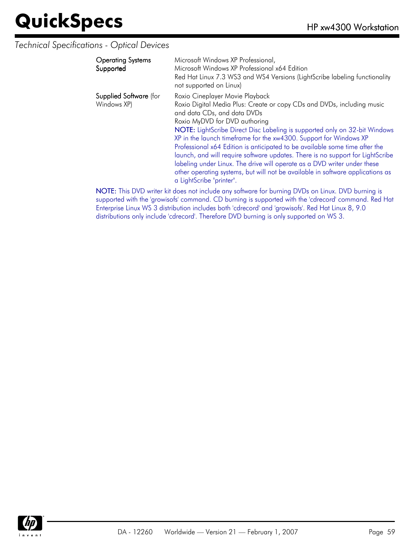#### *Technical Specifications - Optical Devices*

| <b>Operating Systems</b><br>Supported        | Microsoft Windows XP Professional,<br>Microsoft Windows XP Professional x64 Edition<br>Red Hat Linux 7.3 WS3 and WS4 Versions (LightScribe labeling functionality<br>not supported on Linux)                                                                                                                                                                                                                                                                                                                                                                                                                                                                                            |
|----------------------------------------------|-----------------------------------------------------------------------------------------------------------------------------------------------------------------------------------------------------------------------------------------------------------------------------------------------------------------------------------------------------------------------------------------------------------------------------------------------------------------------------------------------------------------------------------------------------------------------------------------------------------------------------------------------------------------------------------------|
| <b>Supplied Software</b> (for<br>Windows XP) | Roxio Cineplayer Movie Playback<br>Roxio Digital Media Plus: Create or copy CDs and DVDs, including music<br>and data CDs, and data DVDs<br>Roxio MyDVD for DVD authoring<br>NOTE: LightScribe Direct Disc Labeling is supported only on 32-bit Windows<br>XP in the launch timeframe for the xw4300. Support for Windows XP<br>Professional x64 Edition is anticipated to be available some time after the<br>launch, and will require software updates. There is no support for LightScribe<br>labeling under Linux. The drive will operate as a DVD writer under these<br>other operating systems, but will not be available in software applications as<br>a LightScribe "printer". |
|                                              |                                                                                                                                                                                                                                                                                                                                                                                                                                                                                                                                                                                                                                                                                         |

NOTE: This DVD writer kit does not include any software for burning DVDs on Linux. DVD burning is supported with the 'growisofs' command. CD burning is supported with the 'cdrecord' command. Red Hat Enterprise Linux WS 3 distribution includes both 'cdrecord' and 'growisofs'. Red Hat Linux 8, 9.0 distributions only include 'cdrecord'. Therefore DVD burning is only supported on WS 3.

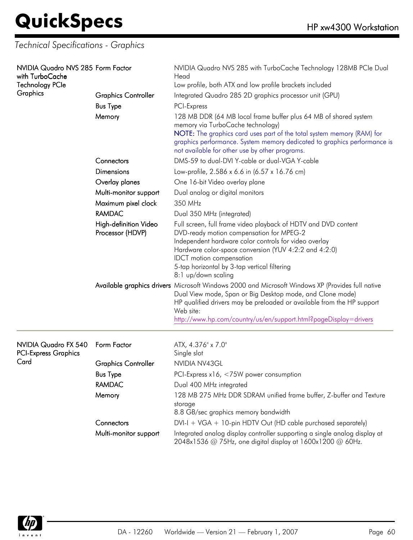*Technical Specifications - Graphics*

| NVIDIA Quadro NVS 285 Form Factor<br>with TurboCache<br><b>Technology PCle</b><br>Graphics | <b>Graphics Controller</b><br><b>Bus Type</b><br>Memory | NVIDIA Quadro NVS 285 with TurboCache Technology 128MB PCIe Dual<br>Head<br>Low profile, both ATX and low profile brackets included<br>Integrated Quadro 285 2D graphics processor unit (GPU)<br>PCI-Express<br>128 MB DDR (64 MB local frame buffer plus 64 MB of shared system<br>memory via TurboCache technology)<br>NOTE: The graphics card uses part of the total system memory (RAM) for<br>graphics performance. System memory dedicated to graphics performance is<br>not available for other use by other programs. |
|--------------------------------------------------------------------------------------------|---------------------------------------------------------|-------------------------------------------------------------------------------------------------------------------------------------------------------------------------------------------------------------------------------------------------------------------------------------------------------------------------------------------------------------------------------------------------------------------------------------------------------------------------------------------------------------------------------|
|                                                                                            | Connectors                                              | DMS-59 to dual-DVI Y-cable or dual-VGA Y-cable                                                                                                                                                                                                                                                                                                                                                                                                                                                                                |
|                                                                                            | Dimensions                                              | Low-profile, 2.586 x 6.6 in (6.57 x 16.76 cm)                                                                                                                                                                                                                                                                                                                                                                                                                                                                                 |
|                                                                                            | Overlay planes                                          | One 16-bit Video overlay plane                                                                                                                                                                                                                                                                                                                                                                                                                                                                                                |
|                                                                                            | Multi-monitor support                                   | Dual analog or digital monitors                                                                                                                                                                                                                                                                                                                                                                                                                                                                                               |
|                                                                                            | Maximum pixel clock                                     | 350 MHz                                                                                                                                                                                                                                                                                                                                                                                                                                                                                                                       |
|                                                                                            | <b>RAMDAC</b>                                           | Dual 350 MHz (integrated)                                                                                                                                                                                                                                                                                                                                                                                                                                                                                                     |
|                                                                                            | High-definition Video<br>Processor (HDVP)               | Full screen, full frame video playback of HDTV and DVD content<br>DVD-ready motion compensation for MPEG-2<br>Independent hardware color controls for video overlay<br>Hardware color-space conversion (YUV 4:2:2 and 4:2:0)<br><b>IDCT</b> motion compensation<br>5-tap horizontal by 3-tap vertical filtering<br>8:1 up/down scaling                                                                                                                                                                                        |
|                                                                                            |                                                         | Available graphics drivers Microsoft Windows 2000 and Microsoft Windows XP (Provides full native<br>Dual View mode, Span or Big Desktop mode, and Clone mode)<br>HP qualified drivers may be preloaded or available from the HP support<br>Web site:<br>http://www.hp.com/country/us/en/support.html?pageDisplay=drivers                                                                                                                                                                                                      |
| NVIDIA Quadro FX 540<br><b>PCI-Express Graphics</b>                                        | Form Factor                                             | ATX, 4.376" x 7.0"<br>Single slot                                                                                                                                                                                                                                                                                                                                                                                                                                                                                             |
| Card                                                                                       | <b>Graphics Controller</b>                              | NVIDIA NV43GL                                                                                                                                                                                                                                                                                                                                                                                                                                                                                                                 |
|                                                                                            | <b>Bus Type</b>                                         | PCI-Express x16, <75W power consumption                                                                                                                                                                                                                                                                                                                                                                                                                                                                                       |
|                                                                                            | <b>RAMDAC</b>                                           | Dual 400 MHz integrated                                                                                                                                                                                                                                                                                                                                                                                                                                                                                                       |
|                                                                                            | Memory                                                  | 128 MB 275 MHz DDR SDRAM unified frame buffer, Z-buffer and Texture<br>storage<br>8.8 GB/sec graphics memory bandwidth                                                                                                                                                                                                                                                                                                                                                                                                        |
|                                                                                            | Connectors                                              | $DVI-I + VGA + 10$ -pin HDTV Out (HD cable purchased separately)                                                                                                                                                                                                                                                                                                                                                                                                                                                              |
|                                                                                            | Multi-monitor support                                   | Integrated analog display controller supporting a single analog display at<br>2048x1536 @ 75Hz, one digital display at 1600x1200 @ 60Hz.                                                                                                                                                                                                                                                                                                                                                                                      |

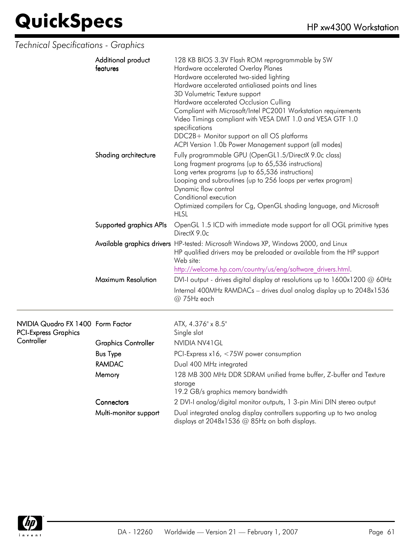### *Technical Specifications - Graphics*

| Additional product<br>features | 128 KB BIOS 3.3V Flash ROM reprogrammable by SW<br>Hardware accelerated Overlay Planes<br>Hardware accelerated two-sided lighting<br>Hardware accelerated antialiased points and lines<br>3D Volumetric Texture support<br>Hardware accelerated Occlusion Culling<br>Compliant with Microsoft/Intel PC2001 Workstation requirements<br>Video Timings compliant with VESA DMT 1.0 and VESA GTF 1.0<br>specifications<br>DDC2B+ Monitor support on all OS platforms<br>ACPI Version 1.0b Power Management support (all modes) |
|--------------------------------|-----------------------------------------------------------------------------------------------------------------------------------------------------------------------------------------------------------------------------------------------------------------------------------------------------------------------------------------------------------------------------------------------------------------------------------------------------------------------------------------------------------------------------|
| Shading architecture           | Fully programmable GPU (OpenGL1.5/DirectX 9.0c class)<br>Long fragment programs (up to 65,536 instructions)<br>Long vertex programs (up to 65,536 instructions)<br>Looping and subroutines (up to 256 loops per vertex program)<br>Dynamic flow control<br>Conditional execution<br>Optimized compilers for Cg, OpenGL shading language, and Microsoft<br><b>HLSL</b>                                                                                                                                                       |
| Supported graphics APIs        | OpenGL 1.5 ICD with immediate mode support for all OGL primitive types<br>DirectX 9.0c                                                                                                                                                                                                                                                                                                                                                                                                                                      |
|                                | Available graphics drivers HP-tested: Microsoft Windows XP, Windows 2000, and Linux<br>HP qualified drivers may be preloaded or available from the HP support<br>Web site:<br>http://welcome.hp.com/country/us/eng/software drivers.html.                                                                                                                                                                                                                                                                                   |
| Maximum Resolution             | DVI-I output - drives digital display at resolutions up to $1600x1200 \omega 60Hz$<br>Internal 400MHz RAMDACs - drives dual analog display up to 2048x1536<br>$@75Hz$ each                                                                                                                                                                                                                                                                                                                                                  |

| NVIDIA Quadro FX 1400 Form Factor<br><b>PCI-Express Graphics</b> |                            | ATX, 4.376" x 8.5"<br>Single slot                                                                                        |
|------------------------------------------------------------------|----------------------------|--------------------------------------------------------------------------------------------------------------------------|
| Controller                                                       | <b>Graphics Controller</b> | NVIDIA NV41 GL                                                                                                           |
|                                                                  | <b>Bus Type</b>            | PCI-Express $x16, < 75W$ power consumption                                                                               |
|                                                                  | RAMDAC                     | Dual 400 MHz integrated                                                                                                  |
|                                                                  | Memory                     | 128 MB 300 MHz DDR SDRAM unified frame buffer, Z-buffer and Texture<br>storage<br>19.2 GB/s graphics memory bandwidth    |
|                                                                  | Connectors                 | 2 DVI-I analog/digital monitor outputs, 1 3-pin Mini DIN stereo output                                                   |
|                                                                  | Multi-monitor support      | Dual integrated analog display controllers supporting up to two analog<br>displays at 2048x1536 @ 85Hz on both displays. |

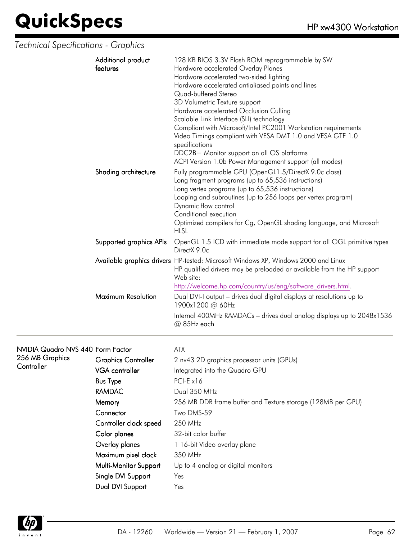*Technical Specifications - Graphics*

| Additional product<br>features | 128 KB BIOS 3.3V Flash ROM reprogrammable by SW<br>Hardware accelerated Overlay Planes<br>Hardware accelerated two-sided lighting<br>Hardware accelerated antialiased points and lines<br>Quad-buffered Stereo<br>3D Volumetric Texture support<br>Hardware accelerated Occlusion Culling<br>Scalable Link Interface (SLI) technology<br>Compliant with Microsoft/Intel PC2001 Workstation requirements<br>Video Timings compliant with VESA DMT 1.0 and VESA GTF 1.0<br>specifications<br>DDC2B+ Monitor support on all OS platforms<br>ACPI Version 1.0b Power Management support (all modes) |
|--------------------------------|-------------------------------------------------------------------------------------------------------------------------------------------------------------------------------------------------------------------------------------------------------------------------------------------------------------------------------------------------------------------------------------------------------------------------------------------------------------------------------------------------------------------------------------------------------------------------------------------------|
| Shading architecture           | Fully programmable GPU (OpenGL1.5/DirectX 9.0c class)<br>Long fragment programs (up to 65,536 instructions)<br>Long vertex programs (up to 65,536 instructions)<br>Looping and subroutines (up to 256 loops per vertex program)<br>Dynamic flow control<br>Conditional execution<br>Optimized compilers for Cg, OpenGL shading language, and Microsoft<br><b>HLSL</b>                                                                                                                                                                                                                           |
| Supported graphics APIs        | OpenGL 1.5 ICD with immediate mode support for all OGL primitive types<br>DirectX 9.0c                                                                                                                                                                                                                                                                                                                                                                                                                                                                                                          |
|                                | Available graphics drivers HP-tested: Microsoft Windows XP, Windows 2000 and Linux<br>HP qualified drivers may be preloaded or available from the HP support<br>Web site:<br>http://welcome.hp.com/country/us/eng/software_drivers.html.                                                                                                                                                                                                                                                                                                                                                        |
| Maximum Resolution             | Dual DVI-I output - drives dual digital displays at resolutions up to<br>1900x1200 @ 60Hz<br>Internal 400MHz RAMDACs - drives dual analog displays up to 2048x1536<br>@ 85Hz each                                                                                                                                                                                                                                                                                                                                                                                                               |

#### NVIDIA Quadro NVS 440 Form Factor ATX 256 MB

| 256 MB Graphics<br>Controller | <b>Graphics Controller</b> | 2 nv43 2D graphics processor units (GPUs)                   |
|-------------------------------|----------------------------|-------------------------------------------------------------|
|                               | <b>VGA</b> controller      | Integrated into the Quadro GPU                              |
|                               | <b>Bus Type</b>            | $PCI-E x16$                                                 |
|                               | <b>RAMDAC</b>              | Dual 350 MHz                                                |
|                               | Memory                     | 256 MB DDR frame buffer and Texture storage (128MB per GPU) |
|                               | Connector                  | Two DMS-59                                                  |
|                               | Controller clock speed     | 250 MHz                                                     |
|                               | Color planes               | 32-bit color buffer                                         |
|                               | Overlay planes             | 1 16-bit Video overlay plane                                |
|                               | Maximum pixel clock        | 350 MHz                                                     |
|                               | Multi-Monitor Support      | Up to 4 analog or digital monitors                          |
|                               | Single DVI Support         | Yes                                                         |
|                               | Dual DVI Support           | Yes                                                         |

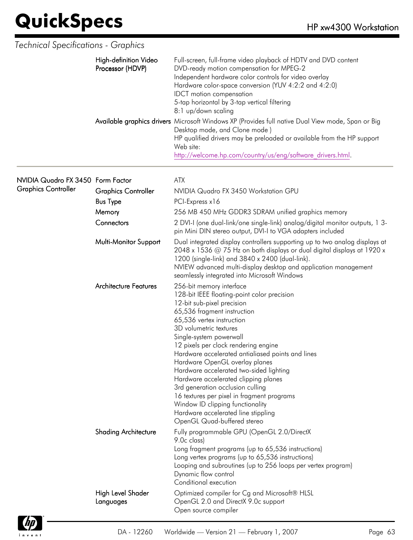| <b>Technical Specifications - Graphics</b> |                                           |                                                                                                                                                                                                                                                                                                                                                                                                                                                                                                                                                                                                                                      |
|--------------------------------------------|-------------------------------------------|--------------------------------------------------------------------------------------------------------------------------------------------------------------------------------------------------------------------------------------------------------------------------------------------------------------------------------------------------------------------------------------------------------------------------------------------------------------------------------------------------------------------------------------------------------------------------------------------------------------------------------------|
|                                            | High-definition Video<br>Processor (HDVP) | Full-screen, full-frame video playback of HDTV and DVD content<br>DVD-ready motion compensation for MPEG-2<br>Independent hardware color controls for video overlay<br>Hardware color-space conversion (YUV 4:2:2 and 4:2:0)<br><b>IDCT</b> motion compensation<br>5-tap horizontal by 3-tap vertical filtering<br>8:1 up/down scaling                                                                                                                                                                                                                                                                                               |
|                                            |                                           | Available graphics drivers Microsoft Windows XP (Provides full native Dual View mode, Span or Big<br>Desktop mode, and Clone mode)<br>HP qualified drivers may be preloaded or available from the HP support<br>Web site:<br>http://welcome.hp.com/country/us/eng/software drivers.html.                                                                                                                                                                                                                                                                                                                                             |
| NVIDIA Quadro FX 3450 Form Factor          |                                           | <b>ATX</b>                                                                                                                                                                                                                                                                                                                                                                                                                                                                                                                                                                                                                           |
| <b>Graphics Controller</b>                 | <b>Graphics Controller</b>                | NVIDIA Quadro FX 3450 Workstation GPU                                                                                                                                                                                                                                                                                                                                                                                                                                                                                                                                                                                                |
|                                            | <b>Bus Type</b>                           | PCI-Express x16                                                                                                                                                                                                                                                                                                                                                                                                                                                                                                                                                                                                                      |
|                                            | Memory                                    | 256 MB 450 MHz GDDR3 SDRAM unified graphics memory                                                                                                                                                                                                                                                                                                                                                                                                                                                                                                                                                                                   |
|                                            | Connectors                                | 2 DVI-I (one dual-link/one single-link) analog/digital monitor outputs, 1 3-<br>pin Mini DIN stereo output, DVI-I to VGA adapters included                                                                                                                                                                                                                                                                                                                                                                                                                                                                                           |
|                                            | Multi-Monitor Support                     | Dual integrated display controllers supporting up to two analog displays at<br>2048 x 1536 $@$ 75 Hz on both displays or dual digital displays at 1920 x<br>1200 (single-link) and 3840 x 2400 (dual-link).<br>NVIEW advanced multi-display desktop and application management<br>seamlessly integrated into Microsoft Windows                                                                                                                                                                                                                                                                                                       |
|                                            | <b>Architecture Features</b>              | 256-bit memory interface<br>128-bit IEEE floating-point color precision<br>12-bit sub-pixel precision<br>65,536 fragment instruction<br>65,536 vertex instruction<br>3D volumetric textures<br>Single-system powerwall<br>12 pixels per clock rendering engine<br>Hardware accelerated antialiased points and lines<br>Hardware OpenGL overlay planes<br>Hardware accelerated two-sided lighting<br>Hardware accelerated clipping planes<br>3rd generation occlusion culling<br>16 textures per pixel in fragment programs<br>Window ID clipping functionality<br>Hardware accelerated line stippling<br>OpenGL Quad-buffered stereo |
|                                            | <b>Shading Architecture</b>               | Fully programmable GPU (OpenGL 2.0/DirectX<br>9.0c class)<br>Long fragment programs (up to 65,536 instructions)<br>Long vertex programs (up to 65,536 instructions)<br>Looping and subroutines (up to 256 loops per vertex program)<br>Dynamic flow control<br>Conditional execution                                                                                                                                                                                                                                                                                                                                                 |
|                                            | High Level Shader<br>Languages            | Optimized compiler for Cg and Microsoft® HLSL<br>OpenGL 2.0 and DirectX 9.0c support<br>Open source compiler                                                                                                                                                                                                                                                                                                                                                                                                                                                                                                                         |

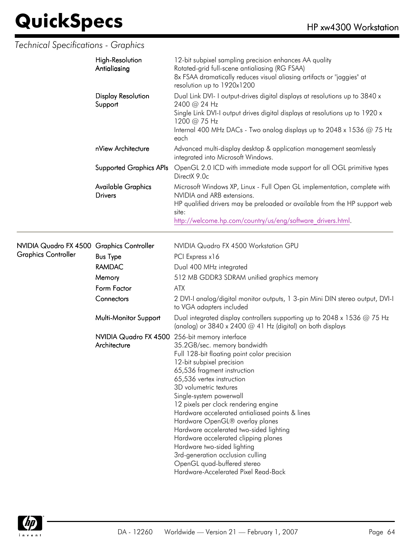*Technical Specifications - Graphics*

|                                                                         | <b>High-Resolution</b><br>Antialiasing                         | 12-bit subpixel sampling precision enhances AA quality<br>Rotated-grid full-scene antialiasing (RG FSAA)<br>8x FSAA dramatically reduces visual aliasing artifacts or "jaggies" at<br>resolution up to 1920x1200                                                                                                                                                                                                                                                                                                                                                                     |
|-------------------------------------------------------------------------|----------------------------------------------------------------|--------------------------------------------------------------------------------------------------------------------------------------------------------------------------------------------------------------------------------------------------------------------------------------------------------------------------------------------------------------------------------------------------------------------------------------------------------------------------------------------------------------------------------------------------------------------------------------|
|                                                                         | <b>Display Resolution</b><br>Support<br>nView Architecture     | Dual Link DVI- I output-drives digital displays at resolutions up to 3840 x<br>2400 @ 24 Hz<br>Single Link DVI-I output drives digital displays at resolutions up to 1920 x<br>1200 @ 75 Hz<br>Internal 400 MHz DACs - Two analog displays up to 2048 x 1536 @ 75 Hz<br>each                                                                                                                                                                                                                                                                                                         |
|                                                                         |                                                                | Advanced multi-display desktop & application management seamlessly<br>integrated into Microsoft Windows.                                                                                                                                                                                                                                                                                                                                                                                                                                                                             |
|                                                                         | <b>Supported Graphics APIs</b>                                 | OpenGL 2.0 ICD with immediate mode support for all OGL primitive types<br>DirectX 9.0c                                                                                                                                                                                                                                                                                                                                                                                                                                                                                               |
|                                                                         | <b>Available Graphics</b><br><b>Drivers</b>                    | Microsoft Windows XP, Linux - Full Open GL implementation, complete with<br>NVIDIA and ARB extensions.<br>HP qualified drivers may be preloaded or available from the HP support web<br>site:<br>http://welcome.hp.com/country/us/eng/software drivers.html.                                                                                                                                                                                                                                                                                                                         |
| NVIDIA Quadro FX 4500 Graphics Controller<br><b>Graphics Controller</b> | <b>Bus Type</b>                                                | NVIDIA Quadro FX 4500 Workstation GPU<br>PCI Express x16                                                                                                                                                                                                                                                                                                                                                                                                                                                                                                                             |
|                                                                         | <b>RAMDAC</b>                                                  | Dual 400 MHz integrated                                                                                                                                                                                                                                                                                                                                                                                                                                                                                                                                                              |
|                                                                         | Memory                                                         | 512 MB GDDR3 SDRAM unified graphics memory                                                                                                                                                                                                                                                                                                                                                                                                                                                                                                                                           |
|                                                                         | Form Factor                                                    | ATX                                                                                                                                                                                                                                                                                                                                                                                                                                                                                                                                                                                  |
|                                                                         | Connectors                                                     | 2 DVI-I analog/digital monitor outputs, 1 3-pin Mini DIN stereo output, DVI-I<br>to VGA adapters included                                                                                                                                                                                                                                                                                                                                                                                                                                                                            |
|                                                                         | Multi-Monitor Support                                          | Dual integrated display controllers supporting up to 2048 x 1536 $@$ 75 Hz<br>(analog) or $3840 \times 2400$ @ 41 Hz (digital) on both displays                                                                                                                                                                                                                                                                                                                                                                                                                                      |
|                                                                         | NVIDIA Quadro FX 4500 256-bit memory interface<br>Architecture | 35.2GB/sec. memory bandwidth<br>Full 128-bit floating point color precision<br>12-bit subpixel precision<br>65,536 fragment instruction<br>65,536 vertex instruction<br>3D volumetric textures<br>Single-system powerwall<br>12 pixels per clock rendering engine<br>Hardware accelerated antialiased points & lines<br>Hardware OpenGL® overlay planes<br>Hardware accelerated two-sided lighting<br>Hardware accelerated clipping planes<br>Hardware two-sided lighting<br>3rd-generation occlusion culling<br>OpenGL quad-buffered stereo<br>Hardware-Accelerated Pixel Read-Back |

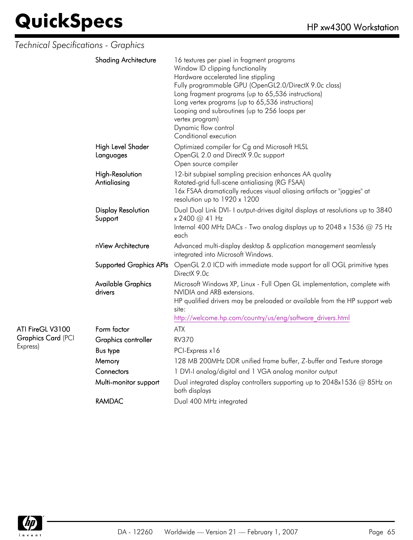*Technical Specifications - Graphics*

| <b>Shading Architecture</b>          | 16 textures per pixel in fragment programs<br>Window ID clipping functionality<br>Hardware accelerated line stippling<br>Fully programmable GPU (OpenGL2.0/DirectX 9.0c class)<br>Long fragment programs (up to 65,536 instructions)<br>Long vertex programs (up to 65,536 instructions)<br>Looping and subroutines (up to 256 loops per<br>vertex program)<br>Dynamic flow control<br>Conditional execution |
|--------------------------------------|--------------------------------------------------------------------------------------------------------------------------------------------------------------------------------------------------------------------------------------------------------------------------------------------------------------------------------------------------------------------------------------------------------------|
| High Level Shader<br>Languages       | Optimized compiler for Cg and Microsoft HLSL<br>OpenGL 2.0 and DirectX 9.0c support<br>Open source compiler                                                                                                                                                                                                                                                                                                  |
| High-Resolution<br>Antialiasing      | 12-bit subpixel sampling precision enhances AA quality<br>Rotated-grid full-scene antialiasing (RG FSAA)<br>16x FSAA dramatically reduces visual aliasing artifacts or "jaggies" at<br>resolution up to 1920 x 1200                                                                                                                                                                                          |
| <b>Display Resolution</b><br>Support | Dual Dual Link DVI- I output-drives digital displays at resolutions up to 3840<br>x 2400 @ 41 Hz<br>Internal 400 MHz DACs - Two analog displays up to 2048 x 1536 @ 75 Hz<br>each                                                                                                                                                                                                                            |
| nView Architecture                   | Advanced multi-display desktop & application management seamlessly<br>integrated into Microsoft Windows.                                                                                                                                                                                                                                                                                                     |
| <b>Supported Graphics APIs</b>       | OpenGL 2.0 ICD with immediate mode support for all OGL primitive types<br>DirectX 9.0c                                                                                                                                                                                                                                                                                                                       |
| <b>Available Graphics</b><br>drivers | Microsoft Windows XP, Linux - Full Open GL implementation, complete with<br>NVIDIA and ARB extensions.<br>HP qualified drivers may be preloaded or available from the HP support web<br>site:<br>http://welcome.hp.com/country/us/eng/software drivers.html                                                                                                                                                  |
| Form factor                          | <b>ATX</b>                                                                                                                                                                                                                                                                                                                                                                                                   |
| Graphics controller                  | <b>RV370</b>                                                                                                                                                                                                                                                                                                                                                                                                 |
| <b>Bus type</b>                      | PCI-Express x16                                                                                                                                                                                                                                                                                                                                                                                              |
| Memory                               | 128 MB 200MHz DDR unified frame buffer, Z-buffer and Texture storage                                                                                                                                                                                                                                                                                                                                         |
| Connectors                           | 1 DVI-I analog/digital and 1 VGA analog monitor output                                                                                                                                                                                                                                                                                                                                                       |
| Multi-monitor support                | Dual integrated display controllers supporting up to 2048x1536 @ 85Hz on<br>both displays                                                                                                                                                                                                                                                                                                                    |
| <b>RAMDAC</b>                        | Dual 400 MHz integrated                                                                                                                                                                                                                                                                                                                                                                                      |



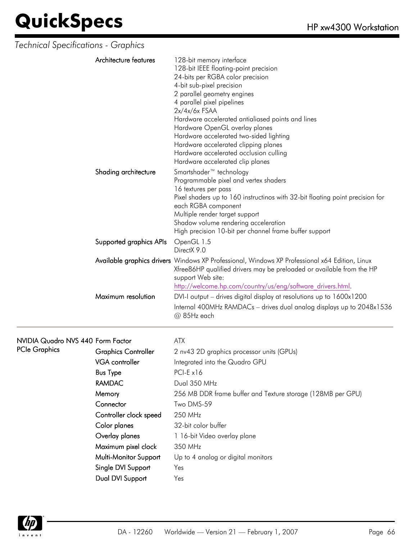| Technical Specifications - Graphics |                                                                                                                                                                                                                                                                                                                                                                                                                                                                            |
|-------------------------------------|----------------------------------------------------------------------------------------------------------------------------------------------------------------------------------------------------------------------------------------------------------------------------------------------------------------------------------------------------------------------------------------------------------------------------------------------------------------------------|
| Architecture features               | 128-bit memory interface<br>128-bit IEEE floating-point precision<br>24-bits per RGBA color precision<br>4-bit sub-pixel precision<br>2 parallel geometry engines<br>4 parallel pixel pipelines<br>$2x/4x/6x$ FSAA<br>Hardware accelerated antialiased points and lines<br>Hardware OpenGL overlay planes<br>Hardware accelerated two-sided lighting<br>Hardware accelerated clipping planes<br>Hardware accelerated occlusion culling<br>Hardware accelerated clip planes |
| Shading architecture                | Smartshader <sup>™</sup> technology<br>Programmable pixel and vertex shaders<br>16 textures per pass<br>Pixel shaders up to 160 instructinos with 32-bit floating point precision for<br>each RGBA component<br>Multiple render target support<br>Shadow volume rendering acceleration<br>High precision 10-bit per channel frame buffer support                                                                                                                           |
| Supported graphics APIs             | OpenGL 1.5<br>DirectX 9.0                                                                                                                                                                                                                                                                                                                                                                                                                                                  |
|                                     | Available graphics drivers Windows XP Professional, Windows XP Professional x64 Edition, Linux<br>Xfree86HP qualified drivers may be preloaded or available from the HP<br>support Web site:<br>http://welcome.hp.com/country/us/eng/software_drivers.html.                                                                                                                                                                                                                |
| Maximum resolution                  | DVI-I output – drives digital display at resolutions up to 1600x1200<br>Internal 400MHz RAMDACs - drives dual analog displays up to 2048x1536<br>@ 85Hz each                                                                                                                                                                                                                                                                                                               |

#### NVIDIA Quadro NVS 440 Form Factor ATX

| <b>PCIe Graphics</b> | <b>Graphics Controller</b> | 2 nv43 2D graphics processor units (GPUs)                   |
|----------------------|----------------------------|-------------------------------------------------------------|
|                      | VGA controller             | Integrated into the Quadro GPU                              |
|                      | <b>Bus Type</b>            | $PCI-E x16$                                                 |
|                      | RAMDAC                     | Dual 350 MHz                                                |
|                      | Memory                     | 256 MB DDR frame buffer and Texture storage (128MB per GPU) |
|                      | Connector                  | Two DMS-59                                                  |
|                      | Controller clock speed     | 250 MHz                                                     |
|                      | Color planes               | 32-bit color buffer                                         |
|                      | Overlay planes             | 1 16-bit Video overlay plane                                |
|                      | Maximum pixel clock        | 350 MHz                                                     |
|                      | Multi-Monitor Support      | Up to 4 analog or digital monitors                          |
|                      | Single DVI Support         | Yes                                                         |
|                      | Dual DVI Support           | Yes                                                         |

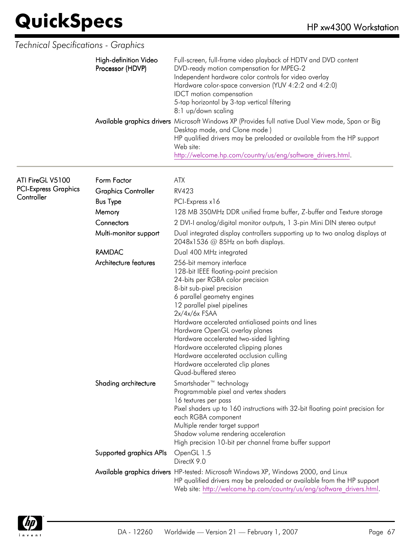| <b>Technical Specifications - Graphics</b>                    |                                           |                                                                                                                                                                                                                                                                                                                                                                                                                                                                                                                                                                     |
|---------------------------------------------------------------|-------------------------------------------|---------------------------------------------------------------------------------------------------------------------------------------------------------------------------------------------------------------------------------------------------------------------------------------------------------------------------------------------------------------------------------------------------------------------------------------------------------------------------------------------------------------------------------------------------------------------|
|                                                               | High-definition Video<br>Processor (HDVP) | Full-screen, full-frame video playback of HDTV and DVD content<br>DVD-ready motion compensation for MPEG-2<br>Independent hardware color controls for video overlay<br>Hardware color-space conversion (YUV 4:2:2 and 4:2:0)<br><b>IDCT</b> motion compensation<br>5-tap horizontal by 3-tap vertical filtering<br>8:1 up/down scaling<br>Available graphics drivers Microsoft Windows XP (Provides full native Dual View mode, Span or Big<br>Desktop mode, and Clone mode)<br>HP qualified drivers may be preloaded or available from the HP support<br>Web site: |
|                                                               |                                           | http://welcome.hp.com/country/us/eng/software drivers.html.                                                                                                                                                                                                                                                                                                                                                                                                                                                                                                         |
| ATI FireGL V5100<br><b>PCI-Express Graphics</b><br>Controller | Form Factor<br><b>Graphics Controller</b> | <b>ATX</b><br><b>RV423</b>                                                                                                                                                                                                                                                                                                                                                                                                                                                                                                                                          |
|                                                               | <b>Bus Type</b><br>Memory                 | PCI-Express x16<br>128 MB 350MHz DDR unified frame buffer, Z-buffer and Texture storage                                                                                                                                                                                                                                                                                                                                                                                                                                                                             |
|                                                               | Connectors<br>Multi-monitor support       | 2 DVI-I analog/digital monitor outputs, 1 3-pin Mini DIN stereo output<br>Dual integrated display controllers supporting up to two analog displays at<br>2048x1536 $@$ 85Hz on both displays.                                                                                                                                                                                                                                                                                                                                                                       |
|                                                               | <b>RAMDAC</b>                             | Dual 400 MHz integrated                                                                                                                                                                                                                                                                                                                                                                                                                                                                                                                                             |
|                                                               | Architecture features                     | 256-bit memory interface<br>128-bit IEEE floating-point precision<br>24-bits per RGBA color precision<br>8-bit sub-pixel precision<br>6 parallel geometry engines<br>12 parallel pixel pipelines<br>$2x/4x/6x$ FSAA<br>Hardware accelerated antialiased points and lines<br>Hardware OpenGL overlay planes<br>Hardware accelerated two-sided lighting<br>Hardware accelerated clipping planes<br>Hardware accelerated occlusion culling<br>Hardware accelerated clip planes<br>Quad-buffered stereo                                                                 |
|                                                               | Shading architecture                      | Smartshader <sup>™</sup> technology<br>Programmable pixel and vertex shaders<br>16 textures per pass<br>Pixel shaders up to 160 instructions with 32-bit floating point precision for<br>each RGBA component<br>Multiple render target support<br>Shadow volume rendering acceleration<br>High precision 10-bit per channel frame buffer support                                                                                                                                                                                                                    |
|                                                               | Supported graphics APIs                   | OpenGL 1.5<br>DirectX 9.0                                                                                                                                                                                                                                                                                                                                                                                                                                                                                                                                           |
|                                                               |                                           | Available graphics drivers HP-tested: Microsoft Windows XP, Windows 2000, and Linux<br>HP qualified drivers may be preloaded or available from the HP support<br>Web site: http://welcome.hp.com/country/us/eng/software drivers.html.                                                                                                                                                                                                                                                                                                                              |

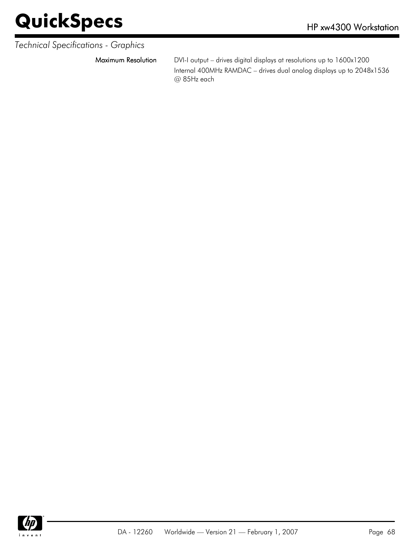#### *Technical Specifications - Graphics*

Maximum Resolution DVI-I output – drives digital displays at resolutions up to 1600x1200 Internal 400MHz RAMDAC – drives dual analog displays up to 2048x1536 @ 85Hz each

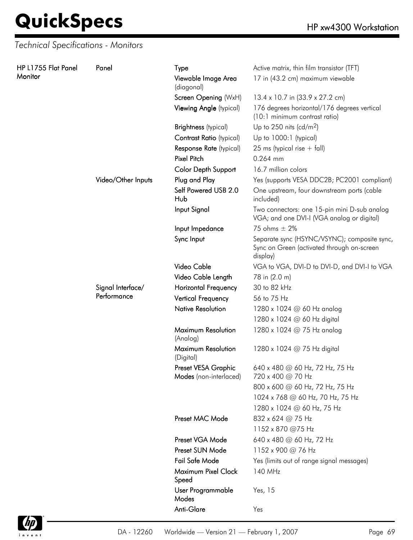*Technical Specifications - Monitors*

| HP L1755 Flat Panel<br>Monitor | Panel                            | <b>Type</b>                                   | Active matrix, thin film transistor (TFT)                                                              |
|--------------------------------|----------------------------------|-----------------------------------------------|--------------------------------------------------------------------------------------------------------|
|                                |                                  | Viewable Image Area<br>(diagonal)             | 17 in (43.2 cm) maximum viewable                                                                       |
|                                |                                  | Screen Opening (WxH)                          | 13.4 x 10.7 in (33.9 x 27.2 cm)                                                                        |
|                                |                                  | Viewing Angle (typical)                       | 176 degrees horizontal/176 degrees vertical<br>(10:1 minimum contrast ratio)                           |
|                                |                                  | <b>Brightness</b> (typical)                   | Up to 250 nits (cd/m <sup>2</sup> )                                                                    |
|                                |                                  | <b>Contrast Ratio (typical)</b>               | Up to 1000:1 (typical)                                                                                 |
|                                |                                  | Response Rate (typical)                       | 25 ms (typical rise $+$ fall)                                                                          |
|                                |                                  | <b>Pixel Pitch</b>                            | 0.264 mm                                                                                               |
|                                |                                  | Color Depth Support                           | 16.7 million colors                                                                                    |
|                                | Video/Other Inputs               | Plug and Play                                 | Yes (supports VESA DDC2B; PC2001 compliant)                                                            |
|                                |                                  | Self Powered USB 2.0<br>Hub                   | One upstream, four downstream ports (cable<br>included)                                                |
|                                |                                  | Input Signal                                  | Two connectors: one 15-pin mini D-sub analog<br>VGA; and one DVI-I (VGA analog or digital)             |
|                                |                                  | Input Impedance                               | 75 ohms $\pm$ 2%                                                                                       |
|                                |                                  | Sync Input                                    | Separate sync (HSYNC/VSYNC); composite sync,<br>Sync on Green (activated through on-screen<br>display) |
|                                |                                  | Video Cable                                   | VGA to VGA, DVI-D to DVI-D, and DVI-I to VGA                                                           |
|                                |                                  | Video Cable Length                            | 78 in (2.0 m)                                                                                          |
|                                | Signal Interface/<br>Performance | <b>Horizontal Frequency</b>                   | 30 to 82 kHz                                                                                           |
|                                |                                  | <b>Vertical Frequency</b>                     | 56 to 75 Hz                                                                                            |
|                                |                                  | <b>Native Resolution</b>                      | 1280 x 1024 @ 60 Hz analog                                                                             |
|                                |                                  |                                               | 1280 x 1024 @ 60 Hz digital                                                                            |
|                                |                                  | Maximum Resolution<br>(Analog)                | 1280 x 1024 @ 75 Hz analog                                                                             |
|                                |                                  | Maximum Resolution<br>(Digital)               | 1280 x 1024 @ 75 Hz digital                                                                            |
|                                |                                  | Preset VESA Graphic<br>Modes (non-interlaced) | 640 x 480 @ 60 Hz, 72 Hz, 75 Hz<br>720 x 400 @ 70 Hz                                                   |
|                                |                                  |                                               | 800 x 600 @ 60 Hz, 72 Hz, 75 Hz                                                                        |
|                                |                                  |                                               | 1024 x 768 @ 60 Hz, 70 Hz, 75 Hz                                                                       |
|                                |                                  |                                               | 1280 x 1024 @ 60 Hz, 75 Hz                                                                             |
|                                |                                  | Preset MAC Mode                               | 832 x 624 @ 75 Hz                                                                                      |
|                                |                                  |                                               | 1152 x 870 @75 Hz                                                                                      |
|                                |                                  | Preset VGA Mode                               | 640 x 480 @ 60 Hz, 72 Hz                                                                               |
|                                |                                  | Preset SUN Mode                               | 1152 x 900 @ 76 Hz                                                                                     |
|                                |                                  | Fail Safe Mode                                | Yes (limits out of range signal messages)                                                              |
|                                |                                  | Maximum Pixel Clock<br>Speed                  | 140 MHz                                                                                                |
|                                |                                  | User Programmable<br>Modes                    | Yes, 15                                                                                                |
|                                |                                  | Anti-Glare                                    | Yes                                                                                                    |

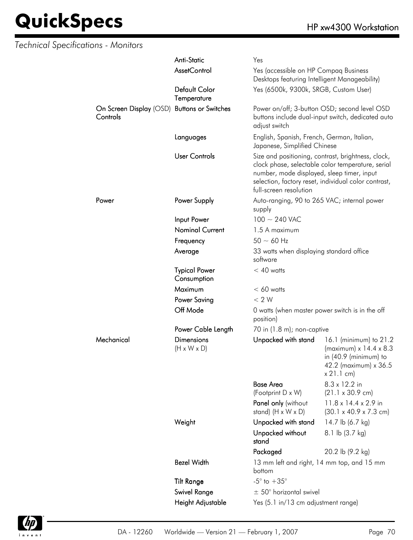| <b>Technical Specifications - Monitors</b> |                                                         |                                                                                                                                                                                                                                         |                                                                                        |                                                                                                                                |
|--------------------------------------------|---------------------------------------------------------|-----------------------------------------------------------------------------------------------------------------------------------------------------------------------------------------------------------------------------------------|----------------------------------------------------------------------------------------|--------------------------------------------------------------------------------------------------------------------------------|
|                                            |                                                         | <b>Anti-Static</b>                                                                                                                                                                                                                      | Yes                                                                                    |                                                                                                                                |
|                                            |                                                         | <b>AssetControl</b>                                                                                                                                                                                                                     | Yes (accessible on HP Compaq Business<br>Desktops featuring Intelligent Manageability) |                                                                                                                                |
|                                            |                                                         | Default Color<br>Temperature                                                                                                                                                                                                            | Yes (6500k, 9300k, SRGB, Custom User)                                                  |                                                                                                                                |
|                                            | On Screen Display (OSD) Buttons or Switches<br>Controls |                                                                                                                                                                                                                                         | adjust switch                                                                          | Power on/off; 3-button OSD; second level OSD<br>buttons include dual-input switch, dedicated auto                              |
|                                            |                                                         | Languages                                                                                                                                                                                                                               | English, Spanish, French, German, Italian,<br>Japanese, Simplified Chinese             |                                                                                                                                |
|                                            | <b>User Controls</b>                                    | Size and positioning, contrast, brightness, clock,<br>clock phase, selectable color temperature, serial<br>number, mode displayed, sleep timer, input<br>selection, factory reset, individual color contrast,<br>full-screen resolution |                                                                                        |                                                                                                                                |
|                                            | Power                                                   | Power Supply                                                                                                                                                                                                                            | Auto-ranging, 90 to 265 VAC; internal power<br>supply                                  |                                                                                                                                |
|                                            |                                                         | Input Power                                                                                                                                                                                                                             | $100 \sim 240$ VAC                                                                     |                                                                                                                                |
|                                            |                                                         | <b>Nominal Current</b>                                                                                                                                                                                                                  | 1.5 A maximum                                                                          |                                                                                                                                |
|                                            |                                                         | Frequency                                                                                                                                                                                                                               | $50 \sim 60$ Hz                                                                        |                                                                                                                                |
|                                            |                                                         | Average                                                                                                                                                                                                                                 | 33 watts when displaying standard office<br>software                                   |                                                                                                                                |
|                                            |                                                         | <b>Typical Power</b><br>Consumption                                                                                                                                                                                                     | $< 40$ watts                                                                           |                                                                                                                                |
|                                            |                                                         | Maximum                                                                                                                                                                                                                                 | $< 60$ watts                                                                           |                                                                                                                                |
|                                            |                                                         | <b>Power Saving</b>                                                                                                                                                                                                                     | < 2 W                                                                                  |                                                                                                                                |
|                                            |                                                         | Off Mode                                                                                                                                                                                                                                | 0 watts (when master power switch is in the off<br>position)                           |                                                                                                                                |
|                                            |                                                         | Power Cable Length                                                                                                                                                                                                                      | 70 in (1.8 m); non-captive                                                             |                                                                                                                                |
|                                            | Mechanical                                              | <b>Dimensions</b><br>$(H \times W \times D)$                                                                                                                                                                                            | Unpacked with stand                                                                    | 16.1 (minimum) to 21.2<br>(maximum) $x$ 14.4 $x$ 8.3<br>in $(40.9 \text{ (minimum)}$ to<br>42.2 (maximum) x 36.5<br>x 21.1 cm) |
|                                            |                                                         |                                                                                                                                                                                                                                         | <b>Base Area</b>                                                                       | 8.3 x 12.2 in                                                                                                                  |
|                                            |                                                         |                                                                                                                                                                                                                                         | (Footprint D x W)                                                                      | $(21.1 \times 30.9 \text{ cm})$                                                                                                |
|                                            |                                                         | Panel only (without<br>stand) $(H \times W \times D)$                                                                                                                                                                                   | 11.8 x 14.4 x 2.9 in<br>$(30.1 \times 40.9 \times 7.3 \text{ cm})$                     |                                                                                                                                |
|                                            |                                                         | Weight                                                                                                                                                                                                                                  | Unpacked with stand                                                                    | 14.7 lb (6.7 kg)                                                                                                               |
|                                            |                                                         | Unpacked without<br>stand                                                                                                                                                                                                               | 8.1 lb (3.7 kg)                                                                        |                                                                                                                                |
|                                            |                                                         |                                                                                                                                                                                                                                         | Packaged                                                                               | 20.2 lb (9.2 kg)                                                                                                               |
|                                            |                                                         | <b>Bezel Width</b>                                                                                                                                                                                                                      | 13 mm left and right, 14 mm top, and 15 mm<br>bottom                                   |                                                                                                                                |
|                                            |                                                         | <b>Tilt Range</b>                                                                                                                                                                                                                       | $-5^{\circ}$ to $+35^{\circ}$                                                          |                                                                                                                                |
|                                            |                                                         | Swivel Range                                                                                                                                                                                                                            | $\pm$ 50° horizontal swivel                                                            |                                                                                                                                |
|                                            |                                                         | Height Adjustable                                                                                                                                                                                                                       | Yes (5.1 in/13 cm adjustment range)                                                    |                                                                                                                                |

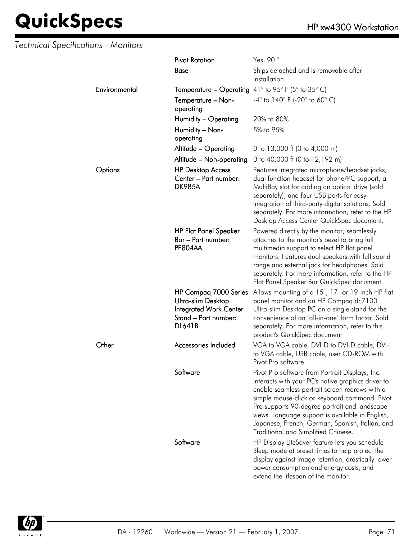### *Technical Specifications - Monitors*

|               | <b>Pivot Rotation</b>                                                                                                 | Yes, 90°                                                                                                                                                                                                                                                                                                                                                                                                |  |
|---------------|-----------------------------------------------------------------------------------------------------------------------|---------------------------------------------------------------------------------------------------------------------------------------------------------------------------------------------------------------------------------------------------------------------------------------------------------------------------------------------------------------------------------------------------------|--|
|               | <b>Base</b>                                                                                                           | Ships detached and is removable after<br>installation                                                                                                                                                                                                                                                                                                                                                   |  |
| Environmental | <b>Temperature – Operating</b> 41° to 95° F (5° to 35° C)                                                             |                                                                                                                                                                                                                                                                                                                                                                                                         |  |
|               | Temperature - Non-<br>operating                                                                                       | $-4^{\circ}$ to 140° F (-20° to 60° C)                                                                                                                                                                                                                                                                                                                                                                  |  |
|               | Humidity - Operating                                                                                                  | 20% to 80%                                                                                                                                                                                                                                                                                                                                                                                              |  |
|               | Humidity - Non-<br>operating                                                                                          | 5% to 95%                                                                                                                                                                                                                                                                                                                                                                                               |  |
|               | Altitude - Operating                                                                                                  | 0 to 13,000 ft (0 to 4,000 m)                                                                                                                                                                                                                                                                                                                                                                           |  |
|               | Altitude - Non-operating                                                                                              | 0 to 40,000 ft (0 to 12,192 m)                                                                                                                                                                                                                                                                                                                                                                          |  |
| Options       | <b>HP Desktop Access</b><br>Center - Part number:<br><b>DK985A</b>                                                    | Features integrated microphone/headset jacks,<br>dual function headset for phone/PC support, a<br>MultiBay slot for adding an optical drive (sold<br>separately), and four USB ports for easy<br>integration of third-party digital solutions. Sold<br>separately. For more information, refer to the HP<br>Desktop Access Center QuickSpec document.                                                   |  |
|               | <b>HP Flat Panel Speaker</b><br>Bar – Part number:<br>PF804AA                                                         | Powered directly by the monitor, seamlessly<br>attaches to the monitor's bezel to bring full<br>multimedia support to select HP flat panel<br>monitors. Features dual speakers with full sound<br>range and external jack for headphones. Sold<br>separately. For more information, refer to the HP<br>Flat Panel Speaker Bar QuickSpec document.                                                       |  |
|               | HP Compaq 7000 Series<br>Ultra-slim Desktop<br><b>Integrated Work Center</b><br>Stand - Part number:<br><b>DL641B</b> | Allows mounting of a 15-, 17- or 19-inch HP flat<br>panel monitor and an HP Compaq dc7100<br>Ultra-slim Desktop PC on a single stand for the<br>convenience of an "all-in-one" form factor. Sold<br>separately. For more information, refer to this<br>product's QuickSpec document                                                                                                                     |  |
| Other         | Accessories Included                                                                                                  | VGA to VGA cable, DVI-D to DVI-D cable, DVI-I<br>to VGA cable, USB cable, user CD-ROM with<br>Pivot Pro software                                                                                                                                                                                                                                                                                        |  |
|               | Software                                                                                                              | Pivot Pro software from Portrait Displays, Inc.<br>interacts with your PC's native graphics driver to<br>enable seamless portrait screen redraws with a<br>simple mouse-click or keyboard command. Pivot<br>Pro supports 90-degree portrait and landscape<br>views. Language support is available in English,<br>Japanese, French, German, Spanish, Italian, and<br>Traditional and Simplified Chinese. |  |
|               | Software                                                                                                              | HP Display LiteSaver feature lets you schedule<br>Sleep mode at preset times to help protect the<br>display against image retention, drastically lower<br>power consumption and energy costs, and<br>extend the lifespan of the monitor.                                                                                                                                                                |  |

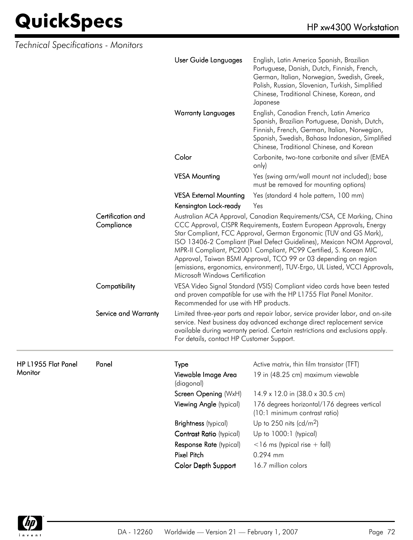| Technical Specifications - Monitors |                                 |                                                                                                                                                                                                                                                                                                                                                                                                                                                                                                                                                        |                                                                                                                                                                                                                                                     |  |
|-------------------------------------|---------------------------------|--------------------------------------------------------------------------------------------------------------------------------------------------------------------------------------------------------------------------------------------------------------------------------------------------------------------------------------------------------------------------------------------------------------------------------------------------------------------------------------------------------------------------------------------------------|-----------------------------------------------------------------------------------------------------------------------------------------------------------------------------------------------------------------------------------------------------|--|
|                                     |                                 | User Guide Languages                                                                                                                                                                                                                                                                                                                                                                                                                                                                                                                                   | English, Latin America Spanish, Brazilian<br>Portuguese, Danish, Dutch, Finnish, French,<br>German, Italian, Norwegian, Swedish, Greek,<br>Polish, Russian, Slovenian, Turkish, Simplified<br>Chinese, Traditional Chinese, Korean, and<br>Japanese |  |
|                                     |                                 | <b>Warranty Languages</b>                                                                                                                                                                                                                                                                                                                                                                                                                                                                                                                              | English, Canadian French, Latin America<br>Spanish, Brazilian Portuguese, Danish, Dutch,<br>Finnish, French, German, Italian, Norwegian,<br>Spanish, Swedish, Bahasa Indonesian, Simplified<br>Chinese, Traditional Chinese, and Korean             |  |
|                                     |                                 | Color                                                                                                                                                                                                                                                                                                                                                                                                                                                                                                                                                  | Carbonite, two-tone carbonite and silver (EMEA<br>only)                                                                                                                                                                                             |  |
|                                     |                                 | <b>VESA Mounting</b>                                                                                                                                                                                                                                                                                                                                                                                                                                                                                                                                   | Yes (swing arm/wall mount not included); base<br>must be removed for mounting options)                                                                                                                                                              |  |
|                                     |                                 | <b>VESA External Mounting</b>                                                                                                                                                                                                                                                                                                                                                                                                                                                                                                                          | Yes (standard 4 hole pattern, 100 mm)                                                                                                                                                                                                               |  |
|                                     |                                 | Kensington Lock-ready                                                                                                                                                                                                                                                                                                                                                                                                                                                                                                                                  | Yes                                                                                                                                                                                                                                                 |  |
|                                     | Certification and<br>Compliance | Australian ACA Approval, Canadian Requirements/CSA, CE Marking, China<br>CCC Approval, CISPR Requirements, Eastern European Approvals, Energy<br>Star Compliant, FCC Approval, German Ergonomic (TUV and GS Mark),<br>ISO 13406-2 Compliant (Pixel Defect Guidelines), Mexican NOM Approval,<br>MPR-II Compliant, PC2001 Compliant, PC99 Certified, S. Korean MIC<br>Approval, Taiwan BSMI Approval, TCO 99 or 03 depending on region<br>(emissions, ergonomics, environment), TUV-Ergo, UL Listed, VCCI Approvals,<br>Microsoft Windows Certification |                                                                                                                                                                                                                                                     |  |
|                                     | Compatibility                   | Recommended for use with HP products.                                                                                                                                                                                                                                                                                                                                                                                                                                                                                                                  | VESA Video Signal Standard (VSIS) Compliant video cards have been tested<br>and proven compatible for use with the HP L1755 Flat Panel Monitor.                                                                                                     |  |
|                                     | Service and Warranty            | Limited three-year parts and repair labor, service provider labor, and on-site<br>service. Next business day advanced exchange direct replacement service<br>available during warranty period. Certain restrictions and exclusions apply.<br>For details, contact HP Customer Support.                                                                                                                                                                                                                                                                 |                                                                                                                                                                                                                                                     |  |
| HP L1955 Flat Panel                 | Panel                           | Type                                                                                                                                                                                                                                                                                                                                                                                                                                                                                                                                                   | Active matrix, thin film transistor (TFT)                                                                                                                                                                                                           |  |
| <b>Monitor</b>                      |                                 | Viewable Image Area<br>(diagonal)                                                                                                                                                                                                                                                                                                                                                                                                                                                                                                                      | 19 in (48.25 cm) maximum viewable                                                                                                                                                                                                                   |  |
|                                     |                                 | Screen Opening (WxH)                                                                                                                                                                                                                                                                                                                                                                                                                                                                                                                                   | 14.9 x 12.0 in (38.0 x 30.5 cm)                                                                                                                                                                                                                     |  |
|                                     |                                 | Viewing Angle (typical)                                                                                                                                                                                                                                                                                                                                                                                                                                                                                                                                | 176 degrees horizontal/176 degrees vertical<br>(10:1 minimum contrast ratio)                                                                                                                                                                        |  |
|                                     |                                 | <b>Brightness</b> (typical)                                                                                                                                                                                                                                                                                                                                                                                                                                                                                                                            | Up to 250 nits (cd/m <sup>2</sup> )                                                                                                                                                                                                                 |  |
|                                     |                                 | Contrast Ratio (typical)                                                                                                                                                                                                                                                                                                                                                                                                                                                                                                                               | Up to 1000:1 (typical)                                                                                                                                                                                                                              |  |
|                                     |                                 | Response Rate (typical)                                                                                                                                                                                                                                                                                                                                                                                                                                                                                                                                | $<$ 16 ms (typical rise + fall)                                                                                                                                                                                                                     |  |
|                                     |                                 | Pixel Pitch                                                                                                                                                                                                                                                                                                                                                                                                                                                                                                                                            | 0.294 mm                                                                                                                                                                                                                                            |  |
|                                     |                                 | Color Depth Support                                                                                                                                                                                                                                                                                                                                                                                                                                                                                                                                    | 16.7 million colors                                                                                                                                                                                                                                 |  |

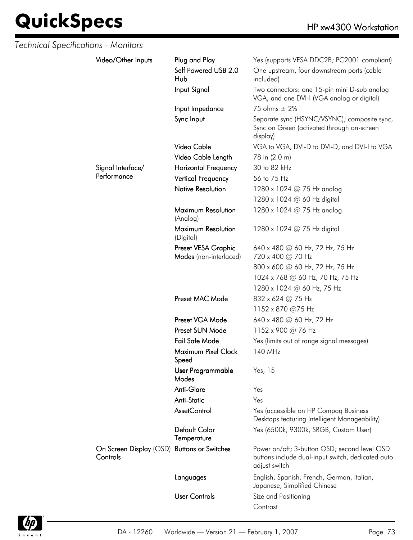| Technical Specifications - Monitors |                                                         |                                               |                                                                                                                    |
|-------------------------------------|---------------------------------------------------------|-----------------------------------------------|--------------------------------------------------------------------------------------------------------------------|
|                                     | Video/Other Inputs                                      | Plug and Play                                 | Yes (supports VESA DDC2B; PC2001 compliant)                                                                        |
|                                     |                                                         | Self Powered USB 2.0<br>Hub                   | One upstream, four downstream ports (cable<br>included)                                                            |
|                                     |                                                         | Input Signal                                  | Two connectors: one 15-pin mini D-sub analog<br>VGA; and one DVI-I (VGA analog or digital)                         |
|                                     |                                                         | Input Impedance                               | 75 ohms $\pm$ 2%                                                                                                   |
|                                     |                                                         | Sync Input                                    | Separate sync (HSYNC/VSYNC); composite sync,<br>Sync on Green (activated through on-screen<br>display)             |
|                                     |                                                         | Video Cable                                   | VGA to VGA, DVI-D to DVI-D, and DVI-I to VGA                                                                       |
|                                     |                                                         | Video Cable Length                            | 78 in (2.0 m)                                                                                                      |
|                                     | Signal Interface/                                       | <b>Horizontal Frequency</b>                   | 30 to 82 kHz                                                                                                       |
|                                     | Performance                                             | <b>Vertical Frequency</b>                     | 56 to 75 Hz                                                                                                        |
|                                     |                                                         | <b>Native Resolution</b>                      | 1280 x 1024 @ 75 Hz analog                                                                                         |
|                                     |                                                         |                                               | 1280 x 1024 @ 60 Hz digital                                                                                        |
|                                     |                                                         | Maximum Resolution<br>(Analog)                | 1280 x 1024 @ 75 Hz analog                                                                                         |
|                                     |                                                         | Maximum Resolution<br>(Digital)               | 1280 x 1024 $@$ 75 Hz digital                                                                                      |
|                                     |                                                         | Preset VESA Graphic<br>Modes (non-interlaced) | 640 x 480 @ 60 Hz, 72 Hz, 75 Hz<br>720 x 400 @ 70 Hz                                                               |
|                                     |                                                         |                                               | 800 x 600 @ 60 Hz, 72 Hz, 75 Hz                                                                                    |
|                                     |                                                         |                                               | 1024 x 768 @ 60 Hz, 70 Hz, 75 Hz                                                                                   |
|                                     |                                                         |                                               | 1280 x 1024 @ 60 Hz, 75 Hz                                                                                         |
|                                     |                                                         | Preset MAC Mode                               | 832 x 624 @ 75 Hz                                                                                                  |
|                                     |                                                         |                                               | 1152 x 870 @75 Hz                                                                                                  |
|                                     |                                                         | Preset VGA Mode                               | 640 x 480 @ 60 Hz, 72 Hz                                                                                           |
|                                     |                                                         | Preset SUN Mode                               | 1152 x 900 @ 76 Hz                                                                                                 |
|                                     |                                                         | Fail Safe Mode                                | Yes (limits out of range signal messages)                                                                          |
|                                     |                                                         | Maximum Pixel Clock<br>Speed                  | 140 MHz                                                                                                            |
|                                     |                                                         | User Programmable<br>Modes                    | Yes, 15                                                                                                            |
|                                     |                                                         | Anti-Glare                                    | Yes                                                                                                                |
|                                     |                                                         | <b>Anti-Static</b>                            | Yes                                                                                                                |
|                                     |                                                         | AssetControl                                  | Yes (accessible on HP Compaq Business<br>Desktops featuring Intelligent Manageability)                             |
|                                     |                                                         | <b>Default Color</b><br>Temperature           | Yes (6500k, 9300k, SRGB, Custom User)                                                                              |
|                                     | On Screen Display (OSD) Buttons or Switches<br>Controls |                                               | Power on/off; 3-button OSD; second level OSD<br>buttons include dual-input switch, dedicated auto<br>adjust switch |
|                                     |                                                         | Languages                                     | English, Spanish, French, German, Italian,<br>Japanese, Simplified Chinese                                         |
|                                     |                                                         | <b>User Controls</b>                          | Size and Positioning                                                                                               |
|                                     |                                                         |                                               | Contrast                                                                                                           |

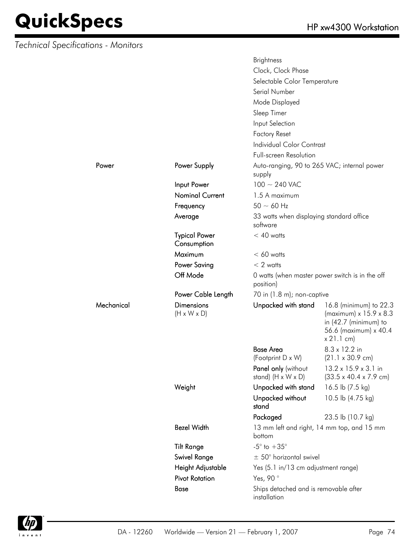*Technical Specifications - Monitors*

Mechanical

|            |                                              | <b>Brightness</b>                                     |                                                                                                                            |  |
|------------|----------------------------------------------|-------------------------------------------------------|----------------------------------------------------------------------------------------------------------------------------|--|
|            |                                              | Clock, Clock Phase                                    |                                                                                                                            |  |
|            |                                              | Selectable Color Temperature                          |                                                                                                                            |  |
|            |                                              | Serial Number                                         |                                                                                                                            |  |
|            |                                              | Mode Displayed                                        |                                                                                                                            |  |
|            |                                              | Sleep Timer                                           |                                                                                                                            |  |
|            |                                              | Input Selection                                       |                                                                                                                            |  |
|            |                                              | <b>Factory Reset</b>                                  |                                                                                                                            |  |
|            |                                              | <b>Individual Color Contrast</b>                      |                                                                                                                            |  |
|            |                                              | <b>Full-screen Resolution</b>                         |                                                                                                                            |  |
| Power      | Power Supply                                 | Auto-ranging, 90 to 265 VAC; internal power           |                                                                                                                            |  |
|            |                                              | supply                                                |                                                                                                                            |  |
|            | Input Power                                  | $100 \sim 240$ VAC                                    |                                                                                                                            |  |
|            | <b>Nominal Current</b>                       | 1.5 A maximum                                         |                                                                                                                            |  |
|            | Frequency                                    | $50 \sim 60$ Hz                                       |                                                                                                                            |  |
|            | Average                                      | 33 watts when displaying standard office<br>software  |                                                                                                                            |  |
|            | <b>Typical Power</b>                         | $< 40$ watts                                          |                                                                                                                            |  |
|            | Consumption                                  |                                                       |                                                                                                                            |  |
|            | Maximum                                      | $< 60$ watts                                          |                                                                                                                            |  |
|            | <b>Power Saving</b>                          | $< 2$ watts                                           |                                                                                                                            |  |
|            | Off Mode                                     | position)                                             | 0 watts (when master power switch is in the off                                                                            |  |
|            | Power Cable Length                           | 70 in (1.8 m); non-captive                            |                                                                                                                            |  |
| Mechanical | <b>Dimensions</b><br>$(H \times W \times D)$ | Unpacked with stand                                   | 16.8 (minimum) to 22.3<br>(maximum) x 15.9 x 8.3<br>in $(42.7 \text{ (minimum)}$ to<br>56.6 (maximum) x 40.4<br>x 21.1 cm) |  |
|            |                                              | <b>Base Area</b>                                      | 8.3 x 12.2 in                                                                                                              |  |
|            |                                              | (Footprint D x W)                                     | $(21.1 \times 30.9 \text{ cm})$                                                                                            |  |
|            |                                              | Panel only (without<br>stand) $(H \times W \times D)$ | 13.2 x 15.9 x 3.1 in<br>$(33.5 \times 40.4 \times 7.9 \text{ cm})$                                                         |  |
|            | Weight                                       | Unpacked with stand                                   | 16.5 lb (7.5 kg)                                                                                                           |  |
|            |                                              | Unpacked without<br>stand                             | 10.5 lb (4.75 kg)                                                                                                          |  |
|            |                                              | Packaged                                              | 23.5 lb (10.7 kg)                                                                                                          |  |
|            | <b>Bezel Width</b>                           | bottom                                                | 13 mm left and right, 14 mm top, and 15 mm                                                                                 |  |
|            | <b>Tilt Range</b>                            | $-5^{\circ}$ to $+35^{\circ}$                         |                                                                                                                            |  |
|            | Swivel Range                                 | $\pm$ 50° horizontal swivel                           |                                                                                                                            |  |
|            | Height Adjustable                            | Yes (5.1 in/13 cm adjustment range)                   |                                                                                                                            |  |
|            | <b>Pivot Rotation</b>                        | Yes, 90°                                              |                                                                                                                            |  |
|            | Base                                         | Ships detached and is removable after<br>installation |                                                                                                                            |  |

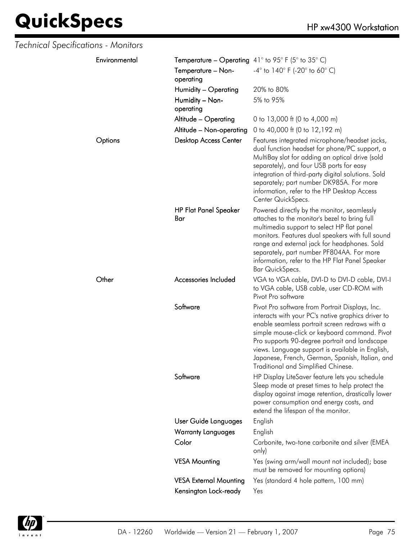| Technical Specifications - Monitors |                                                           |                                                                                                                                                                                                                                                                                                                                                                                                         |
|-------------------------------------|-----------------------------------------------------------|---------------------------------------------------------------------------------------------------------------------------------------------------------------------------------------------------------------------------------------------------------------------------------------------------------------------------------------------------------------------------------------------------------|
| Environmental                       | <b>Temperature – Operating</b> 41° to 95° F (5° to 35° C) |                                                                                                                                                                                                                                                                                                                                                                                                         |
|                                     | Temperature - Non-<br>operating                           | $-4^{\circ}$ to 140° F (-20° to 60° C)                                                                                                                                                                                                                                                                                                                                                                  |
|                                     | Humidity - Operating                                      | 20% to 80%                                                                                                                                                                                                                                                                                                                                                                                              |
|                                     | Humidity - Non-<br>operating                              | 5% to 95%                                                                                                                                                                                                                                                                                                                                                                                               |
|                                     | Altitude - Operating                                      | 0 to 13,000 ft (0 to 4,000 m)                                                                                                                                                                                                                                                                                                                                                                           |
|                                     | Altitude - Non-operating                                  | 0 to 40,000 ft (0 to 12,192 m)                                                                                                                                                                                                                                                                                                                                                                          |
| Options                             | <b>Desktop Access Center</b>                              | Features integrated microphone/headset jacks,<br>dual function headset for phone/PC support, a<br>MultiBay slot for adding an optical drive (sold<br>separately), and four USB ports for easy<br>integration of third-party digital solutions. Sold<br>separately; part number DK985A. For more<br>information, refer to the HP Desktop Access<br>Center QuickSpecs.                                    |
|                                     | <b>HP Flat Panel Speaker</b><br>Bar                       | Powered directly by the monitor, seamlessly<br>attaches to the monitor's bezel to bring full<br>multimedia support to select HP flat panel<br>monitors. Features dual speakers with full sound<br>range and external jack for headphones. Sold<br>separately, part number PF804AA. For more<br>information, refer to the HP Flat Panel Speaker<br>Bar QuickSpecs.                                       |
| Other                               | Accessories Included                                      | VGA to VGA cable, DVI-D to DVI-D cable, DVI-I<br>to VGA cable, USB cable, user CD-ROM with<br>Pivot Pro software                                                                                                                                                                                                                                                                                        |
|                                     | Software                                                  | Pivot Pro software from Portrait Displays, Inc.<br>interacts with your PC's native graphics driver to<br>enable seamless portrait screen redraws with a<br>simple mouse-click or keyboard command. Pivot<br>Pro supports 90-degree portrait and landscape<br>views. Language support is available in English,<br>Japanese, French, German, Spanish, Italian, and<br>Traditional and Simplified Chinese. |
|                                     | Software                                                  | HP Display LiteSaver feature lets you schedule<br>Sleep mode at preset times to help protect the<br>display against image retention, drastically lower<br>power consumption and energy costs, and<br>extend the lifespan of the monitor.                                                                                                                                                                |
|                                     | User Guide Languages                                      | English                                                                                                                                                                                                                                                                                                                                                                                                 |
|                                     | <b>Warranty Languages</b>                                 | English                                                                                                                                                                                                                                                                                                                                                                                                 |
|                                     | Color                                                     | Carbonite, two-tone carbonite and silver (EMEA<br>only)                                                                                                                                                                                                                                                                                                                                                 |
|                                     | <b>VESA Mounting</b>                                      | Yes (swing arm/wall mount not included); base<br>must be removed for mounting options)                                                                                                                                                                                                                                                                                                                  |
|                                     | <b>VESA External Mounting</b>                             | Yes (standard 4 hole pattern, 100 mm)                                                                                                                                                                                                                                                                                                                                                                   |
|                                     | Kensington Lock-ready                                     | Yes                                                                                                                                                                                                                                                                                                                                                                                                     |

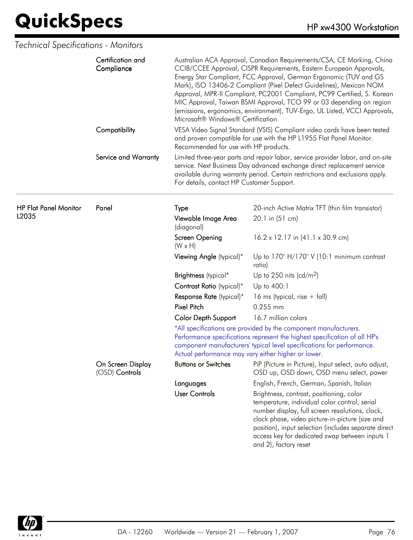| Technical Specifications - Monitors   |                                     |                                                                                                                                                                                                                                                                                 |                                                                                                                                                                                                                                                                                                                                                                                                                                                                                                                           |
|---------------------------------------|-------------------------------------|---------------------------------------------------------------------------------------------------------------------------------------------------------------------------------------------------------------------------------------------------------------------------------|---------------------------------------------------------------------------------------------------------------------------------------------------------------------------------------------------------------------------------------------------------------------------------------------------------------------------------------------------------------------------------------------------------------------------------------------------------------------------------------------------------------------------|
|                                       | Certification and<br>Compliance     | Microsoft® Windows® Certification                                                                                                                                                                                                                                               | Australian ACA Approval, Canadian Requirements/CSA, CE Marking, China<br>CCIB/CCEE Approval, CISPR Requirements, Eastern European Approvals,<br>Energy Star Compliant, FCC Approval, German Ergonomic (TUV and GS<br>Mark), ISO 13406-2 Compliant (Pixel Defect Guidelines), Mexican NOM<br>Approval, MPR-II Compliant, PC2001 Compliant, PC99 Certified, S. Korean<br>MIC Approval, Taiwan BSMI Approval, TCO 99 or 03 depending on region<br>(emissions, ergonomics, environment), TUV-Ergo, UL Listed, VCCI Approvals, |
|                                       | Compatibility                       | VESA Video Signal Standard (VSIS) Compliant video cards have been tested<br>and proven compatible for use with the HP L1955 Flat Panel Monitor.<br>Recommended for use with HP products.                                                                                        |                                                                                                                                                                                                                                                                                                                                                                                                                                                                                                                           |
|                                       | Service and Warranty                | For details, contact HP Customer Support.                                                                                                                                                                                                                                       | Limited three-year parts and repair labor, service provider labor, and on-site<br>service. Next Business Day advanced exchange direct replacement service<br>available during warranty period. Certain restrictions and exclusions apply.                                                                                                                                                                                                                                                                                 |
| <b>HP Flat Panel Monitor</b><br>L2035 | Panel                               | Type                                                                                                                                                                                                                                                                            | 20-inch Active Matrix TFT (thin film transistor)                                                                                                                                                                                                                                                                                                                                                                                                                                                                          |
|                                       |                                     | Viewable Image Area<br>(diagonal)                                                                                                                                                                                                                                               | 20.1 in (51 cm)                                                                                                                                                                                                                                                                                                                                                                                                                                                                                                           |
|                                       |                                     | Screen Opening<br>$(W \times H)$                                                                                                                                                                                                                                                | 16.2 x 12.17 in (41.1 x 30.9 cm)                                                                                                                                                                                                                                                                                                                                                                                                                                                                                          |
|                                       |                                     | Viewing Angle (typical)*                                                                                                                                                                                                                                                        | Up to $170^\circ$ H/170° V (10:1 minimum contrast<br>ratio)                                                                                                                                                                                                                                                                                                                                                                                                                                                               |
|                                       |                                     | Brightness (typical*                                                                                                                                                                                                                                                            | Up to 250 nits (cd/m <sup>2</sup> )                                                                                                                                                                                                                                                                                                                                                                                                                                                                                       |
|                                       |                                     | Contrast Ratio (typical)*                                                                                                                                                                                                                                                       | Up to 400:1                                                                                                                                                                                                                                                                                                                                                                                                                                                                                                               |
|                                       |                                     | Response Rate (typical)*                                                                                                                                                                                                                                                        | 16 ms (typical, rise $+$ fall)                                                                                                                                                                                                                                                                                                                                                                                                                                                                                            |
|                                       |                                     | <b>Pixel Pitch</b>                                                                                                                                                                                                                                                              | 0.255 mm                                                                                                                                                                                                                                                                                                                                                                                                                                                                                                                  |
|                                       |                                     | <b>Color Depth Support</b>                                                                                                                                                                                                                                                      | 16.7 million colors                                                                                                                                                                                                                                                                                                                                                                                                                                                                                                       |
|                                       |                                     | *All specifications are provided by the component manufacturers.<br>Performance specifications represent the highest specification of all HP's<br>component manufacturers' typical level specifications for performance.<br>Actual performance may vary either higher or lower. |                                                                                                                                                                                                                                                                                                                                                                                                                                                                                                                           |
|                                       | On Screen Display<br>(OSD) Controls | <b>Buttons or Switches</b>                                                                                                                                                                                                                                                      | PiP (Picture in Picture), Input select, auto adjust,<br>OSD up, OSD down, OSD menu select, power                                                                                                                                                                                                                                                                                                                                                                                                                          |
|                                       |                                     | Languages                                                                                                                                                                                                                                                                       | English, French, German, Spanish, Italian                                                                                                                                                                                                                                                                                                                                                                                                                                                                                 |
|                                       |                                     | <b>User Controls</b>                                                                                                                                                                                                                                                            | Brightness, contrast, positioning, color<br>temperature, individual color control, serial<br>number display, full screen resolutions, clock,<br>clock phase, video picture-in-picture (size and<br>position), input selection (includes separate direct<br>access key for dedicated swap between inputs 1<br>and 2), factory reset                                                                                                                                                                                        |

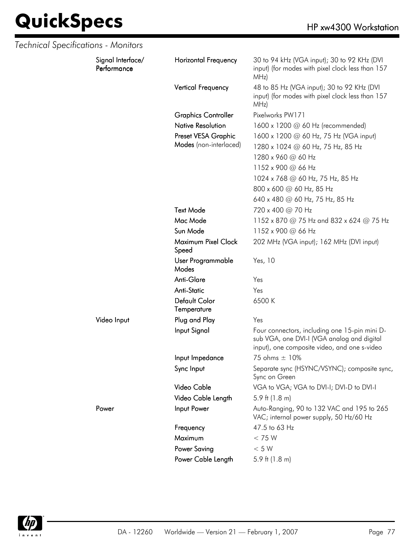| Technical Specifications - Monitors |                                  |                              |                                                                                                                                             |
|-------------------------------------|----------------------------------|------------------------------|---------------------------------------------------------------------------------------------------------------------------------------------|
|                                     | Signal Interface/<br>Performance | <b>Horizontal Frequency</b>  | 30 to 94 kHz (VGA input); 30 to 92 KHz (DVI<br>input) (for modes with pixel clock less than 157<br>MHz)                                     |
|                                     |                                  | Vertical Frequency           | 48 to 85 Hz (VGA input); 30 to 92 KHz (DVI<br>input) (for modes with pixel clock less than 157<br>MHz)                                      |
|                                     |                                  | <b>Graphics Controller</b>   | Pixelworks PW171                                                                                                                            |
|                                     |                                  | <b>Native Resolution</b>     | 1600 x 1200 @ 60 Hz (recommended)                                                                                                           |
|                                     |                                  | Preset VESA Graphic          | 1600 x 1200 @ 60 Hz, 75 Hz (VGA input)                                                                                                      |
|                                     |                                  | Modes (non-interlaced)       | 1280 x 1024 @ 60 Hz, 75 Hz, 85 Hz                                                                                                           |
|                                     |                                  |                              | 1280 x 960 @ 60 Hz                                                                                                                          |
|                                     |                                  |                              | 1152 x 900 @ 66 Hz                                                                                                                          |
|                                     |                                  |                              | 1024 x 768 @ 60 Hz, 75 Hz, 85 Hz                                                                                                            |
|                                     |                                  |                              | 800 x 600 @ 60 Hz, 85 Hz                                                                                                                    |
|                                     |                                  |                              | 640 x 480 @ 60 Hz, 75 Hz, 85 Hz                                                                                                             |
|                                     |                                  | <b>Text Mode</b>             | 720 x 400 @ 70 Hz                                                                                                                           |
|                                     |                                  | Mac Mode                     | 1152 x 870 @ 75 Hz and 832 x 624 @ 75 Hz                                                                                                    |
|                                     |                                  | Sun Mode                     | 1152 x 900 @ 66 Hz                                                                                                                          |
|                                     |                                  | Maximum Pixel Clock<br>Speed | 202 MHz (VGA input); 162 MHz (DVI input)                                                                                                    |
|                                     |                                  | User Programmable<br>Modes   | Yes, 10                                                                                                                                     |
|                                     |                                  | Anti-Glare                   | Yes                                                                                                                                         |
|                                     |                                  | <b>Anti-Static</b>           | Yes                                                                                                                                         |
|                                     |                                  | Default Color<br>Temperature | 6500K                                                                                                                                       |
|                                     | Video Input                      | Plug and Play                | Yes                                                                                                                                         |
|                                     |                                  | Input Signal                 | Four connectors, including one 15-pin mini D-<br>sub VGA, one DVI-I (VGA analog and digital<br>input), one composite video, and one s-video |
|                                     |                                  | Input Impedance              | 75 ohms $\pm$ 10%                                                                                                                           |
|                                     |                                  | Sync Input                   | Separate sync (HSYNC/VSYNC); composite sync,<br>Sync on Green                                                                               |
|                                     |                                  | Video Cable                  | VGA to VGA; VGA to DVI-I; DVI-D to DVI-I                                                                                                    |
|                                     |                                  | Video Cable Length           | 5.9 ft $(1.8 \text{ m})$                                                                                                                    |
|                                     | Power                            | Input Power                  | Auto-Ranging, 90 to 132 VAC and 195 to 265<br>VAC; internal power supply, 50 Hz/60 Hz                                                       |
|                                     |                                  | Frequency                    | 47.5 to 63 Hz                                                                                                                               |
|                                     |                                  | Maximum                      | < 75 W                                                                                                                                      |
|                                     |                                  | Power Saving                 | $< 5 W$                                                                                                                                     |
|                                     |                                  | Power Cable Length           | 5.9 ft $(1.8 \text{ m})$                                                                                                                    |

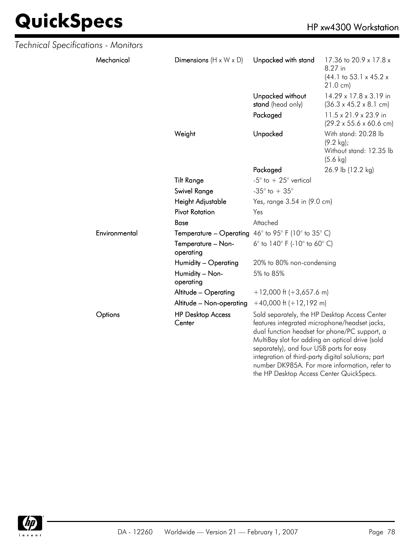| Technical Specifications - Monitors |               |                                                            |                                                                                                                                                                                                                                                                                                                                                                                                   |                                                                                               |
|-------------------------------------|---------------|------------------------------------------------------------|---------------------------------------------------------------------------------------------------------------------------------------------------------------------------------------------------------------------------------------------------------------------------------------------------------------------------------------------------------------------------------------------------|-----------------------------------------------------------------------------------------------|
|                                     | Mechanical    | Dimensions $(H \times W \times D)$                         | Unpacked with stand                                                                                                                                                                                                                                                                                                                                                                               | 17.36 to 20.9 x 17.8 x<br>8.27 in<br>$(44.1 \text{ to } 53.1 \times 45.2 \times$<br>21.0 cm)  |
|                                     |               |                                                            | Unpacked without<br>stand (head only)                                                                                                                                                                                                                                                                                                                                                             | 14.29 x 17.8 x 3.19 in<br>$(36.3 \times 45.2 \times 8.1 \text{ cm})$                          |
|                                     |               |                                                            | Packaged                                                                                                                                                                                                                                                                                                                                                                                          | 11.5 x 21.9 x 23.9 in<br>$(29.2 \times 55.6 \times 60.6 \text{ cm})$                          |
|                                     |               | Weight                                                     | Unpacked                                                                                                                                                                                                                                                                                                                                                                                          | With stand: 20.28 lb<br>$(9.2 \text{ kg})$ ;<br>Without stand: 12.35 lb<br>$(5.6 \text{ kg})$ |
|                                     |               |                                                            | Packaged                                                                                                                                                                                                                                                                                                                                                                                          | 26.9 lb (12.2 kg)                                                                             |
|                                     |               | <b>Tilt Range</b>                                          | -5 $^{\circ}$ to $+25^{\circ}$ vertical                                                                                                                                                                                                                                                                                                                                                           |                                                                                               |
|                                     |               | Swivel Range                                               | -35 $^{\circ}$ to + 35 $^{\circ}$                                                                                                                                                                                                                                                                                                                                                                 |                                                                                               |
|                                     |               | Height Adjustable                                          | Yes, range 3.54 in (9.0 cm)                                                                                                                                                                                                                                                                                                                                                                       |                                                                                               |
|                                     |               | <b>Pivot Rotation</b>                                      | Yes                                                                                                                                                                                                                                                                                                                                                                                               |                                                                                               |
|                                     |               | <b>Base</b>                                                | Attached                                                                                                                                                                                                                                                                                                                                                                                          |                                                                                               |
|                                     | Environmental | <b>Temperature – Operating</b> 46° to 95° F (10° to 35° C) |                                                                                                                                                                                                                                                                                                                                                                                                   |                                                                                               |
|                                     |               | Temperature - Non-<br>operating                            | 6° to 140° F (-10° to 60° C)                                                                                                                                                                                                                                                                                                                                                                      |                                                                                               |
|                                     |               | Humidity - Operating                                       | 20% to 80% non-condensing                                                                                                                                                                                                                                                                                                                                                                         |                                                                                               |
|                                     |               | Humidity - Non-<br>operating                               | 5% to 85%                                                                                                                                                                                                                                                                                                                                                                                         |                                                                                               |
|                                     |               | Altitude - Operating                                       | $+12,000$ ft (+3,657.6 m)                                                                                                                                                                                                                                                                                                                                                                         |                                                                                               |
|                                     |               | Altitude - Non-operating                                   | $+40,000$ ft $(+12,192$ m)                                                                                                                                                                                                                                                                                                                                                                        |                                                                                               |
|                                     | Options       | <b>HP Desktop Access</b><br>Center                         | Sold separately, the HP Desktop Access Center<br>features integrated microphone/headset jacks,<br>dual function headset for phone/PC support, a<br>MultiBay slot for adding an optical drive (sold<br>separately), and four USB ports for easy<br>integration of third-party digital solutions; part<br>number DK985A. For more information, refer to<br>the HP Desktop Access Center QuickSpecs. |                                                                                               |

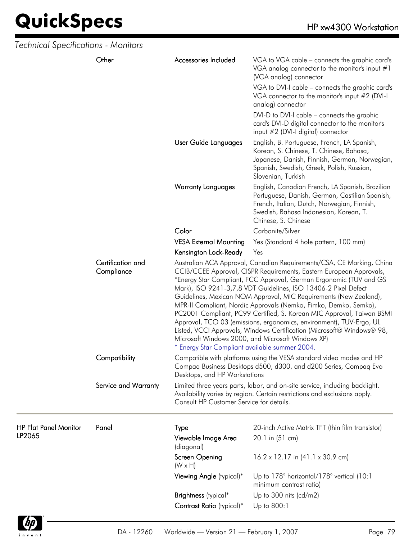| Technical Specifications - Monitors    |                                                                                                                                                                                                                                                                                                                                                                                                                                                                                                                                                                                                                                                                                                                                                                |                                           |                                                                                                                                                                                                                                                                                                                                                         |
|----------------------------------------|----------------------------------------------------------------------------------------------------------------------------------------------------------------------------------------------------------------------------------------------------------------------------------------------------------------------------------------------------------------------------------------------------------------------------------------------------------------------------------------------------------------------------------------------------------------------------------------------------------------------------------------------------------------------------------------------------------------------------------------------------------------|-------------------------------------------|---------------------------------------------------------------------------------------------------------------------------------------------------------------------------------------------------------------------------------------------------------------------------------------------------------------------------------------------------------|
|                                        | Other                                                                                                                                                                                                                                                                                                                                                                                                                                                                                                                                                                                                                                                                                                                                                          | Accessories Included                      | VGA to VGA cable - connects the graphic card's<br>VGA analog connector to the monitor's input #1<br>(VGA analog) connector<br>VGA to DVI-I cable - connects the graphic card's<br>VGA connector to the monitor's input #2 (DVI-I<br>analog) connector<br>DVI-D to DVI-I cable - connects the graphic<br>card's DVI-D digital connector to the monitor's |
|                                        |                                                                                                                                                                                                                                                                                                                                                                                                                                                                                                                                                                                                                                                                                                                                                                | User Guide Languages                      | input #2 (DVI-I digital) connector<br>English, B. Portuguese, French, LA Spanish,<br>Korean, S. Chinese, T. Chinese, Bahasa,<br>Japanese, Danish, Finnish, German, Norwegian,<br>Spanish, Swedish, Greek, Polish, Russian,<br>Slovenian, Turkish                                                                                                        |
|                                        |                                                                                                                                                                                                                                                                                                                                                                                                                                                                                                                                                                                                                                                                                                                                                                | <b>Warranty Languages</b>                 | English, Canadian French, LA Spanish, Brazilian<br>Portuguese, Danish, German, Castilian Spanish,<br>French, Italian, Dutch, Norwegian, Finnish,<br>Swedish, Bahasa Indonesian, Korean, T.<br>Chinese, S. Chinese                                                                                                                                       |
|                                        |                                                                                                                                                                                                                                                                                                                                                                                                                                                                                                                                                                                                                                                                                                                                                                | Color                                     | Carbonite/Silver                                                                                                                                                                                                                                                                                                                                        |
|                                        |                                                                                                                                                                                                                                                                                                                                                                                                                                                                                                                                                                                                                                                                                                                                                                | <b>VESA External Mounting</b>             | Yes (Standard 4 hole pattern, 100 mm)                                                                                                                                                                                                                                                                                                                   |
|                                        |                                                                                                                                                                                                                                                                                                                                                                                                                                                                                                                                                                                                                                                                                                                                                                | Kensington Lock-Ready                     | Yes                                                                                                                                                                                                                                                                                                                                                     |
| Certification and<br>Compliance        | Australian ACA Approval, Canadian Requirements/CSA, CE Marking, China<br>CCIB/CCEE Approval, CISPR Requirements, Eastern European Approvals,<br>*Energy Star Compliant, FCC Approval, German Ergonomic (TUV and GS<br>Mark), ISO 9241-3,7,8 VDT Guidelines, ISO 13406-2 Pixel Defect<br>Guidelines, Mexican NOM Approval, MIC Requirements (New Zealand),<br>MPR-II Compliant, Nordic Approvals (Nemko, Fimko, Demko, Semko),<br>PC2001 Compliant, PC99 Certified, S. Korean MIC Approval, Taiwan BSMI<br>Approval, TCO 03 (emissions, ergonomics, environment), TUV-Ergo, UL<br>Listed, VCCI Approvals, Windows Certification (Microsoft® Windows® 98,<br>Microsoft Windows 2000, and Microsoft Windows XP)<br>* Energy Star Compliant available summer 2004. |                                           |                                                                                                                                                                                                                                                                                                                                                         |
|                                        | Compatibility                                                                                                                                                                                                                                                                                                                                                                                                                                                                                                                                                                                                                                                                                                                                                  | Desktops, and HP Workstations             | Compatible with platforms using the VESA standard video modes and HP<br>Compaq Business Desktops d500, d300, and d200 Series, Compaq Evo                                                                                                                                                                                                                |
|                                        | Service and Warranty                                                                                                                                                                                                                                                                                                                                                                                                                                                                                                                                                                                                                                                                                                                                           | Consult HP Customer Service for details.  | Limited three years parts, labor, and on-site service, including backlight.<br>Availability varies by region. Certain restrictions and exclusions apply.                                                                                                                                                                                                |
| <b>HP Flat Panel Monitor</b><br>LP2065 | Panel                                                                                                                                                                                                                                                                                                                                                                                                                                                                                                                                                                                                                                                                                                                                                          | Type<br>Viewable Image Area<br>(diagonal) | 20-inch Active Matrix TFT (thin film transistor)<br>20.1 in (51 cm)                                                                                                                                                                                                                                                                                     |
|                                        |                                                                                                                                                                                                                                                                                                                                                                                                                                                                                                                                                                                                                                                                                                                                                                | Screen Opening<br>$(W \times H)$          | $16.2 \times 12.17$ in $(41.1 \times 30.9$ cm)                                                                                                                                                                                                                                                                                                          |
|                                        |                                                                                                                                                                                                                                                                                                                                                                                                                                                                                                                                                                                                                                                                                                                                                                | Viewing Angle (typical)*                  | Up to 178° horizontal/178° vertical (10:1<br>minimum contrast ratio)                                                                                                                                                                                                                                                                                    |
|                                        |                                                                                                                                                                                                                                                                                                                                                                                                                                                                                                                                                                                                                                                                                                                                                                | Brightness (typical*                      | Up to 300 nits $(cd/m2)$                                                                                                                                                                                                                                                                                                                                |
|                                        |                                                                                                                                                                                                                                                                                                                                                                                                                                                                                                                                                                                                                                                                                                                                                                | Contrast Ratio (typical)*                 | Up to 800:1                                                                                                                                                                                                                                                                                                                                             |
|                                        |                                                                                                                                                                                                                                                                                                                                                                                                                                                                                                                                                                                                                                                                                                                                                                |                                           |                                                                                                                                                                                                                                                                                                                                                         |

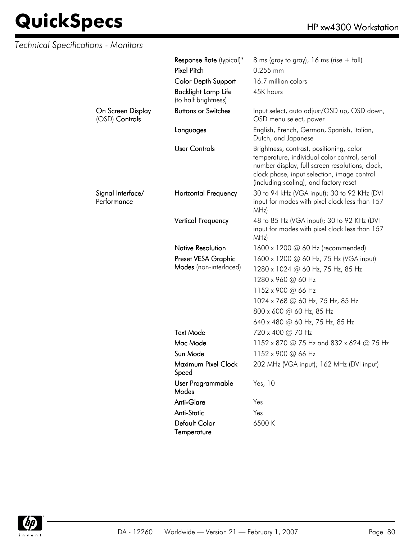| Technical Specifications - Monitors |                                                    |                                                                                                                                                                                                                                       |
|-------------------------------------|----------------------------------------------------|---------------------------------------------------------------------------------------------------------------------------------------------------------------------------------------------------------------------------------------|
|                                     | Response Rate (typical)*                           | 8 ms (gray to gray), 16 ms (rise $+$ fall)                                                                                                                                                                                            |
|                                     | <b>Pixel Pitch</b>                                 | 0.255 mm                                                                                                                                                                                                                              |
|                                     | <b>Color Depth Support</b>                         | 16.7 million colors                                                                                                                                                                                                                   |
|                                     | <b>Backlight Lamp Life</b><br>(to half brightness) | 45K hours                                                                                                                                                                                                                             |
| On Screen Display<br>(OSD) Controls | <b>Buttons or Switches</b>                         | Input select, auto adjust/OSD up, OSD down,<br>OSD menu select, power                                                                                                                                                                 |
|                                     | Languages                                          | English, French, German, Spanish, Italian,<br>Dutch, and Japanese                                                                                                                                                                     |
|                                     | <b>User Controls</b>                               | Brightness, contrast, positioning, color<br>temperature, individual color control, serial<br>number display, full screen resolutions, clock,<br>clock phase, input selection, image control<br>(including scaling), and factory reset |
| Signal Interface/<br>Performance    | <b>Horizontal Frequency</b>                        | 30 to 94 kHz (VGA input); 30 to 92 KHz (DVI<br>input for modes with pixel clock less than 157<br>MHz)                                                                                                                                 |
|                                     | Vertical Frequency                                 | 48 to 85 Hz (VGA input); 30 to 92 KHz (DVI<br>input for modes with pixel clock less than 157<br>MHz)                                                                                                                                  |
|                                     | <b>Native Resolution</b>                           | 1600 x 1200 $\omega$ 60 Hz (recommended)                                                                                                                                                                                              |
|                                     | Preset VESA Graphic                                | 1600 x 1200 @ 60 Hz, 75 Hz (VGA input)                                                                                                                                                                                                |
|                                     | Modes (non-interlaced)                             | 1280 x 1024 @ 60 Hz, 75 Hz, 85 Hz                                                                                                                                                                                                     |
|                                     |                                                    | 1280 x 960 @ 60 Hz                                                                                                                                                                                                                    |
|                                     |                                                    | 1152 x 900 @ 66 Hz                                                                                                                                                                                                                    |
|                                     |                                                    | 1024 x 768 @ 60 Hz, 75 Hz, 85 Hz                                                                                                                                                                                                      |
|                                     |                                                    | 800 x 600 @ 60 Hz, 85 Hz                                                                                                                                                                                                              |
|                                     |                                                    | 640 x 480 @ 60 Hz, 75 Hz, 85 Hz                                                                                                                                                                                                       |
|                                     | <b>Text Mode</b>                                   | 720 x 400 @ 70 Hz                                                                                                                                                                                                                     |
|                                     | Mac Mode                                           | 1152 x 870 @ 75 Hz and 832 x 624 @ 75 Hz                                                                                                                                                                                              |
|                                     | Sun Mode                                           | 1152 x 900 @ 66 Hz                                                                                                                                                                                                                    |
|                                     | Maximum Pixel Clock<br>Speed                       | 202 MHz (VGA input); 162 MHz (DVI input)                                                                                                                                                                                              |
|                                     | User Programmable<br>Modes                         | Yes, 10                                                                                                                                                                                                                               |
|                                     | Anti-Glare                                         | Yes                                                                                                                                                                                                                                   |
|                                     | <b>Anti-Static</b>                                 | Yes                                                                                                                                                                                                                                   |
|                                     | Default Color<br>Temperature                       | 6500 K                                                                                                                                                                                                                                |

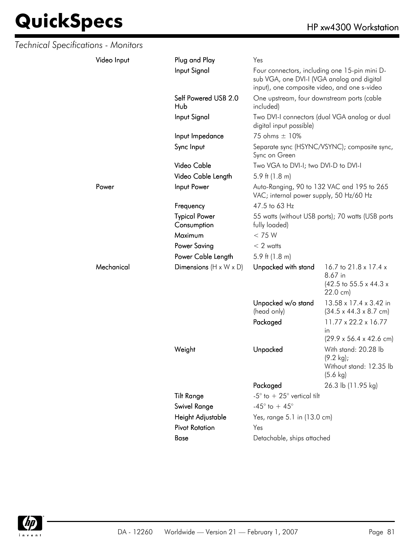| Technical Specifications - Monitors |             |                                     |                                                                                                                                             |                                                                                               |
|-------------------------------------|-------------|-------------------------------------|---------------------------------------------------------------------------------------------------------------------------------------------|-----------------------------------------------------------------------------------------------|
|                                     | Video Input | Plug and Play                       | Yes                                                                                                                                         |                                                                                               |
|                                     |             | Input Signal                        | Four connectors, including one 15-pin mini D-<br>sub VGA, one DVI-I (VGA analog and digital<br>input), one composite video, and one s-video |                                                                                               |
|                                     |             | Self Powered USB 2.0<br>Hub         | One upstream, four downstream ports (cable<br>included)                                                                                     |                                                                                               |
|                                     |             | Input Signal                        | digital input possible)                                                                                                                     | Two DVI-I connectors (dual VGA analog or dual                                                 |
|                                     |             | Input Impedance                     | 75 ohms ± 10%                                                                                                                               |                                                                                               |
|                                     |             | Sync Input                          | Sync on Green                                                                                                                               | Separate sync (HSYNC/VSYNC); composite sync,                                                  |
|                                     |             | Video Cable                         | Two VGA to DVI-I; two DVI-D to DVI-I                                                                                                        |                                                                                               |
|                                     |             | Video Cable Length                  | 5.9 ft $(1.8 \text{ m})$                                                                                                                    |                                                                                               |
|                                     | Power       | Input Power                         | Auto-Ranging, 90 to 132 VAC and 195 to 265<br>VAC; internal power supply, 50 Hz/60 Hz                                                       |                                                                                               |
|                                     |             | Frequency                           | 47.5 to 63 Hz                                                                                                                               |                                                                                               |
|                                     |             | <b>Typical Power</b><br>Consumption | fully loaded)                                                                                                                               | 55 watts (without USB ports); 70 watts (USB ports                                             |
|                                     |             | Maximum                             | < 75 W                                                                                                                                      |                                                                                               |
|                                     |             | <b>Power Saving</b>                 | $< 2$ watts                                                                                                                                 |                                                                                               |
|                                     |             | Power Cable Length                  | 5.9 ft $(1.8 \text{ m})$                                                                                                                    |                                                                                               |
|                                     | Mechanical  | Dimensions $(H \times W \times D)$  | Unpacked with stand                                                                                                                         | 16.7 to 21.8 x 17.4 x<br>8.67 in<br>$(42.5 \text{ to } 55.5 \times 44.3 \times$<br>22.0 cm)   |
|                                     |             |                                     | Unpacked w/o stand<br>(head only)                                                                                                           | 13.58 x 17.4 x 3.42 in<br>$(34.5 \times 44.3 \times 8.7 \text{ cm})$                          |
|                                     |             |                                     | Packaged                                                                                                                                    | $11.77 \times 22.2 \times 16.77$<br>in.<br>$(29.9 \times 56.4 \times 42.6 \text{ cm})$        |
|                                     |             | Weight                              | Unpacked                                                                                                                                    | With stand: 20.28 lb<br>$(9.2 \text{ kg})$ ;<br>Without stand: 12.35 lb<br>$(5.6 \text{ kg})$ |
|                                     |             |                                     | Packaged                                                                                                                                    | 26.3 lb (11.95 kg)                                                                            |
|                                     |             | <b>Tilt Range</b>                   | -5 $^{\circ}$ to $+25^{\circ}$ vertical tilt                                                                                                |                                                                                               |
|                                     |             | <b>Swivel Range</b>                 | -45 $^{\circ}$ to + 45 $^{\circ}$                                                                                                           |                                                                                               |
|                                     |             | Height Adjustable                   | Yes, range 5.1 in (13.0 cm)                                                                                                                 |                                                                                               |
|                                     |             | <b>Pivot Rotation</b>               | Yes                                                                                                                                         |                                                                                               |
|                                     |             | Base                                | Detachable, ships attached                                                                                                                  |                                                                                               |
|                                     |             |                                     |                                                                                                                                             |                                                                                               |

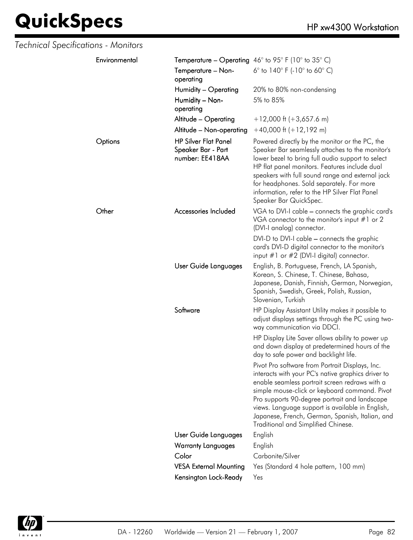| Technical Specifications - Monitors |                                                                      |                                                                                                                                                                                                                                                                                                                                                                                                         |
|-------------------------------------|----------------------------------------------------------------------|---------------------------------------------------------------------------------------------------------------------------------------------------------------------------------------------------------------------------------------------------------------------------------------------------------------------------------------------------------------------------------------------------------|
| Environmental                       |                                                                      | <b>Temperature – Operating</b> 46° to 95° F (10° to 35° C)                                                                                                                                                                                                                                                                                                                                              |
|                                     | Temperature - Non-<br>operating                                      | 6 $\degree$ to 140 $\degree$ F (-10 $\degree$ to 60 $\degree$ C)                                                                                                                                                                                                                                                                                                                                        |
|                                     | Humidity – Operating                                                 | 20% to 80% non-condensing                                                                                                                                                                                                                                                                                                                                                                               |
|                                     | Humidity - Non-<br>operating                                         | 5% to 85%                                                                                                                                                                                                                                                                                                                                                                                               |
|                                     | Altitude - Operating                                                 | $+12,000$ ft (+3,657.6 m)                                                                                                                                                                                                                                                                                                                                                                               |
|                                     | Altitude - Non-operating                                             | $+40,000$ ft $(+12,192$ m)                                                                                                                                                                                                                                                                                                                                                                              |
| Options                             | <b>HP Silver Flat Panel</b><br>Speaker Bar - Part<br>number: EE418AA | Powered directly by the monitor or the PC, the<br>Speaker Bar seamlessly attaches to the monitor's<br>lower bezel to bring full audio support to select<br>HP flat panel monitors. Features include dual<br>speakers with full sound range and external jack<br>for headphones. Sold separately. For more<br>information, refer to the HP Silver Flat Panel<br>Speaker Bar QuickSpec.                   |
| Other                               | Accessories Included                                                 | VGA to DVI-I cable - connects the graphic card's<br>VGA connector to the monitor's input $#1$ or 2<br>(DVI-I analog) connector.                                                                                                                                                                                                                                                                         |
|                                     |                                                                      | DVI-D to DVI-I cable - connects the graphic<br>card's DVI-D digital connector to the monitor's<br>input $#1$ or $#2$ (DVI-I digital) connector.                                                                                                                                                                                                                                                         |
|                                     | User Guide Languages                                                 | English, B. Portuguese, French, LA Spanish,<br>Korean, S. Chinese, T. Chinese, Bahasa,<br>Japanese, Danish, Finnish, German, Norwegian,<br>Spanish, Swedish, Greek, Polish, Russian,<br>Slovenian, Turkish                                                                                                                                                                                              |
|                                     | Software                                                             | HP Display Assistant Utility makes it possible to<br>adjust displays settings through the PC using two-<br>way communication via DDCI.                                                                                                                                                                                                                                                                  |
|                                     |                                                                      | HP Display Lite Saver allows ability to power up<br>and down display at predetermined hours of the<br>day to safe power and backlight life.                                                                                                                                                                                                                                                             |
|                                     |                                                                      | Pivot Pro software from Portrait Displays, Inc.<br>interacts with your PC's native graphics driver to<br>enable seamless portrait screen redraws with a<br>simple mouse-click or keyboard command. Pivot<br>Pro supports 90-degree portrait and landscape<br>views. Language support is available in English,<br>Japanese, French, German, Spanish, Italian, and<br>Traditional and Simplified Chinese. |
|                                     | User Guide Languages                                                 | English                                                                                                                                                                                                                                                                                                                                                                                                 |
|                                     | <b>Warranty Languages</b>                                            | English                                                                                                                                                                                                                                                                                                                                                                                                 |
|                                     | Color                                                                | Carbonite/Silver                                                                                                                                                                                                                                                                                                                                                                                        |
|                                     | <b>VESA External Mounting</b>                                        | Yes (Standard 4 hole pattern, 100 mm)                                                                                                                                                                                                                                                                                                                                                                   |
|                                     | Kensington Lock-Ready                                                | Yes                                                                                                                                                                                                                                                                                                                                                                                                     |

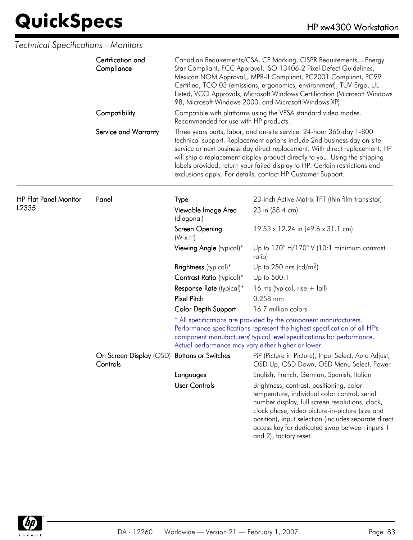|                              | Certification and<br>Compliance<br>Compatibility        | Canadian Requirements/CSA, CE Marking, CISPR Requirements, , Energy<br>Star Compliant, FCC Approval, ISO 13406-2 Pixel Defect Guidelines,<br>Mexican NOM Approval,, MPR-II Compliant, PC2001 Compliant, PC99<br>Certified, TCO 03 (emissions, ergonomics, environment), TUV-Ergo, UL<br>Listed, VCCI Approvals, Microsoft Windows Certification (Microsoft Windows<br>98, Microsoft Windows 2000, and Microsoft Windows XP) |                                                                                                                                                                                                                                                                                                                                                                                                                                                              |  |
|------------------------------|---------------------------------------------------------|-----------------------------------------------------------------------------------------------------------------------------------------------------------------------------------------------------------------------------------------------------------------------------------------------------------------------------------------------------------------------------------------------------------------------------|--------------------------------------------------------------------------------------------------------------------------------------------------------------------------------------------------------------------------------------------------------------------------------------------------------------------------------------------------------------------------------------------------------------------------------------------------------------|--|
|                              |                                                         | Recommended for use with HP products.                                                                                                                                                                                                                                                                                                                                                                                       | Compatible with platforms using the VESA standard video modes.                                                                                                                                                                                                                                                                                                                                                                                               |  |
|                              | Service and Warranty                                    |                                                                                                                                                                                                                                                                                                                                                                                                                             | Three years parts, labor, and on-site service. 24-hour 365-day 1-800<br>technical support. Replacement options include 2nd business day on-site<br>service or next business day direct replacement. With direct replacement, HP<br>will ship a replacement display product directly to you. Using the shipping<br>labels provided, return your failed display to HP. Certain restrictions and<br>exclusions apply. For details, contact HP Customer Support. |  |
| <b>HP Flat Panel Monitor</b> | Panel                                                   | Type                                                                                                                                                                                                                                                                                                                                                                                                                        | 23-inch Active Matrix TFT (thin film transistor)                                                                                                                                                                                                                                                                                                                                                                                                             |  |
| L2335                        |                                                         | Viewable Image Area<br>(diagonal)                                                                                                                                                                                                                                                                                                                                                                                           | 23 in (58.4 cm)                                                                                                                                                                                                                                                                                                                                                                                                                                              |  |
|                              |                                                         | Screen Opening<br>$(W \times H)$                                                                                                                                                                                                                                                                                                                                                                                            | 19.53 x 12.24 in (49.6 x 31.1 cm)                                                                                                                                                                                                                                                                                                                                                                                                                            |  |
|                              |                                                         | Viewing Angle (typical)*                                                                                                                                                                                                                                                                                                                                                                                                    | Up to $170^\circ$ H/170 $^\circ$ V (10:1 minimum contrast<br>ratio)                                                                                                                                                                                                                                                                                                                                                                                          |  |
|                              |                                                         | Brightness (typical)*                                                                                                                                                                                                                                                                                                                                                                                                       | Up to 250 nits (cd/m <sup>2</sup> )                                                                                                                                                                                                                                                                                                                                                                                                                          |  |
|                              |                                                         | Contrast Ratio (typical)*                                                                                                                                                                                                                                                                                                                                                                                                   | Up to 500:1                                                                                                                                                                                                                                                                                                                                                                                                                                                  |  |
|                              |                                                         | Response Rate (typical)*                                                                                                                                                                                                                                                                                                                                                                                                    | 16 ms (typical, rise $+$ fall)                                                                                                                                                                                                                                                                                                                                                                                                                               |  |
|                              |                                                         | <b>Pixel Pitch</b>                                                                                                                                                                                                                                                                                                                                                                                                          | 0.258 mm                                                                                                                                                                                                                                                                                                                                                                                                                                                     |  |
|                              |                                                         | <b>Color Depth Support</b>                                                                                                                                                                                                                                                                                                                                                                                                  | 16.7 million colors                                                                                                                                                                                                                                                                                                                                                                                                                                          |  |
|                              |                                                         | Actual performance may vary either higher or lower.                                                                                                                                                                                                                                                                                                                                                                         | * All specifications are provided by the component manufacturers.<br>Performance specifications represent the highest specification of all HP's<br>component manufacturers' typical level specifications for performance.                                                                                                                                                                                                                                    |  |
|                              | On Screen Display (OSD) Buttons or Switches<br>Controls |                                                                                                                                                                                                                                                                                                                                                                                                                             | PiP (Picture in Picture), Input Select, Auto Adjust,<br>OSD Up, OSD Down, OSD Menu Select, Power                                                                                                                                                                                                                                                                                                                                                             |  |
|                              |                                                         | Languages                                                                                                                                                                                                                                                                                                                                                                                                                   | English, French, German, Spanish, Italian                                                                                                                                                                                                                                                                                                                                                                                                                    |  |
|                              |                                                         | <b>User Controls</b>                                                                                                                                                                                                                                                                                                                                                                                                        | Brightness, contrast, positioning, color<br>temperature, individual color control, serial<br>number display, full screen resolutions, clock,<br>clock phase, video picture-in-picture (size and<br>position), input selection (includes separate direct<br>access key for dedicated swap between inputs 1<br>and 2), factory reset                                                                                                                           |  |

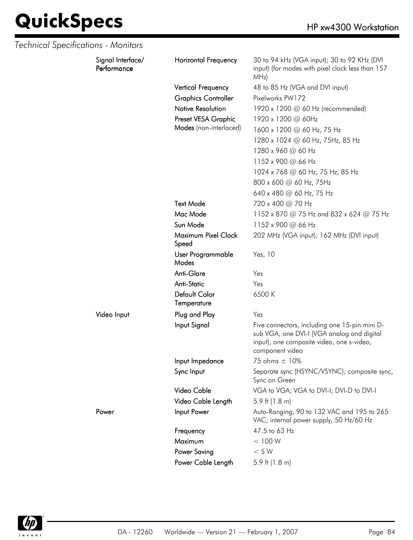| Technical Specifications - Monitors |                                  |                              |                                                                                                                                                             |
|-------------------------------------|----------------------------------|------------------------------|-------------------------------------------------------------------------------------------------------------------------------------------------------------|
|                                     | Signal Interface/<br>Performance | <b>Horizontal Frequency</b>  | 30 to 94 kHz (VGA input); 30 to 92 KHz (DVI<br>input) (for modes with pixel clock less than 157<br>MHz)                                                     |
|                                     |                                  | <b>Vertical Frequency</b>    | 48 to 85 Hz (VGA and DVI input)                                                                                                                             |
|                                     |                                  | <b>Graphics Controller</b>   | Pixelworks PW172                                                                                                                                            |
|                                     |                                  | <b>Native Resolution</b>     | 1920 x 1200 @ 60 Hz (recommended)                                                                                                                           |
|                                     |                                  | Preset VESA Graphic          | 1920 x 1200 @ 60Hz                                                                                                                                          |
|                                     |                                  | Modes (non-interlaced)       | 1600 x 1200 @ 60 Hz, 75 Hz                                                                                                                                  |
|                                     |                                  |                              | 1280 x 1024 @ 60 Hz, 75Hz, 85 Hz                                                                                                                            |
|                                     |                                  |                              | 1280 x 960 @ 60 Hz                                                                                                                                          |
|                                     |                                  |                              | 1152 x 900 @ 66 Hz                                                                                                                                          |
|                                     |                                  |                              | 1024 x 768 @ 60 Hz, 75 Hz, 85 Hz                                                                                                                            |
|                                     |                                  |                              | 800 x 600 @ 60 Hz, 75Hz                                                                                                                                     |
|                                     |                                  |                              | 640 x 480 @ 60 Hz, 75 Hz                                                                                                                                    |
|                                     |                                  | <b>Text Mode</b>             | 720 x 400 @ 70 Hz                                                                                                                                           |
|                                     |                                  | Mac Mode                     | 1152 x 870 @ 75 Hz and 832 x 624 @ 75 Hz                                                                                                                    |
|                                     |                                  | Sun Mode                     | 1152 x 900 @ 66 Hz                                                                                                                                          |
|                                     |                                  | Maximum Pixel Clock<br>Speed | 202 MHz (VGA input); 162 MHz (DVI input)                                                                                                                    |
|                                     |                                  | User Programmable<br>Modes   | Yes, 10                                                                                                                                                     |
|                                     |                                  | Anti-Glare                   | Yes                                                                                                                                                         |
|                                     |                                  | <b>Anti-Static</b>           | Yes                                                                                                                                                         |
|                                     |                                  | Default Color<br>Temperature | 6500K                                                                                                                                                       |
|                                     | Video Input                      | Plug and Play                | Yes                                                                                                                                                         |
|                                     |                                  | Input Signal                 | Five connectors, including one 15-pin mini D-<br>sub VGA, one DVI-I (VGA analog and digital<br>input), one composite video, one s-video,<br>component video |
|                                     |                                  | Input Impedance              | 75 ohms ± 10%                                                                                                                                               |
|                                     |                                  | Sync Input                   | Separate sync (HSYNC/VSYNC); composite sync,<br>Sync on Green                                                                                               |
|                                     |                                  | Video Cable                  | VGA to VGA; VGA to DVI-I; DVI-D to DVI-I                                                                                                                    |
|                                     |                                  | Video Cable Length           | 5.9 ft $(1.8 \text{ m})$                                                                                                                                    |
|                                     | Power                            | Input Power                  | Auto-Ranging, 90 to 132 VAC and 195 to 265<br>VAC; internal power supply, 50 Hz/60 Hz                                                                       |
|                                     |                                  | Frequency                    | 47.5 to 63 Hz                                                                                                                                               |
|                                     |                                  | Maximum                      | < 100 W                                                                                                                                                     |
|                                     |                                  | <b>Power Saving</b>          | < 5 W                                                                                                                                                       |
|                                     |                                  | Power Cable Length           | 5.9 ft $(1.8 \text{ m})$                                                                                                                                    |

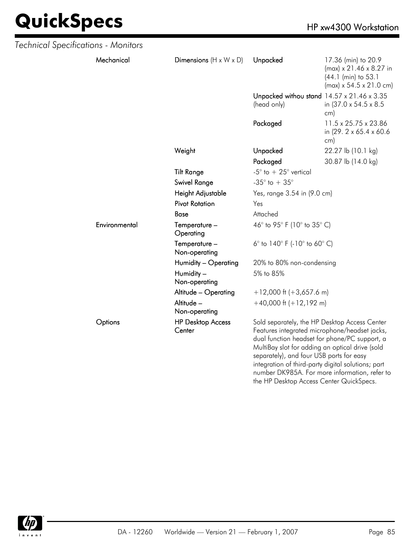| Technical Specifications - Monitors |               |                                    |                                                                                                                                                                                                                                                                                                                                                       |                                                                                                                          |
|-------------------------------------|---------------|------------------------------------|-------------------------------------------------------------------------------------------------------------------------------------------------------------------------------------------------------------------------------------------------------------------------------------------------------------------------------------------------------|--------------------------------------------------------------------------------------------------------------------------|
|                                     | Mechanical    | Dimensions $(H \times W \times D)$ | Unpacked                                                                                                                                                                                                                                                                                                                                              | 17.36 (min) to 20.9<br>$(max) \times 21.46 \times 8.27$ in<br>(44.1 (min) to 53.1<br>$(max) \times 54.5 \times 21.0$ cm) |
|                                     |               |                                    | Unpacked withou stand 14.57 x 21.46 x 3.35<br>(head only)                                                                                                                                                                                                                                                                                             | in (37.0 x 54.5 x 8.5)<br>cm)                                                                                            |
|                                     |               |                                    | Packaged                                                                                                                                                                                                                                                                                                                                              | 11.5 x 25.75 x 23.86<br>in (29. 2 x 65.4 x 60.6)<br>cm)                                                                  |
|                                     |               | Weight                             | Unpacked                                                                                                                                                                                                                                                                                                                                              | 22.27 lb (10.1 kg)                                                                                                       |
|                                     |               |                                    | Packaged                                                                                                                                                                                                                                                                                                                                              | 30.87 lb (14.0 kg)                                                                                                       |
|                                     |               | <b>Tilt Range</b>                  | -5 $^{\circ}$ to $+25^{\circ}$ vertical                                                                                                                                                                                                                                                                                                               |                                                                                                                          |
|                                     |               | <b>Swivel Range</b>                | -35 $^{\circ}$ to + 35 $^{\circ}$                                                                                                                                                                                                                                                                                                                     |                                                                                                                          |
|                                     |               | Height Adjustable                  | Yes, range 3.54 in (9.0 cm)                                                                                                                                                                                                                                                                                                                           |                                                                                                                          |
|                                     |               | <b>Pivot Rotation</b>              | Yes                                                                                                                                                                                                                                                                                                                                                   |                                                                                                                          |
|                                     |               | Base                               | Attached                                                                                                                                                                                                                                                                                                                                              |                                                                                                                          |
|                                     | Environmental | Temperature -<br>Operating         | 46° to 95° F (10° to 35° C)                                                                                                                                                                                                                                                                                                                           |                                                                                                                          |
|                                     |               | Temperature -<br>Non-operating     | 6 $^{\circ}$ to 140 $^{\circ}$ F (-10 $^{\circ}$ to 60 $^{\circ}$ C)                                                                                                                                                                                                                                                                                  |                                                                                                                          |
|                                     |               | Humidity - Operating               | 20% to 80% non-condensing                                                                                                                                                                                                                                                                                                                             |                                                                                                                          |
|                                     |               | Humidity -<br>Non-operating        | 5% to 85%                                                                                                                                                                                                                                                                                                                                             |                                                                                                                          |
|                                     |               | Altitude - Operating               | $+12,000$ ft (+3,657.6 m)                                                                                                                                                                                                                                                                                                                             |                                                                                                                          |
|                                     |               | Altitude -<br>Non-operating        | $+40,000$ ft $(+12,192$ m)                                                                                                                                                                                                                                                                                                                            |                                                                                                                          |
|                                     | Options       | <b>HP Desktop Access</b><br>Center | Sold separately, the HP Desktop Access Center<br>Features integrated microphone/headset jacks,<br>dual function headset for phone/PC support, a<br>MultiBay slot for adding an optical drive (sold<br>separately), and four USB ports for easy<br>integration of third-party digital solutions; part<br>number DK985A. For more information, refer to |                                                                                                                          |



the HP Desktop Access Center QuickSpecs.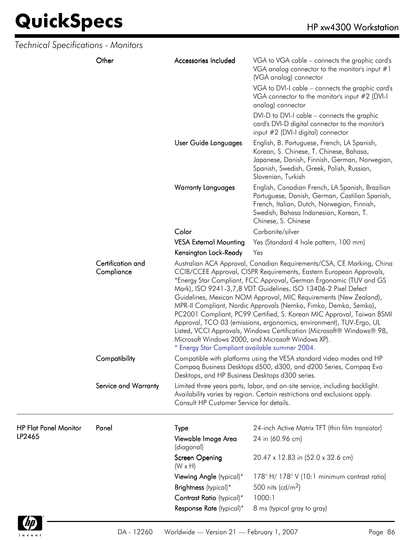$\frac{4}{2}$ invent

| <b>Technical Specifications - Monitors</b> |                                 |                                                                                                                                                                                                      |                                                                                                                                                                                                                                                                                                                                                                                                                                                                                                                                                                                                                                                                                                               |  |  |
|--------------------------------------------|---------------------------------|------------------------------------------------------------------------------------------------------------------------------------------------------------------------------------------------------|---------------------------------------------------------------------------------------------------------------------------------------------------------------------------------------------------------------------------------------------------------------------------------------------------------------------------------------------------------------------------------------------------------------------------------------------------------------------------------------------------------------------------------------------------------------------------------------------------------------------------------------------------------------------------------------------------------------|--|--|
|                                            | Other                           | Accessories Included                                                                                                                                                                                 | VGA to VGA cable – connects the graphic card's<br>VGA analog connector to the monitor's input $#1$<br>(VGA analog) connector                                                                                                                                                                                                                                                                                                                                                                                                                                                                                                                                                                                  |  |  |
|                                            |                                 |                                                                                                                                                                                                      | VGA to DVI-I cable - connects the graphic card's<br>VGA connector to the monitor's input #2 (DVI-I<br>analog) connector                                                                                                                                                                                                                                                                                                                                                                                                                                                                                                                                                                                       |  |  |
|                                            |                                 |                                                                                                                                                                                                      | DVI-D to DVI-I cable – connects the graphic<br>card's DVI-D digital connector to the monitor's<br>input #2 (DVI-I digital) connector                                                                                                                                                                                                                                                                                                                                                                                                                                                                                                                                                                          |  |  |
|                                            |                                 | User Guide Languages                                                                                                                                                                                 | English, B. Portuguese, French, LA Spanish,<br>Korean, S. Chinese, T. Chinese, Bahasa,<br>Japanese, Danish, Finnish, German, Norwegian,<br>Spanish, Swedish, Greek, Polish, Russian,<br>Slovenian, Turkish                                                                                                                                                                                                                                                                                                                                                                                                                                                                                                    |  |  |
|                                            |                                 | <b>Warranty Languages</b>                                                                                                                                                                            | English, Canadian French, LA Spanish, Brazilian<br>Portuguese, Danish, German, Castilian Spanish,<br>French, Italian, Dutch, Norwegian, Finnish,<br>Swedish, Bahasa Indonesian, Korean, T.<br>Chinese, S. Chinese                                                                                                                                                                                                                                                                                                                                                                                                                                                                                             |  |  |
|                                            |                                 | Color                                                                                                                                                                                                | Carbonite/silver                                                                                                                                                                                                                                                                                                                                                                                                                                                                                                                                                                                                                                                                                              |  |  |
|                                            |                                 | <b>VESA External Mounting</b>                                                                                                                                                                        | Yes (Standard 4 hole pattern, 100 mm)                                                                                                                                                                                                                                                                                                                                                                                                                                                                                                                                                                                                                                                                         |  |  |
|                                            |                                 | Kensington Lock-Ready                                                                                                                                                                                | Yes                                                                                                                                                                                                                                                                                                                                                                                                                                                                                                                                                                                                                                                                                                           |  |  |
|                                            | Certification and<br>Compliance | * Energy Star Compliant available summer 2004.                                                                                                                                                       | Australian ACA Approval, Canadian Requirements/CSA, CE Marking, China<br>CCIB/CCEE Approval, CISPR Requirements, Eastern European Approvals,<br>*Energy Star Compliant, FCC Approval, German Ergonomic (TUV and GS<br>Mark), ISO 9241-3,7,8 VDT Guidelines, ISO 13406-2 Pixel Defect<br>Guidelines, Mexican NOM Approval, MIC Requirements (New Zealand),<br>MPR-II Compliant, Nordic Approvals (Nemko, Fimko, Demko, Semko),<br>PC2001 Compliant, PC99 Certified, S. Korean MIC Approval, Taiwan BSMI<br>Approval, TCO 03 (emissions, ergonomics, environment), TUV-Ergo, UL<br>Listed, VCCI Approvals, Windows Certification (Microsoft® Windows® 98,<br>Microsoft Windows 2000, and Microsoft Windows XP). |  |  |
|                                            | Compatibility                   |                                                                                                                                                                                                      | Compatible with platforms using the VESA standard video modes and HP<br>Compaq Business Desktops d500, d300, and d200 Series, Compaq Evo<br>Desktops, and HP Business Desktops d300 series.                                                                                                                                                                                                                                                                                                                                                                                                                                                                                                                   |  |  |
|                                            | Service and Warranty            | Limited three years parts, labor, and on-site service, including backlight.<br>Availability varies by region. Certain restrictions and exclusions apply.<br>Consult HP Customer Service for details. |                                                                                                                                                                                                                                                                                                                                                                                                                                                                                                                                                                                                                                                                                                               |  |  |
| <b>HP Flat Panel Monitor</b>               | Panel                           | Type                                                                                                                                                                                                 | 24-inch Active Matrix TFT (thin film transistor)                                                                                                                                                                                                                                                                                                                                                                                                                                                                                                                                                                                                                                                              |  |  |
| LP2465                                     |                                 | Viewable Image Area<br>(diagonal)                                                                                                                                                                    | 24 in (60.96 cm)                                                                                                                                                                                                                                                                                                                                                                                                                                                                                                                                                                                                                                                                                              |  |  |
|                                            |                                 | Screen Opening<br>$(W \times H)$                                                                                                                                                                     | 20.47 x 12.83 in (52.0 x 32.6 cm)                                                                                                                                                                                                                                                                                                                                                                                                                                                                                                                                                                                                                                                                             |  |  |
|                                            |                                 | Viewing Angle (typical)*                                                                                                                                                                             | 178° H/178° V (10:1 minimum contrast ratio)                                                                                                                                                                                                                                                                                                                                                                                                                                                                                                                                                                                                                                                                   |  |  |
|                                            |                                 | Brightness (typical)*                                                                                                                                                                                | 500 nits (cd/m <sup>2</sup> )                                                                                                                                                                                                                                                                                                                                                                                                                                                                                                                                                                                                                                                                                 |  |  |
|                                            |                                 | Contrast Ratio (typical)*                                                                                                                                                                            | 1000:1                                                                                                                                                                                                                                                                                                                                                                                                                                                                                                                                                                                                                                                                                                        |  |  |
|                                            |                                 | Response Rate (typical)*                                                                                                                                                                             | 8 ms (typical gray to gray)                                                                                                                                                                                                                                                                                                                                                                                                                                                                                                                                                                                                                                                                                   |  |  |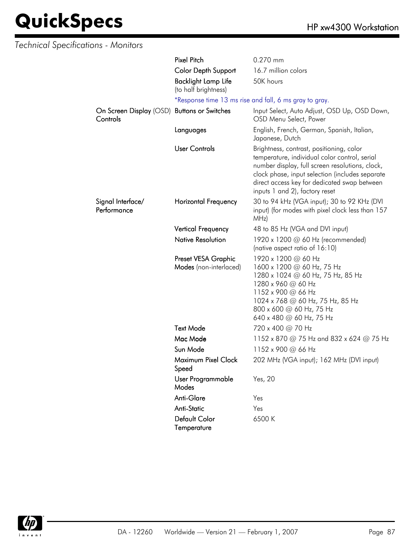| <b>Technical Specifications - Monitors</b> |                                                    |                                                                                                                                                                                                                                                                                   |
|--------------------------------------------|----------------------------------------------------|-----------------------------------------------------------------------------------------------------------------------------------------------------------------------------------------------------------------------------------------------------------------------------------|
|                                            | <b>Pixel Pitch</b>                                 | 0.270 mm                                                                                                                                                                                                                                                                          |
|                                            | Color Depth Support                                | 16.7 million colors                                                                                                                                                                                                                                                               |
|                                            | <b>Backlight Lamp Life</b><br>(to half brightness) | 50K hours                                                                                                                                                                                                                                                                         |
|                                            |                                                    | *Response time 13 ms rise and fall, 6 ms gray to gray.                                                                                                                                                                                                                            |
| On Screen Display (OSD)<br>Controls        | <b>Buttons or Switches</b>                         | Input Select, Auto Adjust, OSD Up, OSD Down,<br>OSD Menu Select, Power                                                                                                                                                                                                            |
|                                            | Languages                                          | English, French, German, Spanish, Italian,<br>Japanese, Dutch                                                                                                                                                                                                                     |
|                                            | <b>User Controls</b>                               | Brightness, contrast, positioning, color<br>temperature, individual color control, serial<br>number display, full screen resolutions, clock,<br>clock phase, input selection (includes separate<br>direct access key for dedicated swap between<br>inputs 1 and 2), factory reset |
| Signal Interface/<br>Performance           | Horizontal Frequency                               | 30 to 94 kHz (VGA input); 30 to 92 KHz (DVI<br>input) (for modes with pixel clock less than 157<br>MHz)                                                                                                                                                                           |
|                                            | <b>Vertical Frequency</b>                          | 48 to 85 Hz (VGA and DVI input)                                                                                                                                                                                                                                                   |
|                                            | <b>Native Resolution</b>                           | 1920 x 1200 @ 60 Hz (recommended)<br>(native aspect ratio of 16:10)                                                                                                                                                                                                               |
|                                            | Preset VESA Graphic<br>Modes (non-interlaced)      | 1920 x 1200 @ 60 Hz<br>1600 x 1200 @ 60 Hz, 75 Hz<br>1280 x 1024 @ 60 Hz, 75 Hz, 85 Hz<br>1280 x 960 @ 60 Hz<br>1152 x 900 @ 66 Hz<br>1024 x 768 @ 60 Hz, 75 Hz, 85 Hz<br>800 x 600 @ 60 Hz, 75 Hz<br>640 x 480 $\omega$ 60 Hz, 75 Hz                                             |
|                                            | <b>Text Mode</b>                                   | 720 x 400 @ 70 Hz                                                                                                                                                                                                                                                                 |
|                                            | Mac Mode                                           | 1152 x 870 @ 75 Hz and 832 x 624 @ 75 Hz                                                                                                                                                                                                                                          |
|                                            | Sun Mode                                           | 1152 x 900 @ 66 Hz                                                                                                                                                                                                                                                                |
|                                            | Maximum Pixel Clock<br>Speed                       | 202 MHz (VGA input); 162 MHz (DVI input)                                                                                                                                                                                                                                          |
|                                            | User Programmable<br>Modes                         | Yes, 20                                                                                                                                                                                                                                                                           |
|                                            | Anti-Glare                                         | Yes                                                                                                                                                                                                                                                                               |
|                                            | <b>Anti-Static</b>                                 | Yes                                                                                                                                                                                                                                                                               |
|                                            | Default Color<br>Temperature                       | 6500K                                                                                                                                                                                                                                                                             |

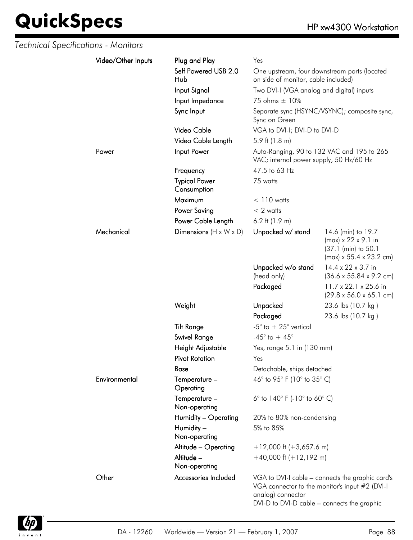| Technical Specifications - Monitors |                    |                                     |                                                                                       |                                                                                                                     |
|-------------------------------------|--------------------|-------------------------------------|---------------------------------------------------------------------------------------|---------------------------------------------------------------------------------------------------------------------|
|                                     | Video/Other Inputs | Plug and Play                       | Yes                                                                                   |                                                                                                                     |
|                                     |                    | Self Powered USB 2.0<br>Hub         | One upstream, four downstream ports (located<br>on side of monitor, cable included)   |                                                                                                                     |
|                                     |                    | Input Signal                        | Two DVI-I (VGA analog and digital) inputs                                             |                                                                                                                     |
|                                     |                    | Input Impedance                     | 75 ohms ± 10%                                                                         |                                                                                                                     |
|                                     |                    | Sync Input                          | Sync on Green                                                                         | Separate sync (HSYNC/VSYNC); composite sync,                                                                        |
|                                     |                    | Video Cable                         | VGA to DVI-I; DVI-D to DVI-D                                                          |                                                                                                                     |
|                                     |                    | Video Cable Length                  | 5.9 ft $(1.8 \text{ m})$                                                              |                                                                                                                     |
|                                     | Power              | Input Power                         | Auto-Ranging, 90 to 132 VAC and 195 to 265<br>VAC; internal power supply, 50 Hz/60 Hz |                                                                                                                     |
|                                     |                    | Frequency                           | 47.5 to 63 Hz                                                                         |                                                                                                                     |
|                                     |                    | <b>Typical Power</b><br>Consumption | 75 watts                                                                              |                                                                                                                     |
|                                     |                    | Maximum                             | $< 110$ watts                                                                         |                                                                                                                     |
|                                     |                    | <b>Power Saving</b>                 | $< 2$ watts                                                                           |                                                                                                                     |
|                                     |                    | Power Cable Length                  | 6.2 ft $(1.9 m)$                                                                      |                                                                                                                     |
|                                     | Mechanical         | Dimensions $(H \times W \times D)$  | Unpacked w/ stand                                                                     | 14.6 (min) to 19.7<br>$(max) \times 22 \times 9.1$ in<br>(37.1 (min) to 50.1<br>$(max) \times 55.4 \times 23.2$ cm) |
|                                     |                    |                                     | Unpacked w/o stand<br>(head only)                                                     | 14.4 x 22 x 3.7 in<br>$(36.6 \times 55.84 \times 9.2 \text{ cm})$                                                   |
|                                     |                    |                                     | Packaged                                                                              | 11.7 x 22.1 x 25.6 in<br>$(29.8 \times 56.0 \times 65.1 \text{ cm})$                                                |
|                                     |                    | Weight                              | Unpacked                                                                              | 23.6 lbs (10.7 kg)                                                                                                  |
|                                     |                    |                                     | Packaged                                                                              | 23.6 lbs (10.7 kg)                                                                                                  |
|                                     |                    | <b>Tilt Range</b>                   | -5 $\degree$ to + 25 $\degree$ vertical                                               |                                                                                                                     |
|                                     |                    | Swivel Range                        | -45 $^{\circ}$ to + 45 $^{\circ}$                                                     |                                                                                                                     |
|                                     |                    | Height Adjustable                   | Yes, range 5.1 in (130 mm)                                                            |                                                                                                                     |
|                                     |                    | <b>Pivot Rotation</b>               | Yes                                                                                   |                                                                                                                     |
|                                     |                    | Base                                | Detachable, ships detached                                                            |                                                                                                                     |
|                                     | Environmental      | Temperature -<br>Operating          | 46° to 95° F (10° to 35° C)                                                           |                                                                                                                     |
|                                     |                    | Temperature -<br>Non-operating      | 6 $^{\circ}$ to 140 $^{\circ}$ F (-10 $^{\circ}$ to 60 $^{\circ}$ C)                  |                                                                                                                     |
|                                     |                    | Humidity - Operating                | 20% to 80% non-condensing                                                             |                                                                                                                     |
|                                     |                    | Humidity -<br>Non-operating         | 5% to 85%                                                                             |                                                                                                                     |
|                                     |                    | Altitude - Operating                | $+12,000$ ft (+3,657.6 m)                                                             |                                                                                                                     |
|                                     |                    | Altitude -<br>Non-operating         | $+40,000$ ft $(+12,192$ m)                                                            |                                                                                                                     |
|                                     | Other              | Accessories Included                | analog) connector<br>DVI-D to DVI-D cable - connects the graphic                      | VGA to DVI-I cable - connects the graphic card's<br>VGA connector to the monitor's input #2 (DVI-I                  |

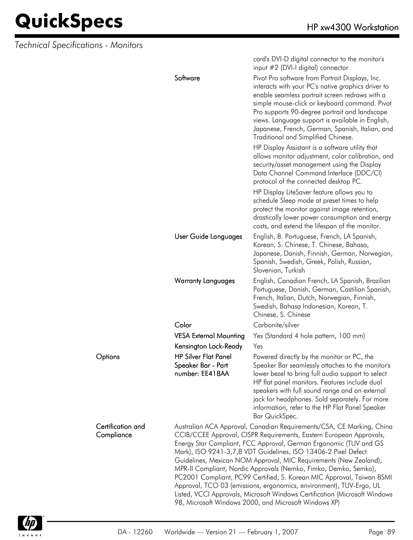*Technical Specifications - Monitors*

|                                 |                                                                                                                                                                                                                                                                                                                                                                                                                                                                                                                                                                                                                                                                                                                     | card's DVI-D digital connector to the monitor's<br>input #2 (DVI-I digital) connector                                                                                                                                                                                                                                                                                                                          |
|---------------------------------|---------------------------------------------------------------------------------------------------------------------------------------------------------------------------------------------------------------------------------------------------------------------------------------------------------------------------------------------------------------------------------------------------------------------------------------------------------------------------------------------------------------------------------------------------------------------------------------------------------------------------------------------------------------------------------------------------------------------|----------------------------------------------------------------------------------------------------------------------------------------------------------------------------------------------------------------------------------------------------------------------------------------------------------------------------------------------------------------------------------------------------------------|
|                                 | Software                                                                                                                                                                                                                                                                                                                                                                                                                                                                                                                                                                                                                                                                                                            | Pivot Pro software from Portrait Displays, Inc.<br>interacts with your PC's native graphics driver to<br>enable seamless portrait screen redraws with a<br>simple mouse-click or keyboard command. Pivot<br>Pro supports 90-degree portrait and landscape<br>views. Language support is available in English,<br>Japanese, French, German, Spanish, Italian, and<br><b>Traditional and Simplified Chinese.</b> |
|                                 |                                                                                                                                                                                                                                                                                                                                                                                                                                                                                                                                                                                                                                                                                                                     | HP Display Assistant is a software utility that<br>allows monitor adjustment, color calibration, and<br>security/asset management using the Display<br>Data Channel Command Interface (DDC/CI)<br>protocol of the connected desktop PC.                                                                                                                                                                        |
|                                 |                                                                                                                                                                                                                                                                                                                                                                                                                                                                                                                                                                                                                                                                                                                     | HP Display LiteSaver feature allows you to<br>schedule Sleep mode at preset times to help<br>protect the monitor against image retention,<br>drastically lower power consumption and energy<br>costs, and extend the lifespan of the monitor.                                                                                                                                                                  |
|                                 | User Guide Languages                                                                                                                                                                                                                                                                                                                                                                                                                                                                                                                                                                                                                                                                                                | English, B. Portuguese, French, LA Spanish,<br>Korean, S. Chinese, T. Chinese, Bahasa,<br>Japanese, Danish, Finnish, German, Norwegian,<br>Spanish, Swedish, Greek, Polish, Russian,<br>Slovenian, Turkish                                                                                                                                                                                                     |
|                                 | <b>Warranty Languages</b>                                                                                                                                                                                                                                                                                                                                                                                                                                                                                                                                                                                                                                                                                           | English, Canadian French, LA Spanish, Brazilian<br>Portuguese, Danish, German, Castilian Spanish,<br>French, Italian, Dutch, Norwegian, Finnish,<br>Swedish, Bahasa Indonesian, Korean, T.<br>Chinese, S. Chinese                                                                                                                                                                                              |
|                                 | Color                                                                                                                                                                                                                                                                                                                                                                                                                                                                                                                                                                                                                                                                                                               | Carbonite/silver                                                                                                                                                                                                                                                                                                                                                                                               |
|                                 | <b>VESA External Mounting</b>                                                                                                                                                                                                                                                                                                                                                                                                                                                                                                                                                                                                                                                                                       | Yes (Standard 4 hole pattern, 100 mm)                                                                                                                                                                                                                                                                                                                                                                          |
|                                 | Kensington Lock-Ready                                                                                                                                                                                                                                                                                                                                                                                                                                                                                                                                                                                                                                                                                               | Yes                                                                                                                                                                                                                                                                                                                                                                                                            |
| Options                         | <b>HP Silver Flat Panel</b><br>Speaker Bar - Part<br>number: EE418AA                                                                                                                                                                                                                                                                                                                                                                                                                                                                                                                                                                                                                                                | Powered directly by the monitor or PC, the<br>Speaker Bar seamlessly attaches to the monitor's<br>lower bezel to bring full audio support to select<br>HP flat panel monitors. Features include dual<br>speakers with full sound range and an external<br>jack for headphones. Sold separately. For more<br>information, refer to the HP Flat Panel Speaker<br>Bar QuickSpec.                                  |
| Certification and<br>Compliance | Australian ACA Approval, Canadian Requirements/CSA, CE Marking, China<br>CCIB/CCEE Approval, CISPR Requirements, Eastern European Approvals,<br>Energy Star Compliant, FCC Approval, German Ergonomic (TUV and GS<br>Mark), ISO 9241-3,7,8 VDT Guidelines, ISO 13406-2 Pixel Defect<br>Guidelines, Mexican NOM Approval, MIC Requirements (New Zealand),<br>MPR-II Compliant, Nordic Approvals (Nemko, Fimko, Demko, Semko),<br>PC2001 Compliant, PC99 Certified, S. Korean MIC Approval, Taiwan BSMI<br>Approval, TCO 03 (emissions, ergonomics, environment), TUV-Ergo, UL<br>Listed, VCCI Approvals, Microsoft Windows Certification (Microsoft Windows<br>98, Microsoft Windows 2000, and Microsoft Windows XP) |                                                                                                                                                                                                                                                                                                                                                                                                                |